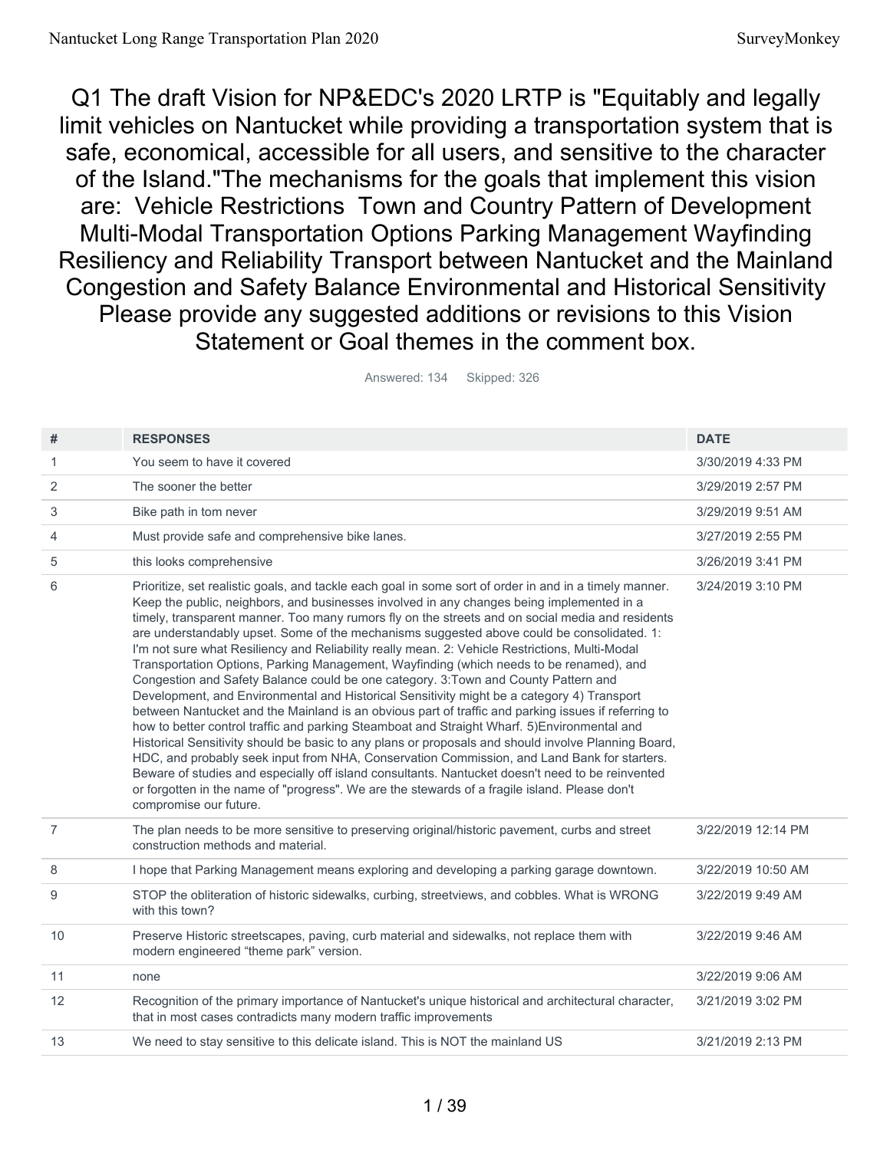Q1 The draft Vision for NP&EDC's 2020 LRTP is "Equitably and legally limit vehicles on Nantucket while providing a transportation system that is safe, economical, accessible for all users, and sensitive to the character of the Island."The mechanisms for the goals that implement this vision are: Vehicle Restrictions Town and Country Pattern of Development Multi-Modal Transportation Options Parking Management Wayfinding Resiliency and Reliability Transport between Nantucket and the Mainland Congestion and Safety Balance Environmental and Historical Sensitivity Please provide any suggested additions or revisions to this Vision Statement or Goal themes in the comment box.

| #              | <b>RESPONSES</b>                                                                                                                                                                                                                                                                                                                                                                                                                                                                                                                                                                                                                                                                                                                                                                                                                                                                                                                                                                                                                                                                                                                                                                                                                                                                                                                                                                                                                    | <b>DATE</b>        |
|----------------|-------------------------------------------------------------------------------------------------------------------------------------------------------------------------------------------------------------------------------------------------------------------------------------------------------------------------------------------------------------------------------------------------------------------------------------------------------------------------------------------------------------------------------------------------------------------------------------------------------------------------------------------------------------------------------------------------------------------------------------------------------------------------------------------------------------------------------------------------------------------------------------------------------------------------------------------------------------------------------------------------------------------------------------------------------------------------------------------------------------------------------------------------------------------------------------------------------------------------------------------------------------------------------------------------------------------------------------------------------------------------------------------------------------------------------------|--------------------|
| 1              | You seem to have it covered                                                                                                                                                                                                                                                                                                                                                                                                                                                                                                                                                                                                                                                                                                                                                                                                                                                                                                                                                                                                                                                                                                                                                                                                                                                                                                                                                                                                         | 3/30/2019 4:33 PM  |
| 2              | The sooner the better                                                                                                                                                                                                                                                                                                                                                                                                                                                                                                                                                                                                                                                                                                                                                                                                                                                                                                                                                                                                                                                                                                                                                                                                                                                                                                                                                                                                               | 3/29/2019 2:57 PM  |
| 3              | Bike path in tom never                                                                                                                                                                                                                                                                                                                                                                                                                                                                                                                                                                                                                                                                                                                                                                                                                                                                                                                                                                                                                                                                                                                                                                                                                                                                                                                                                                                                              | 3/29/2019 9:51 AM  |
| 4              | Must provide safe and comprehensive bike lanes.                                                                                                                                                                                                                                                                                                                                                                                                                                                                                                                                                                                                                                                                                                                                                                                                                                                                                                                                                                                                                                                                                                                                                                                                                                                                                                                                                                                     | 3/27/2019 2:55 PM  |
| 5              | this looks comprehensive                                                                                                                                                                                                                                                                                                                                                                                                                                                                                                                                                                                                                                                                                                                                                                                                                                                                                                                                                                                                                                                                                                                                                                                                                                                                                                                                                                                                            | 3/26/2019 3:41 PM  |
| 6              | Prioritize, set realistic goals, and tackle each goal in some sort of order in and in a timely manner.<br>Keep the public, neighbors, and businesses involved in any changes being implemented in a<br>timely, transparent manner. Too many rumors fly on the streets and on social media and residents<br>are understandably upset. Some of the mechanisms suggested above could be consolidated. 1:<br>I'm not sure what Resiliency and Reliability really mean. 2: Vehicle Restrictions, Multi-Modal<br>Transportation Options, Parking Management, Wayfinding (which needs to be renamed), and<br>Congestion and Safety Balance could be one category. 3: Town and County Pattern and<br>Development, and Environmental and Historical Sensitivity might be a category 4) Transport<br>between Nantucket and the Mainland is an obvious part of traffic and parking issues if referring to<br>how to better control traffic and parking Steamboat and Straight Wharf. 5) Environmental and<br>Historical Sensitivity should be basic to any plans or proposals and should involve Planning Board,<br>HDC, and probably seek input from NHA, Conservation Commission, and Land Bank for starters.<br>Beware of studies and especially off island consultants. Nantucket doesn't need to be reinvented<br>or forgotten in the name of "progress". We are the stewards of a fragile island. Please don't<br>compromise our future. | 3/24/2019 3:10 PM  |
| $\overline{7}$ | The plan needs to be more sensitive to preserving original/historic pavement, curbs and street<br>construction methods and material.                                                                                                                                                                                                                                                                                                                                                                                                                                                                                                                                                                                                                                                                                                                                                                                                                                                                                                                                                                                                                                                                                                                                                                                                                                                                                                | 3/22/2019 12:14 PM |
| 8              | I hope that Parking Management means exploring and developing a parking garage downtown.                                                                                                                                                                                                                                                                                                                                                                                                                                                                                                                                                                                                                                                                                                                                                                                                                                                                                                                                                                                                                                                                                                                                                                                                                                                                                                                                            | 3/22/2019 10:50 AM |
| 9              | STOP the obliteration of historic sidewalks, curbing, streetviews, and cobbles. What is WRONG<br>with this town?                                                                                                                                                                                                                                                                                                                                                                                                                                                                                                                                                                                                                                                                                                                                                                                                                                                                                                                                                                                                                                                                                                                                                                                                                                                                                                                    | 3/22/2019 9:49 AM  |
| 10             | Preserve Historic streetscapes, paving, curb material and sidewalks, not replace them with<br>modern engineered "theme park" version.                                                                                                                                                                                                                                                                                                                                                                                                                                                                                                                                                                                                                                                                                                                                                                                                                                                                                                                                                                                                                                                                                                                                                                                                                                                                                               | 3/22/2019 9:46 AM  |
| 11             | none                                                                                                                                                                                                                                                                                                                                                                                                                                                                                                                                                                                                                                                                                                                                                                                                                                                                                                                                                                                                                                                                                                                                                                                                                                                                                                                                                                                                                                | 3/22/2019 9:06 AM  |
| 12             | Recognition of the primary importance of Nantucket's unique historical and architectural character,<br>that in most cases contradicts many modern traffic improvements                                                                                                                                                                                                                                                                                                                                                                                                                                                                                                                                                                                                                                                                                                                                                                                                                                                                                                                                                                                                                                                                                                                                                                                                                                                              | 3/21/2019 3:02 PM  |
| 13             | We need to stay sensitive to this delicate island. This is NOT the mainland US                                                                                                                                                                                                                                                                                                                                                                                                                                                                                                                                                                                                                                                                                                                                                                                                                                                                                                                                                                                                                                                                                                                                                                                                                                                                                                                                                      | 3/21/2019 2:13 PM  |

Answered: 134 Skipped: 326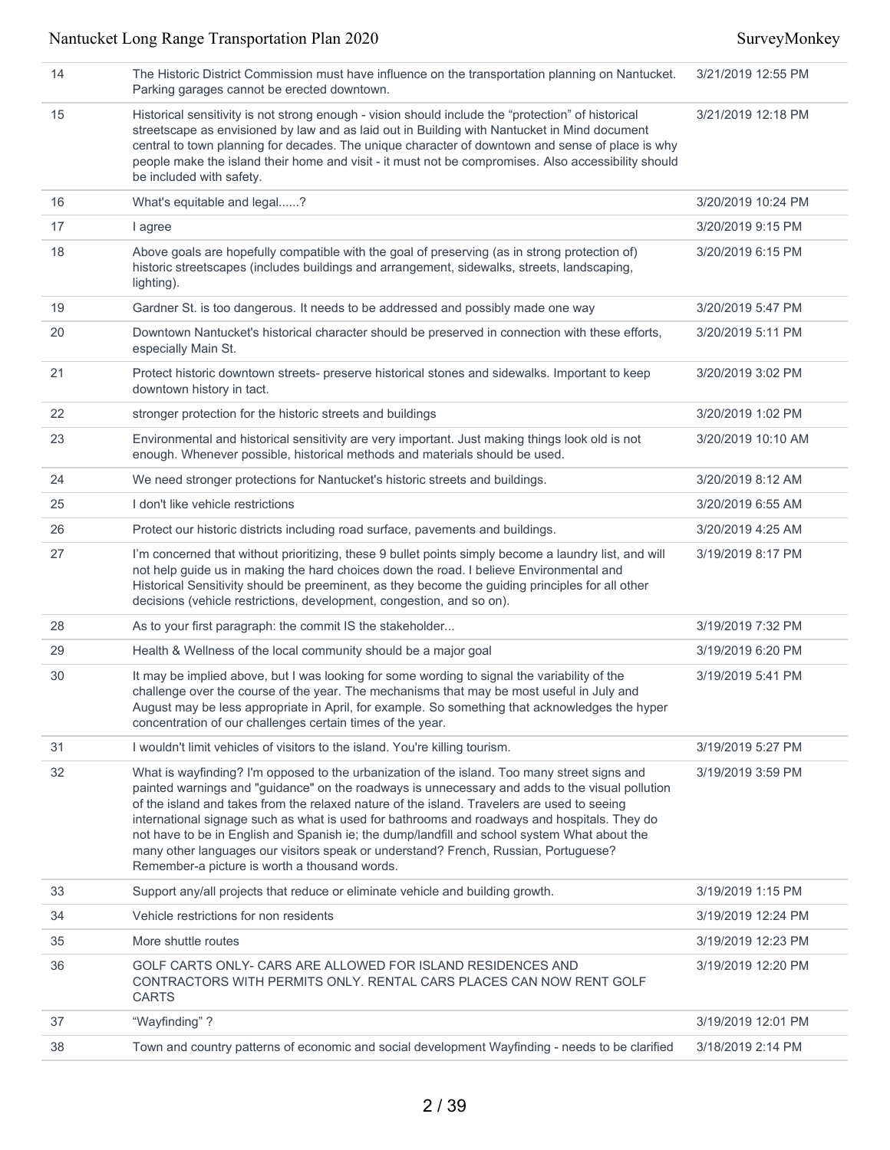| 14 | The Historic District Commission must have influence on the transportation planning on Nantucket.<br>Parking garages cannot be erected downtown.                                                                                                                                                                                                                                                                                                                                                                                                                                                                                       | 3/21/2019 12:55 PM |
|----|----------------------------------------------------------------------------------------------------------------------------------------------------------------------------------------------------------------------------------------------------------------------------------------------------------------------------------------------------------------------------------------------------------------------------------------------------------------------------------------------------------------------------------------------------------------------------------------------------------------------------------------|--------------------|
| 15 | Historical sensitivity is not strong enough - vision should include the "protection" of historical<br>streetscape as envisioned by law and as laid out in Building with Nantucket in Mind document<br>central to town planning for decades. The unique character of downtown and sense of place is why<br>people make the island their home and visit - it must not be compromises. Also accessibility should<br>be included with safety.                                                                                                                                                                                              | 3/21/2019 12:18 PM |
| 16 | What's equitable and legal?                                                                                                                                                                                                                                                                                                                                                                                                                                                                                                                                                                                                            | 3/20/2019 10:24 PM |
| 17 | I agree                                                                                                                                                                                                                                                                                                                                                                                                                                                                                                                                                                                                                                | 3/20/2019 9:15 PM  |
| 18 | Above goals are hopefully compatible with the goal of preserving (as in strong protection of)<br>historic streetscapes (includes buildings and arrangement, sidewalks, streets, landscaping,<br>lighting).                                                                                                                                                                                                                                                                                                                                                                                                                             | 3/20/2019 6:15 PM  |
| 19 | Gardner St. is too dangerous. It needs to be addressed and possibly made one way                                                                                                                                                                                                                                                                                                                                                                                                                                                                                                                                                       | 3/20/2019 5:47 PM  |
| 20 | Downtown Nantucket's historical character should be preserved in connection with these efforts,<br>especially Main St.                                                                                                                                                                                                                                                                                                                                                                                                                                                                                                                 | 3/20/2019 5:11 PM  |
| 21 | Protect historic downtown streets- preserve historical stones and sidewalks. Important to keep<br>downtown history in tact.                                                                                                                                                                                                                                                                                                                                                                                                                                                                                                            | 3/20/2019 3:02 PM  |
| 22 | stronger protection for the historic streets and buildings                                                                                                                                                                                                                                                                                                                                                                                                                                                                                                                                                                             | 3/20/2019 1:02 PM  |
| 23 | Environmental and historical sensitivity are very important. Just making things look old is not<br>enough. Whenever possible, historical methods and materials should be used.                                                                                                                                                                                                                                                                                                                                                                                                                                                         | 3/20/2019 10:10 AM |
| 24 | We need stronger protections for Nantucket's historic streets and buildings.                                                                                                                                                                                                                                                                                                                                                                                                                                                                                                                                                           | 3/20/2019 8:12 AM  |
| 25 | I don't like vehicle restrictions                                                                                                                                                                                                                                                                                                                                                                                                                                                                                                                                                                                                      | 3/20/2019 6:55 AM  |
| 26 | Protect our historic districts including road surface, pavements and buildings.                                                                                                                                                                                                                                                                                                                                                                                                                                                                                                                                                        | 3/20/2019 4:25 AM  |
| 27 | I'm concerned that without prioritizing, these 9 bullet points simply become a laundry list, and will<br>not help guide us in making the hard choices down the road. I believe Environmental and<br>Historical Sensitivity should be preeminent, as they become the guiding principles for all other<br>decisions (vehicle restrictions, development, congestion, and so on).                                                                                                                                                                                                                                                          | 3/19/2019 8:17 PM  |
| 28 | As to your first paragraph: the commit IS the stakeholder                                                                                                                                                                                                                                                                                                                                                                                                                                                                                                                                                                              | 3/19/2019 7:32 PM  |
| 29 | Health & Wellness of the local community should be a major goal                                                                                                                                                                                                                                                                                                                                                                                                                                                                                                                                                                        | 3/19/2019 6:20 PM  |
| 30 | It may be implied above, but I was looking for some wording to signal the variability of the<br>challenge over the course of the year. The mechanisms that may be most useful in July and<br>August may be less appropriate in April, for example. So something that acknowledges the hyper<br>concentration of our challenges certain times of the year.                                                                                                                                                                                                                                                                              | 3/19/2019 5:41 PM  |
| 31 | I wouldn't limit vehicles of visitors to the island. You're killing tourism.                                                                                                                                                                                                                                                                                                                                                                                                                                                                                                                                                           | 3/19/2019 5:27 PM  |
| 32 | What is wayfinding? I'm opposed to the urbanization of the island. Too many street signs and<br>painted warnings and "guidance" on the roadways is unnecessary and adds to the visual pollution<br>of the island and takes from the relaxed nature of the island. Travelers are used to seeing<br>international signage such as what is used for bathrooms and roadways and hospitals. They do<br>not have to be in English and Spanish ie; the dump/landfill and school system What about the<br>many other languages our visitors speak or understand? French, Russian, Portuguese?<br>Remember-a picture is worth a thousand words. | 3/19/2019 3:59 PM  |
| 33 | Support any/all projects that reduce or eliminate vehicle and building growth.                                                                                                                                                                                                                                                                                                                                                                                                                                                                                                                                                         | 3/19/2019 1:15 PM  |
| 34 | Vehicle restrictions for non residents                                                                                                                                                                                                                                                                                                                                                                                                                                                                                                                                                                                                 | 3/19/2019 12:24 PM |
| 35 | More shuttle routes                                                                                                                                                                                                                                                                                                                                                                                                                                                                                                                                                                                                                    | 3/19/2019 12:23 PM |
| 36 | GOLF CARTS ONLY- CARS ARE ALLOWED FOR ISLAND RESIDENCES AND<br>CONTRACTORS WITH PERMITS ONLY. RENTAL CARS PLACES CAN NOW RENT GOLF<br><b>CARTS</b>                                                                                                                                                                                                                                                                                                                                                                                                                                                                                     | 3/19/2019 12:20 PM |
| 37 | "Wayfinding"?                                                                                                                                                                                                                                                                                                                                                                                                                                                                                                                                                                                                                          | 3/19/2019 12:01 PM |
| 38 | Town and country patterns of economic and social development Wayfinding - needs to be clarified                                                                                                                                                                                                                                                                                                                                                                                                                                                                                                                                        | 3/18/2019 2:14 PM  |
|    |                                                                                                                                                                                                                                                                                                                                                                                                                                                                                                                                                                                                                                        |                    |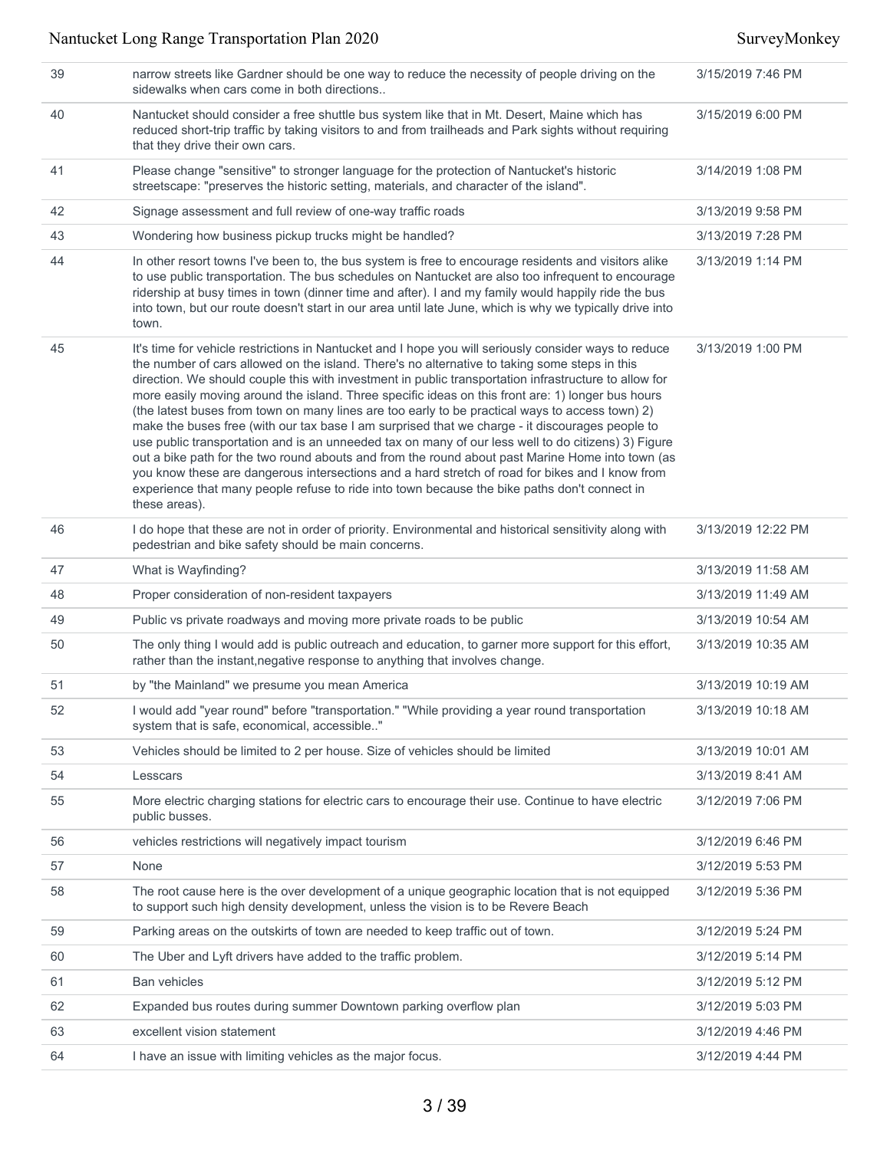| 39 | narrow streets like Gardner should be one way to reduce the necessity of people driving on the<br>sidewalks when cars come in both directions                                                                                                                                                                                                                                                                                                                                                                                                                                                                                                                                                                                                                                                                                                                                                                                                                                                                                                             | 3/15/2019 7:46 PM  |
|----|-----------------------------------------------------------------------------------------------------------------------------------------------------------------------------------------------------------------------------------------------------------------------------------------------------------------------------------------------------------------------------------------------------------------------------------------------------------------------------------------------------------------------------------------------------------------------------------------------------------------------------------------------------------------------------------------------------------------------------------------------------------------------------------------------------------------------------------------------------------------------------------------------------------------------------------------------------------------------------------------------------------------------------------------------------------|--------------------|
| 40 | Nantucket should consider a free shuttle bus system like that in Mt. Desert, Maine which has<br>reduced short-trip traffic by taking visitors to and from trailheads and Park sights without requiring<br>that they drive their own cars.                                                                                                                                                                                                                                                                                                                                                                                                                                                                                                                                                                                                                                                                                                                                                                                                                 | 3/15/2019 6:00 PM  |
| 41 | Please change "sensitive" to stronger language for the protection of Nantucket's historic<br>streetscape: "preserves the historic setting, materials, and character of the island".                                                                                                                                                                                                                                                                                                                                                                                                                                                                                                                                                                                                                                                                                                                                                                                                                                                                       | 3/14/2019 1:08 PM  |
| 42 | Signage assessment and full review of one-way traffic roads                                                                                                                                                                                                                                                                                                                                                                                                                                                                                                                                                                                                                                                                                                                                                                                                                                                                                                                                                                                               | 3/13/2019 9:58 PM  |
| 43 | Wondering how business pickup trucks might be handled?                                                                                                                                                                                                                                                                                                                                                                                                                                                                                                                                                                                                                                                                                                                                                                                                                                                                                                                                                                                                    | 3/13/2019 7:28 PM  |
| 44 | In other resort towns I've been to, the bus system is free to encourage residents and visitors alike<br>to use public transportation. The bus schedules on Nantucket are also too infrequent to encourage<br>ridership at busy times in town (dinner time and after). I and my family would happily ride the bus<br>into town, but our route doesn't start in our area until late June, which is why we typically drive into<br>town.                                                                                                                                                                                                                                                                                                                                                                                                                                                                                                                                                                                                                     | 3/13/2019 1:14 PM  |
| 45 | It's time for vehicle restrictions in Nantucket and I hope you will seriously consider ways to reduce<br>the number of cars allowed on the island. There's no alternative to taking some steps in this<br>direction. We should couple this with investment in public transportation infrastructure to allow for<br>more easily moving around the island. Three specific ideas on this front are: 1) longer bus hours<br>(the latest buses from town on many lines are too early to be practical ways to access town) 2)<br>make the buses free (with our tax base I am surprised that we charge - it discourages people to<br>use public transportation and is an unneeded tax on many of our less well to do citizens) 3) Figure<br>out a bike path for the two round abouts and from the round about past Marine Home into town (as<br>you know these are dangerous intersections and a hard stretch of road for bikes and I know from<br>experience that many people refuse to ride into town because the bike paths don't connect in<br>these areas). | 3/13/2019 1:00 PM  |
| 46 | I do hope that these are not in order of priority. Environmental and historical sensitivity along with<br>pedestrian and bike safety should be main concerns.                                                                                                                                                                                                                                                                                                                                                                                                                                                                                                                                                                                                                                                                                                                                                                                                                                                                                             | 3/13/2019 12:22 PM |
| 47 | What is Wayfinding?                                                                                                                                                                                                                                                                                                                                                                                                                                                                                                                                                                                                                                                                                                                                                                                                                                                                                                                                                                                                                                       | 3/13/2019 11:58 AM |
| 48 | Proper consideration of non-resident taxpayers                                                                                                                                                                                                                                                                                                                                                                                                                                                                                                                                                                                                                                                                                                                                                                                                                                                                                                                                                                                                            | 3/13/2019 11:49 AM |
| 49 | Public vs private roadways and moving more private roads to be public                                                                                                                                                                                                                                                                                                                                                                                                                                                                                                                                                                                                                                                                                                                                                                                                                                                                                                                                                                                     | 3/13/2019 10:54 AM |
| 50 | The only thing I would add is public outreach and education, to garner more support for this effort,<br>rather than the instant, negative response to anything that involves change.                                                                                                                                                                                                                                                                                                                                                                                                                                                                                                                                                                                                                                                                                                                                                                                                                                                                      | 3/13/2019 10:35 AM |
| 51 | by "the Mainland" we presume you mean America                                                                                                                                                                                                                                                                                                                                                                                                                                                                                                                                                                                                                                                                                                                                                                                                                                                                                                                                                                                                             | 3/13/2019 10:19 AM |
| 52 | I would add "year round" before "transportation." "While providing a year round transportation<br>system that is safe, economical, accessible"                                                                                                                                                                                                                                                                                                                                                                                                                                                                                                                                                                                                                                                                                                                                                                                                                                                                                                            | 3/13/2019 10:18 AM |
| 53 | Vehicles should be limited to 2 per house. Size of vehicles should be limited                                                                                                                                                                                                                                                                                                                                                                                                                                                                                                                                                                                                                                                                                                                                                                                                                                                                                                                                                                             | 3/13/2019 10:01 AM |
| 54 | Lesscars                                                                                                                                                                                                                                                                                                                                                                                                                                                                                                                                                                                                                                                                                                                                                                                                                                                                                                                                                                                                                                                  | 3/13/2019 8:41 AM  |
| 55 | More electric charging stations for electric cars to encourage their use. Continue to have electric<br>public busses.                                                                                                                                                                                                                                                                                                                                                                                                                                                                                                                                                                                                                                                                                                                                                                                                                                                                                                                                     | 3/12/2019 7:06 PM  |
| 56 | vehicles restrictions will negatively impact tourism                                                                                                                                                                                                                                                                                                                                                                                                                                                                                                                                                                                                                                                                                                                                                                                                                                                                                                                                                                                                      | 3/12/2019 6:46 PM  |
| 57 | None                                                                                                                                                                                                                                                                                                                                                                                                                                                                                                                                                                                                                                                                                                                                                                                                                                                                                                                                                                                                                                                      | 3/12/2019 5:53 PM  |
| 58 | The root cause here is the over development of a unique geographic location that is not equipped<br>to support such high density development, unless the vision is to be Revere Beach                                                                                                                                                                                                                                                                                                                                                                                                                                                                                                                                                                                                                                                                                                                                                                                                                                                                     | 3/12/2019 5:36 PM  |
| 59 | Parking areas on the outskirts of town are needed to keep traffic out of town.                                                                                                                                                                                                                                                                                                                                                                                                                                                                                                                                                                                                                                                                                                                                                                                                                                                                                                                                                                            | 3/12/2019 5:24 PM  |
| 60 | The Uber and Lyft drivers have added to the traffic problem.                                                                                                                                                                                                                                                                                                                                                                                                                                                                                                                                                                                                                                                                                                                                                                                                                                                                                                                                                                                              | 3/12/2019 5:14 PM  |
| 61 | <b>Ban vehicles</b>                                                                                                                                                                                                                                                                                                                                                                                                                                                                                                                                                                                                                                                                                                                                                                                                                                                                                                                                                                                                                                       | 3/12/2019 5:12 PM  |
| 62 | Expanded bus routes during summer Downtown parking overflow plan                                                                                                                                                                                                                                                                                                                                                                                                                                                                                                                                                                                                                                                                                                                                                                                                                                                                                                                                                                                          | 3/12/2019 5:03 PM  |
| 63 | excellent vision statement                                                                                                                                                                                                                                                                                                                                                                                                                                                                                                                                                                                                                                                                                                                                                                                                                                                                                                                                                                                                                                | 3/12/2019 4:46 PM  |
| 64 | I have an issue with limiting vehicles as the major focus.                                                                                                                                                                                                                                                                                                                                                                                                                                                                                                                                                                                                                                                                                                                                                                                                                                                                                                                                                                                                | 3/12/2019 4:44 PM  |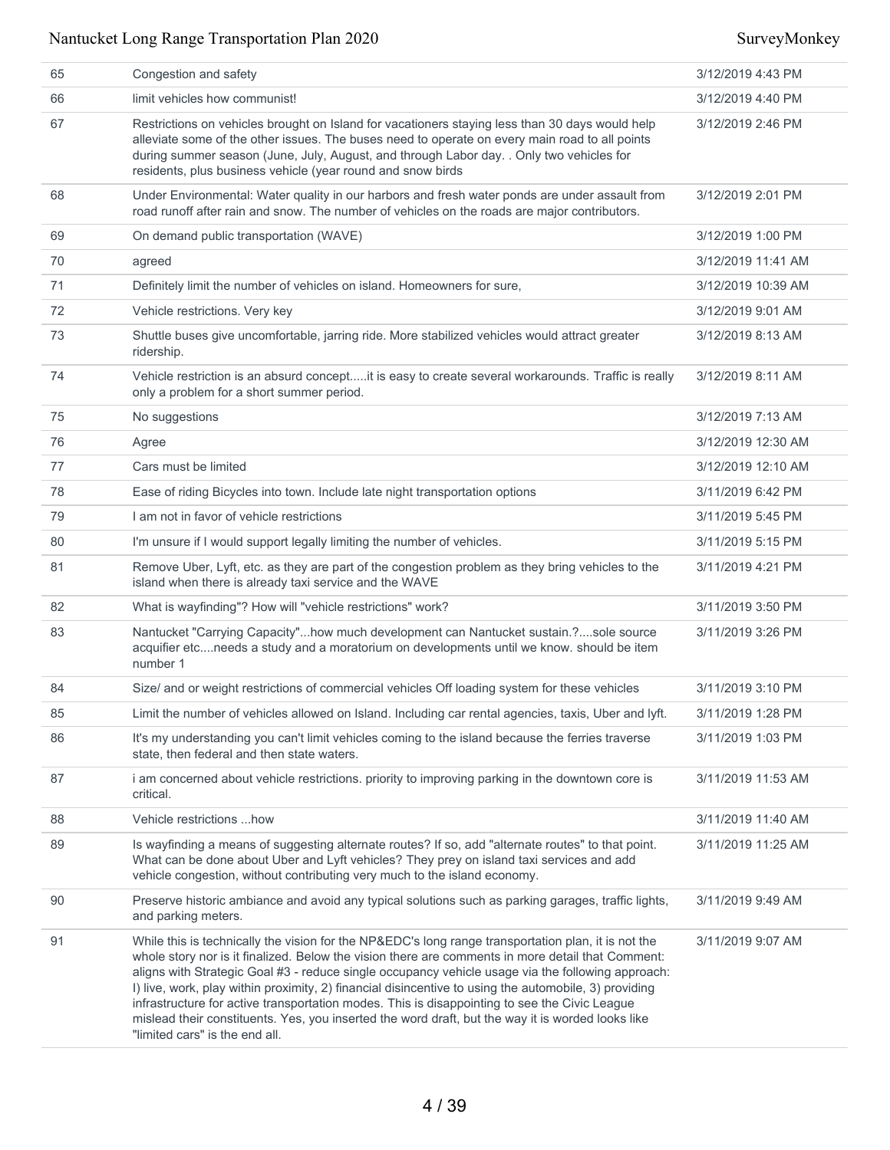| 65 | Congestion and safety                                                                                                                                                                                                                                                                                                                                                                                                                                                                                                                                                                                                                                          | 3/12/2019 4:43 PM  |
|----|----------------------------------------------------------------------------------------------------------------------------------------------------------------------------------------------------------------------------------------------------------------------------------------------------------------------------------------------------------------------------------------------------------------------------------------------------------------------------------------------------------------------------------------------------------------------------------------------------------------------------------------------------------------|--------------------|
| 66 | limit vehicles how communist!                                                                                                                                                                                                                                                                                                                                                                                                                                                                                                                                                                                                                                  | 3/12/2019 4:40 PM  |
| 67 | Restrictions on vehicles brought on Island for vacationers staying less than 30 days would help<br>alleviate some of the other issues. The buses need to operate on every main road to all points<br>during summer season (June, July, August, and through Labor day. . Only two vehicles for<br>residents, plus business vehicle (year round and snow birds                                                                                                                                                                                                                                                                                                   | 3/12/2019 2:46 PM  |
| 68 | Under Environmental: Water quality in our harbors and fresh water ponds are under assault from<br>road runoff after rain and snow. The number of vehicles on the roads are major contributors.                                                                                                                                                                                                                                                                                                                                                                                                                                                                 | 3/12/2019 2:01 PM  |
| 69 | On demand public transportation (WAVE)                                                                                                                                                                                                                                                                                                                                                                                                                                                                                                                                                                                                                         | 3/12/2019 1:00 PM  |
| 70 | agreed                                                                                                                                                                                                                                                                                                                                                                                                                                                                                                                                                                                                                                                         | 3/12/2019 11:41 AM |
| 71 | Definitely limit the number of vehicles on island. Homeowners for sure,                                                                                                                                                                                                                                                                                                                                                                                                                                                                                                                                                                                        | 3/12/2019 10:39 AM |
| 72 | Vehicle restrictions. Very key                                                                                                                                                                                                                                                                                                                                                                                                                                                                                                                                                                                                                                 | 3/12/2019 9:01 AM  |
| 73 | Shuttle buses give uncomfortable, jarring ride. More stabilized vehicles would attract greater<br>ridership.                                                                                                                                                                                                                                                                                                                                                                                                                                                                                                                                                   | 3/12/2019 8:13 AM  |
| 74 | Vehicle restriction is an absurd conceptit is easy to create several workarounds. Traffic is really<br>only a problem for a short summer period.                                                                                                                                                                                                                                                                                                                                                                                                                                                                                                               | 3/12/2019 8:11 AM  |
| 75 | No suggestions                                                                                                                                                                                                                                                                                                                                                                                                                                                                                                                                                                                                                                                 | 3/12/2019 7:13 AM  |
| 76 | Agree                                                                                                                                                                                                                                                                                                                                                                                                                                                                                                                                                                                                                                                          | 3/12/2019 12:30 AM |
| 77 | Cars must be limited                                                                                                                                                                                                                                                                                                                                                                                                                                                                                                                                                                                                                                           | 3/12/2019 12:10 AM |
| 78 | Ease of riding Bicycles into town. Include late night transportation options                                                                                                                                                                                                                                                                                                                                                                                                                                                                                                                                                                                   | 3/11/2019 6:42 PM  |
| 79 | I am not in favor of vehicle restrictions                                                                                                                                                                                                                                                                                                                                                                                                                                                                                                                                                                                                                      | 3/11/2019 5:45 PM  |
| 80 | I'm unsure if I would support legally limiting the number of vehicles.                                                                                                                                                                                                                                                                                                                                                                                                                                                                                                                                                                                         | 3/11/2019 5:15 PM  |
| 81 | Remove Uber, Lyft, etc. as they are part of the congestion problem as they bring vehicles to the<br>island when there is already taxi service and the WAVE                                                                                                                                                                                                                                                                                                                                                                                                                                                                                                     | 3/11/2019 4:21 PM  |
| 82 | What is wayfinding"? How will "vehicle restrictions" work?                                                                                                                                                                                                                                                                                                                                                                                                                                                                                                                                                                                                     | 3/11/2019 3:50 PM  |
| 83 | Nantucket "Carrying Capacity"how much development can Nantucket sustain.?sole source<br>acquifier etcneeds a study and a moratorium on developments until we know. should be item<br>number 1                                                                                                                                                                                                                                                                                                                                                                                                                                                                  | 3/11/2019 3:26 PM  |
| 84 | Size/ and or weight restrictions of commercial vehicles Off loading system for these vehicles                                                                                                                                                                                                                                                                                                                                                                                                                                                                                                                                                                  | 3/11/2019 3:10 PM  |
| 85 | Limit the number of vehicles allowed on Island. Including car rental agencies, taxis, Uber and lyft.                                                                                                                                                                                                                                                                                                                                                                                                                                                                                                                                                           | 3/11/2019 1:28 PM  |
| 86 | It's my understanding you can't limit vehicles coming to the island because the ferries traverse<br>state, then federal and then state waters.                                                                                                                                                                                                                                                                                                                                                                                                                                                                                                                 | 3/11/2019 1:03 PM  |
| 87 | i am concerned about vehicle restrictions. priority to improving parking in the downtown core is<br>critical.                                                                                                                                                                                                                                                                                                                                                                                                                                                                                                                                                  | 3/11/2019 11:53 AM |
| 88 | Vehicle restrictions how                                                                                                                                                                                                                                                                                                                                                                                                                                                                                                                                                                                                                                       | 3/11/2019 11:40 AM |
| 89 | Is wayfinding a means of suggesting alternate routes? If so, add "alternate routes" to that point.<br>What can be done about Uber and Lyft vehicles? They prey on island taxi services and add<br>vehicle congestion, without contributing very much to the island economy.                                                                                                                                                                                                                                                                                                                                                                                    | 3/11/2019 11:25 AM |
| 90 | Preserve historic ambiance and avoid any typical solutions such as parking garages, traffic lights,<br>and parking meters.                                                                                                                                                                                                                                                                                                                                                                                                                                                                                                                                     | 3/11/2019 9:49 AM  |
| 91 | While this is technically the vision for the NP&EDC's long range transportation plan, it is not the<br>whole story nor is it finalized. Below the vision there are comments in more detail that Comment:<br>aligns with Strategic Goal #3 - reduce single occupancy vehicle usage via the following approach:<br>I) live, work, play within proximity, 2) financial disincentive to using the automobile, 3) providing<br>infrastructure for active transportation modes. This is disappointing to see the Civic League<br>mislead their constituents. Yes, you inserted the word draft, but the way it is worded looks like<br>"limited cars" is the end all. | 3/11/2019 9:07 AM  |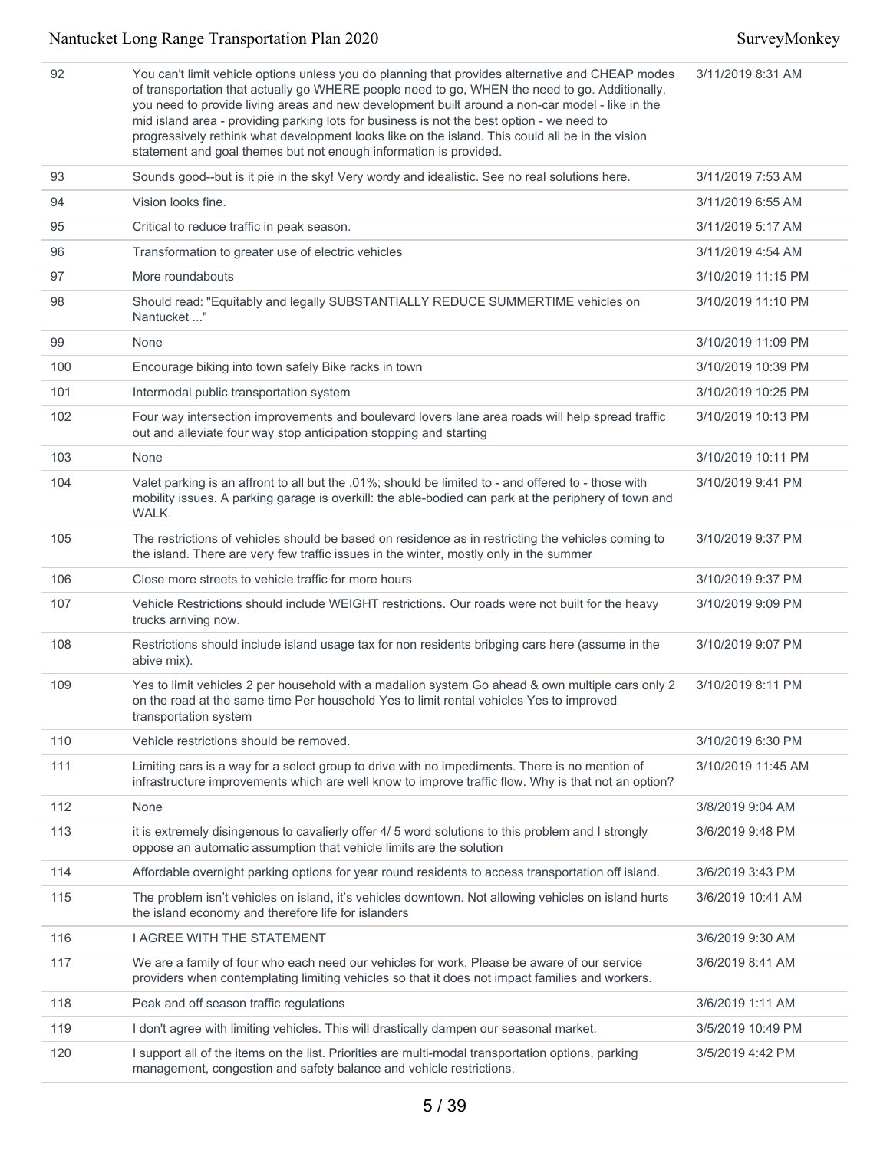| 92  | You can't limit vehicle options unless you do planning that provides alternative and CHEAP modes<br>of transportation that actually go WHERE people need to go, WHEN the need to go. Additionally,<br>you need to provide living areas and new development built around a non-car model - like in the<br>mid island area - providing parking lots for business is not the best option - we need to<br>progressively rethink what development looks like on the island. This could all be in the vision<br>statement and goal themes but not enough information is provided. | 3/11/2019 8:31 AM  |
|-----|-----------------------------------------------------------------------------------------------------------------------------------------------------------------------------------------------------------------------------------------------------------------------------------------------------------------------------------------------------------------------------------------------------------------------------------------------------------------------------------------------------------------------------------------------------------------------------|--------------------|
| 93  | Sounds good--but is it pie in the sky! Very wordy and idealistic. See no real solutions here.                                                                                                                                                                                                                                                                                                                                                                                                                                                                               | 3/11/2019 7:53 AM  |
| 94  | Vision looks fine.                                                                                                                                                                                                                                                                                                                                                                                                                                                                                                                                                          | 3/11/2019 6:55 AM  |
| 95  | Critical to reduce traffic in peak season.                                                                                                                                                                                                                                                                                                                                                                                                                                                                                                                                  | 3/11/2019 5:17 AM  |
| 96  | Transformation to greater use of electric vehicles                                                                                                                                                                                                                                                                                                                                                                                                                                                                                                                          | 3/11/2019 4:54 AM  |
| 97  | More roundabouts                                                                                                                                                                                                                                                                                                                                                                                                                                                                                                                                                            | 3/10/2019 11:15 PM |
| 98  | Should read: "Equitably and legally SUBSTANTIALLY REDUCE SUMMERTIME vehicles on<br>Nantucket "                                                                                                                                                                                                                                                                                                                                                                                                                                                                              | 3/10/2019 11:10 PM |
| 99  | None                                                                                                                                                                                                                                                                                                                                                                                                                                                                                                                                                                        | 3/10/2019 11:09 PM |
| 100 | Encourage biking into town safely Bike racks in town                                                                                                                                                                                                                                                                                                                                                                                                                                                                                                                        | 3/10/2019 10:39 PM |
| 101 | Intermodal public transportation system                                                                                                                                                                                                                                                                                                                                                                                                                                                                                                                                     | 3/10/2019 10:25 PM |
| 102 | Four way intersection improvements and boulevard lovers lane area roads will help spread traffic<br>out and alleviate four way stop anticipation stopping and starting                                                                                                                                                                                                                                                                                                                                                                                                      | 3/10/2019 10:13 PM |
| 103 | None                                                                                                                                                                                                                                                                                                                                                                                                                                                                                                                                                                        | 3/10/2019 10:11 PM |
| 104 | Valet parking is an affront to all but the .01%; should be limited to - and offered to - those with<br>mobility issues. A parking garage is overkill: the able-bodied can park at the periphery of town and<br>WALK.                                                                                                                                                                                                                                                                                                                                                        | 3/10/2019 9:41 PM  |
| 105 | The restrictions of vehicles should be based on residence as in restricting the vehicles coming to<br>the island. There are very few traffic issues in the winter, mostly only in the summer                                                                                                                                                                                                                                                                                                                                                                                | 3/10/2019 9:37 PM  |
| 106 | Close more streets to vehicle traffic for more hours                                                                                                                                                                                                                                                                                                                                                                                                                                                                                                                        | 3/10/2019 9:37 PM  |
| 107 | Vehicle Restrictions should include WEIGHT restrictions. Our roads were not built for the heavy<br>trucks arriving now.                                                                                                                                                                                                                                                                                                                                                                                                                                                     | 3/10/2019 9:09 PM  |
| 108 | Restrictions should include island usage tax for non residents bribging cars here (assume in the<br>abive mix).                                                                                                                                                                                                                                                                                                                                                                                                                                                             | 3/10/2019 9:07 PM  |
| 109 | Yes to limit vehicles 2 per household with a madalion system Go ahead & own multiple cars only 2<br>on the road at the same time Per household Yes to limit rental vehicles Yes to improved<br>transportation system                                                                                                                                                                                                                                                                                                                                                        | 3/10/2019 8:11 PM  |
| 110 | Vehicle restrictions should be removed.                                                                                                                                                                                                                                                                                                                                                                                                                                                                                                                                     | 3/10/2019 6:30 PM  |
| 111 | Limiting cars is a way for a select group to drive with no impediments. There is no mention of<br>infrastructure improvements which are well know to improve traffic flow. Why is that not an option?                                                                                                                                                                                                                                                                                                                                                                       | 3/10/2019 11:45 AM |
| 112 | None                                                                                                                                                                                                                                                                                                                                                                                                                                                                                                                                                                        | 3/8/2019 9:04 AM   |
| 113 | it is extremely disingenous to cavalierly offer 4/5 word solutions to this problem and I strongly<br>oppose an automatic assumption that vehicle limits are the solution                                                                                                                                                                                                                                                                                                                                                                                                    | 3/6/2019 9:48 PM   |
| 114 | Affordable overnight parking options for year round residents to access transportation off island.                                                                                                                                                                                                                                                                                                                                                                                                                                                                          | 3/6/2019 3:43 PM   |
| 115 | The problem isn't vehicles on island, it's vehicles downtown. Not allowing vehicles on island hurts<br>the island economy and therefore life for islanders                                                                                                                                                                                                                                                                                                                                                                                                                  | 3/6/2019 10:41 AM  |
| 116 | <b>I AGREE WITH THE STATEMENT</b>                                                                                                                                                                                                                                                                                                                                                                                                                                                                                                                                           | 3/6/2019 9:30 AM   |
| 117 | We are a family of four who each need our vehicles for work. Please be aware of our service<br>providers when contemplating limiting vehicles so that it does not impact families and workers.                                                                                                                                                                                                                                                                                                                                                                              | 3/6/2019 8:41 AM   |
| 118 | Peak and off season traffic regulations                                                                                                                                                                                                                                                                                                                                                                                                                                                                                                                                     | 3/6/2019 1:11 AM   |
| 119 | I don't agree with limiting vehicles. This will drastically dampen our seasonal market.                                                                                                                                                                                                                                                                                                                                                                                                                                                                                     | 3/5/2019 10:49 PM  |
| 120 | I support all of the items on the list. Priorities are multi-modal transportation options, parking<br>management, congestion and safety balance and vehicle restrictions.                                                                                                                                                                                                                                                                                                                                                                                                   | 3/5/2019 4:42 PM   |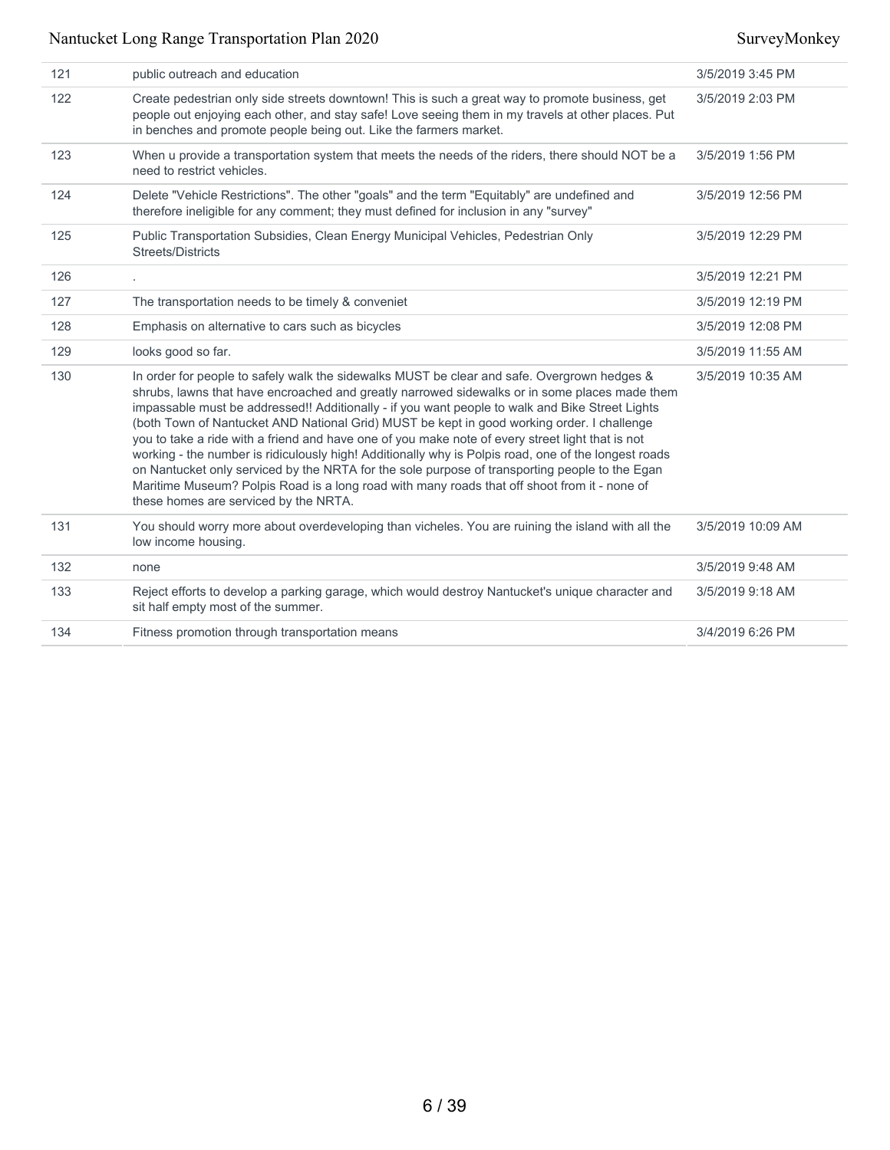| 121 | public outreach and education                                                                                                                                                                                                                                                                                                                                                                                                                                                                                                                                                                                                                                                                                                                                                                                                                        | 3/5/2019 3:45 PM  |
|-----|------------------------------------------------------------------------------------------------------------------------------------------------------------------------------------------------------------------------------------------------------------------------------------------------------------------------------------------------------------------------------------------------------------------------------------------------------------------------------------------------------------------------------------------------------------------------------------------------------------------------------------------------------------------------------------------------------------------------------------------------------------------------------------------------------------------------------------------------------|-------------------|
| 122 | Create pedestrian only side streets downtown! This is such a great way to promote business, get<br>people out enjoying each other, and stay safe! Love seeing them in my travels at other places. Put<br>in benches and promote people being out. Like the farmers market.                                                                                                                                                                                                                                                                                                                                                                                                                                                                                                                                                                           | 3/5/2019 2:03 PM  |
| 123 | When u provide a transportation system that meets the needs of the riders, there should NOT be a<br>need to restrict vehicles.                                                                                                                                                                                                                                                                                                                                                                                                                                                                                                                                                                                                                                                                                                                       | 3/5/2019 1:56 PM  |
| 124 | Delete "Vehicle Restrictions". The other "goals" and the term "Equitably" are undefined and<br>therefore ineligible for any comment; they must defined for inclusion in any "survey"                                                                                                                                                                                                                                                                                                                                                                                                                                                                                                                                                                                                                                                                 | 3/5/2019 12:56 PM |
| 125 | Public Transportation Subsidies, Clean Energy Municipal Vehicles, Pedestrian Only<br>Streets/Districts                                                                                                                                                                                                                                                                                                                                                                                                                                                                                                                                                                                                                                                                                                                                               | 3/5/2019 12:29 PM |
| 126 |                                                                                                                                                                                                                                                                                                                                                                                                                                                                                                                                                                                                                                                                                                                                                                                                                                                      | 3/5/2019 12:21 PM |
| 127 | The transportation needs to be timely & conveniet                                                                                                                                                                                                                                                                                                                                                                                                                                                                                                                                                                                                                                                                                                                                                                                                    | 3/5/2019 12:19 PM |
| 128 | Emphasis on alternative to cars such as bicycles                                                                                                                                                                                                                                                                                                                                                                                                                                                                                                                                                                                                                                                                                                                                                                                                     | 3/5/2019 12:08 PM |
| 129 | looks good so far.                                                                                                                                                                                                                                                                                                                                                                                                                                                                                                                                                                                                                                                                                                                                                                                                                                   | 3/5/2019 11:55 AM |
| 130 | In order for people to safely walk the sidewalks MUST be clear and safe. Overgrown hedges &<br>shrubs, lawns that have encroached and greatly narrowed sidewalks or in some places made them<br>impassable must be addressed!! Additionally - if you want people to walk and Bike Street Lights<br>(both Town of Nantucket AND National Grid) MUST be kept in good working order. I challenge<br>you to take a ride with a friend and have one of you make note of every street light that is not<br>working - the number is ridiculously high! Additionally why is Polpis road, one of the longest roads<br>on Nantucket only serviced by the NRTA for the sole purpose of transporting people to the Egan<br>Maritime Museum? Polpis Road is a long road with many roads that off shoot from it - none of<br>these homes are serviced by the NRTA. | 3/5/2019 10:35 AM |
| 131 | You should worry more about overdeveloping than vicheles. You are ruining the island with all the<br>low income housing.                                                                                                                                                                                                                                                                                                                                                                                                                                                                                                                                                                                                                                                                                                                             | 3/5/2019 10:09 AM |
| 132 | none                                                                                                                                                                                                                                                                                                                                                                                                                                                                                                                                                                                                                                                                                                                                                                                                                                                 | 3/5/2019 9:48 AM  |
| 133 | Reject efforts to develop a parking garage, which would destroy Nantucket's unique character and<br>sit half empty most of the summer.                                                                                                                                                                                                                                                                                                                                                                                                                                                                                                                                                                                                                                                                                                               | 3/5/2019 9:18 AM  |
| 134 | Fitness promotion through transportation means                                                                                                                                                                                                                                                                                                                                                                                                                                                                                                                                                                                                                                                                                                                                                                                                       | 3/4/2019 6:26 PM  |
|     |                                                                                                                                                                                                                                                                                                                                                                                                                                                                                                                                                                                                                                                                                                                                                                                                                                                      |                   |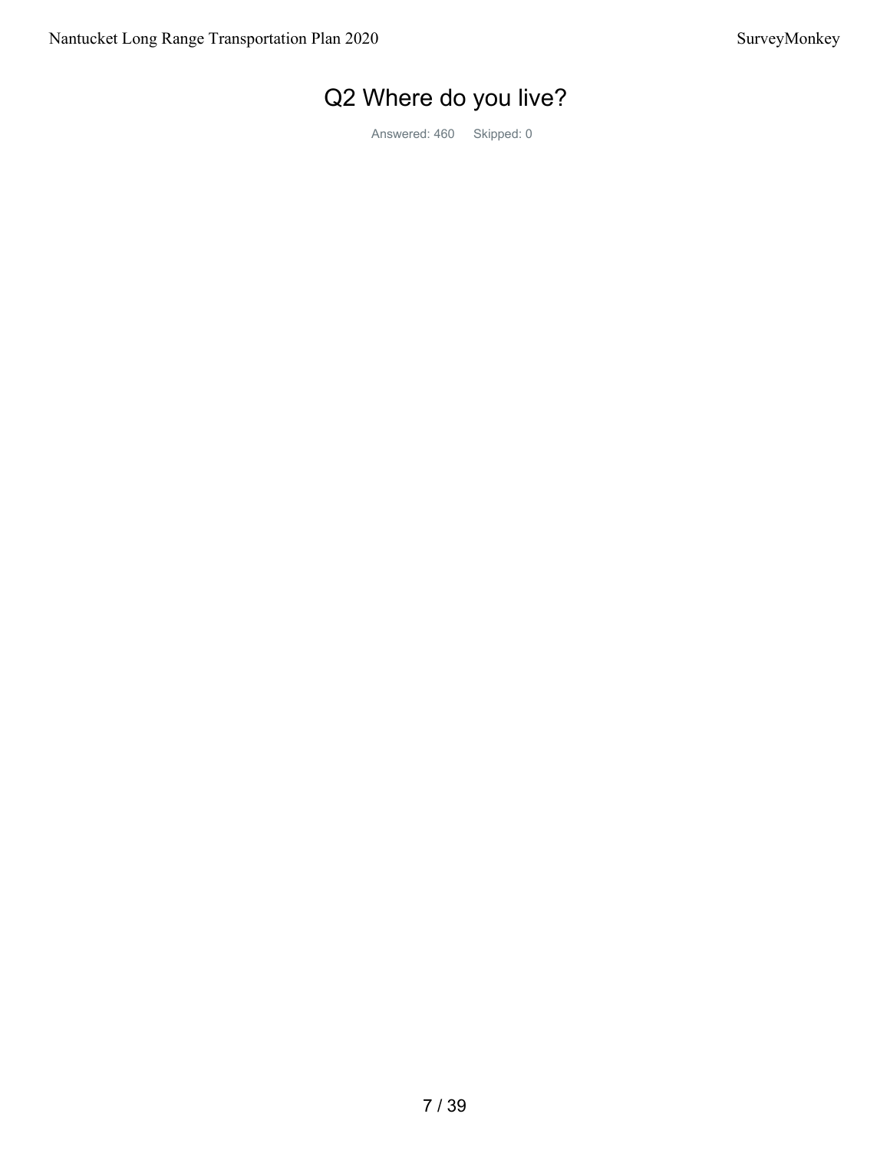# Q2 Where do you live?

Answered: 460 Skipped: 0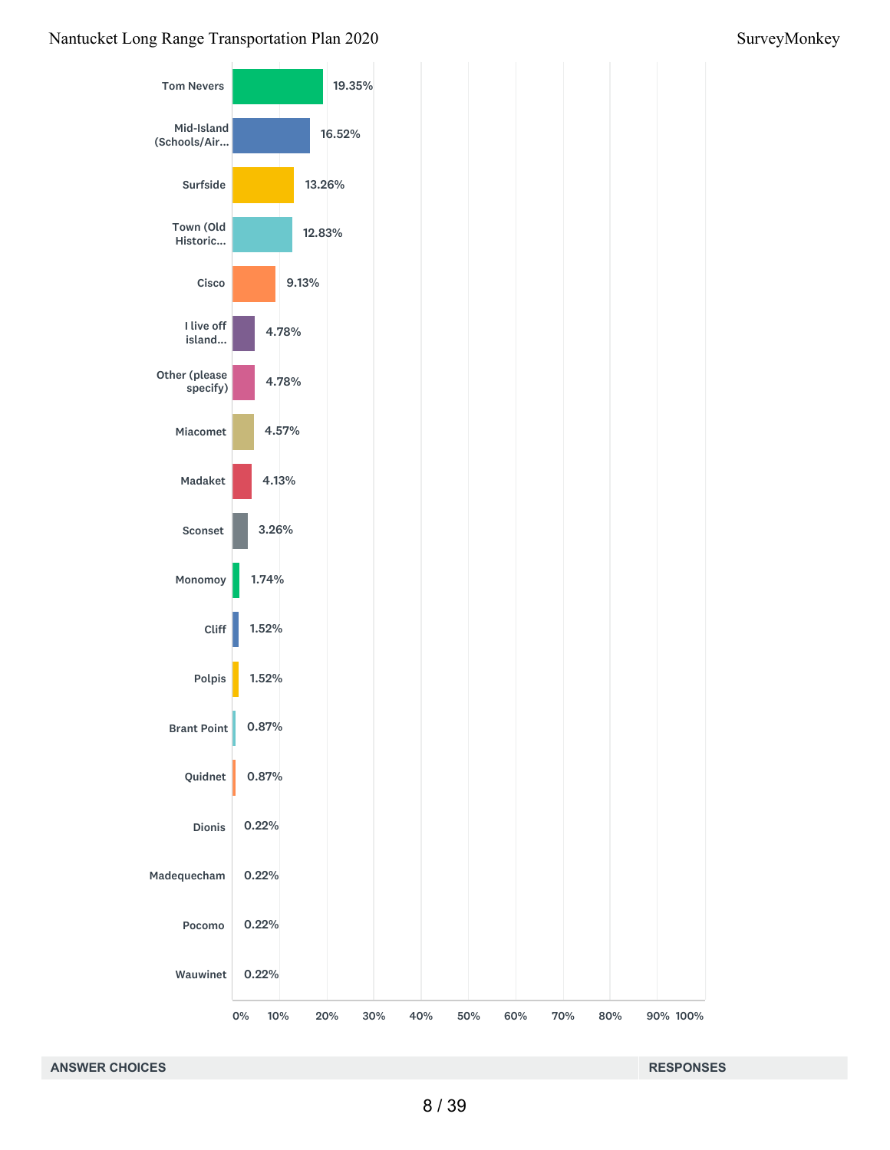### Tom Nevers Mid-Island (Schools/Air... Surfside Town (Old Historic... Cisco I live off island... Other (please specify) Miacomet Madaket Sconset Monomoy Cliff Polpis Brant Point Quidnet Dionis Madequecham Pocomo Wauwinet 19.35% 19.35% 16.52% 16.52% 16.52%<br>13.26%  $12.83\%$ <br>9.13%  $9.13%$ 9.13%<br>4.78% 4.78%<br>4.78% 4.57% 4.57% 4.57%4.57%4.57%4.13% 4.13% 4.13% 4.13% 3.26% 3.26%<br>1.74% 1.52% 1.52% 1.52%<br>1.52% 0.87% 0.87% 0.87%<br>0.87% 0.22% 0.22% 0.22%<br>0.22% 0.22% 0.22% 0.22%<br>0.22% 0.22%

10%

0% 10% 20% 30% 40% 50% 60% 70% 80% 90% 100%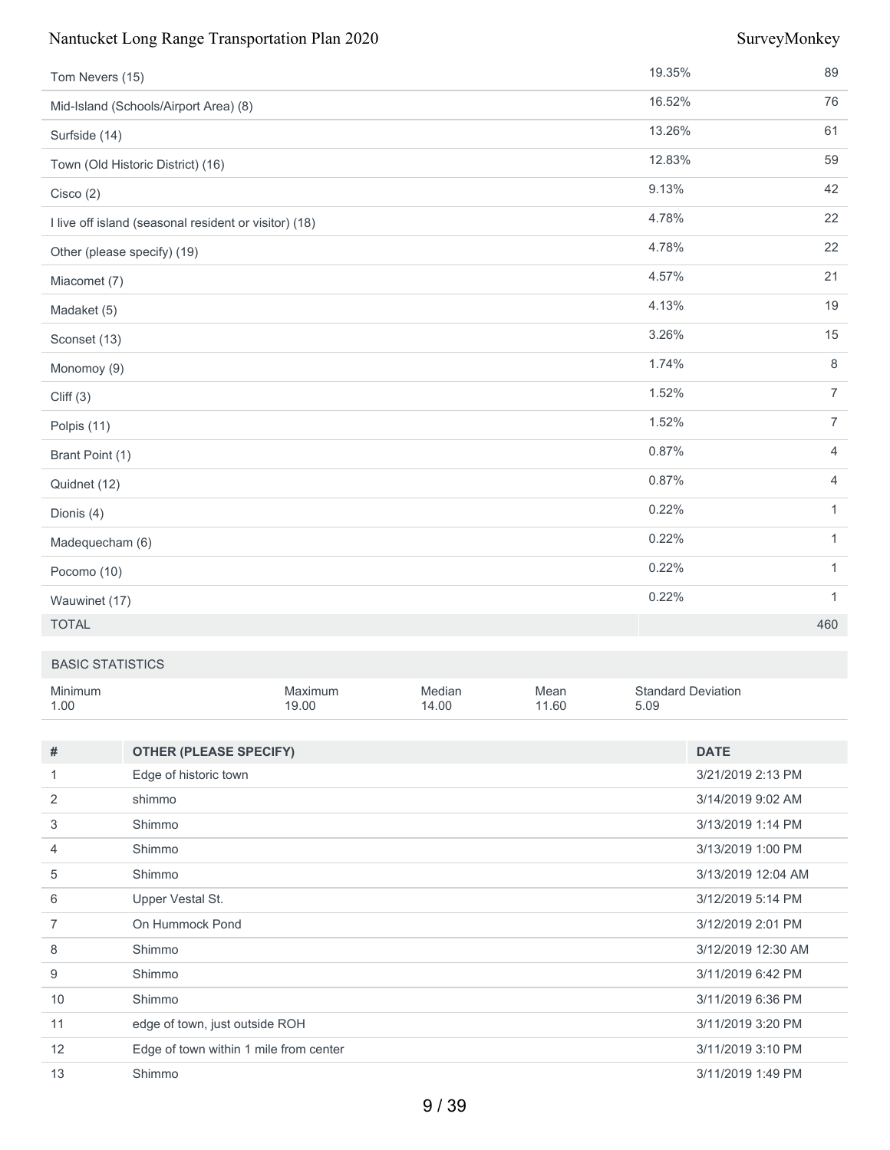| Tom Nevers (15)                                       | 19.35% | 89             |
|-------------------------------------------------------|--------|----------------|
| Mid-Island (Schools/Airport Area) (8)                 | 16.52% | 76             |
| Surfside (14)                                         | 13.26% | 61             |
| Town (Old Historic District) (16)                     | 12.83% | 59             |
| Cisco(2)                                              | 9.13%  | 42             |
| I live off island (seasonal resident or visitor) (18) | 4.78%  | 22             |
| Other (please specify) (19)                           | 4.78%  | 22             |
| Miacomet (7)                                          | 4.57%  | 21             |
| Madaket (5)                                           | 4.13%  | 19             |
| Sconset (13)                                          | 3.26%  | 15             |
| Monomoy (9)                                           | 1.74%  | 8              |
| Cliff(3)                                              | 1.52%  | $\overline{7}$ |
| Polpis (11)                                           | 1.52%  | $\overline{7}$ |
| Brant Point (1)                                       | 0.87%  | 4              |
| Quidnet (12)                                          | 0.87%  | $\overline{4}$ |
| Dionis (4)                                            | 0.22%  | $\mathbf{1}$   |
| Madequecham (6)                                       | 0.22%  | $\mathbf{1}$   |
| Pocomo (10)                                           | 0.22%  | $\mathbf{1}$   |
| Wauwinet (17)                                         | 0.22%  | $\mathbf{1}$   |
| <b>TOTAL</b>                                          |        | 460            |

### BASIC STATISTICS

| Minimum | Maxımum | Median | Mean  | <b>Standard Deviation</b> |
|---------|---------|--------|-------|---------------------------|
| 1.00    | 19.00   | 14.00  | 11.60 | 5.09                      |

| #              | <b>OTHER (PLEASE SPECIFY)</b>          | <b>DATE</b>        |
|----------------|----------------------------------------|--------------------|
|                | Edge of historic town                  | 3/21/2019 2:13 PM  |
| 2              | shimmo                                 | 3/14/2019 9:02 AM  |
| 3              | Shimmo                                 | 3/13/2019 1:14 PM  |
| 4              | Shimmo                                 | 3/13/2019 1:00 PM  |
| 5              | Shimmo                                 | 3/13/2019 12:04 AM |
| 6              | Upper Vestal St.                       | 3/12/2019 5:14 PM  |
| $\overline{7}$ | On Hummock Pond                        | 3/12/2019 2:01 PM  |
| 8              | Shimmo                                 | 3/12/2019 12:30 AM |
| 9              | Shimmo                                 | 3/11/2019 6:42 PM  |
| 10             | Shimmo                                 | 3/11/2019 6:36 PM  |
| 11             | edge of town, just outside ROH         | 3/11/2019 3:20 PM  |
| 12             | Edge of town within 1 mile from center | 3/11/2019 3:10 PM  |
| 13             | Shimmo                                 | 3/11/2019 1:49 PM  |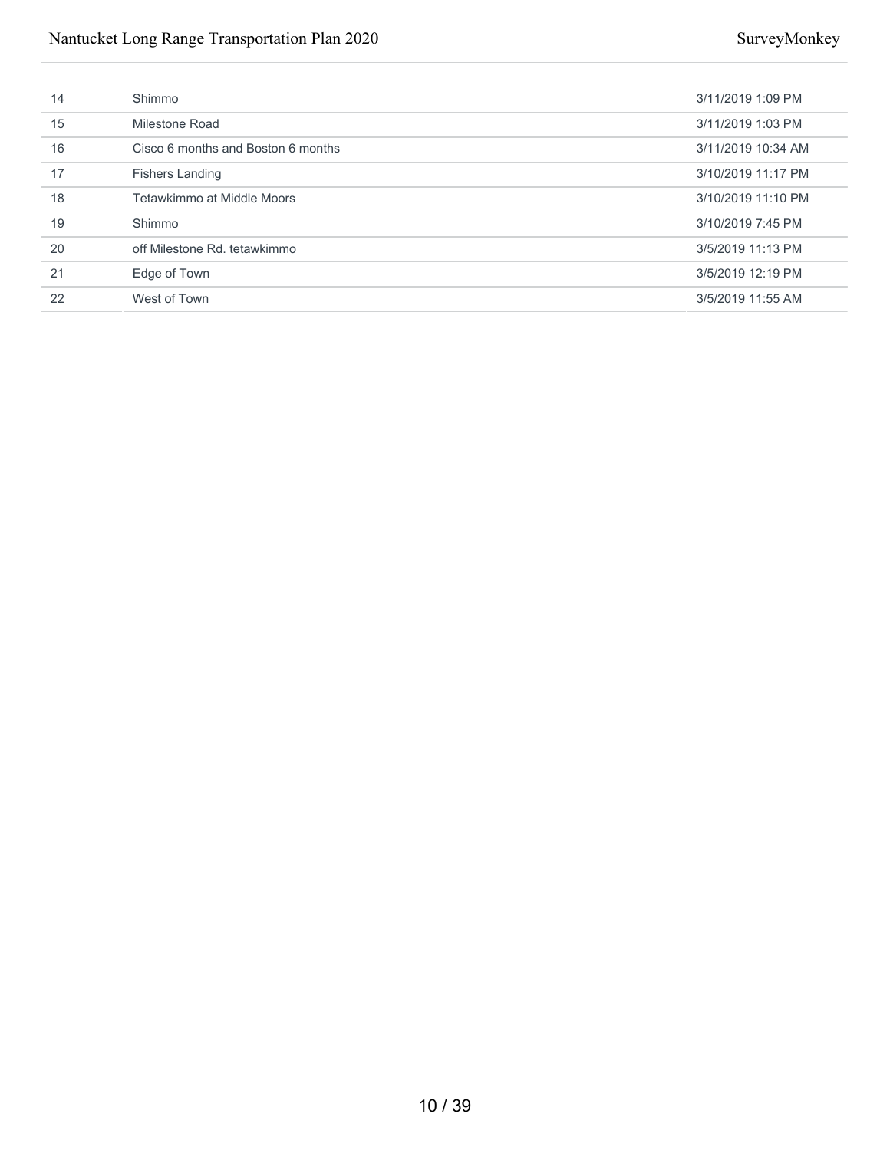| 14 | Shimmo                             | 3/11/2019 1:09 PM  |
|----|------------------------------------|--------------------|
| 15 | Milestone Road                     | 3/11/2019 1:03 PM  |
| 16 | Cisco 6 months and Boston 6 months | 3/11/2019 10:34 AM |
| 17 | <b>Fishers Landing</b>             | 3/10/2019 11:17 PM |
| 18 | Tetawkimmo at Middle Moors         | 3/10/2019 11:10 PM |
| 19 | Shimmo                             | 3/10/2019 7:45 PM  |
| 20 | off Milestone Rd. tetawkimmo       | 3/5/2019 11:13 PM  |
| 21 | Edge of Town                       | 3/5/2019 12:19 PM  |
| 22 | West of Town                       | 3/5/2019 11:55 AM  |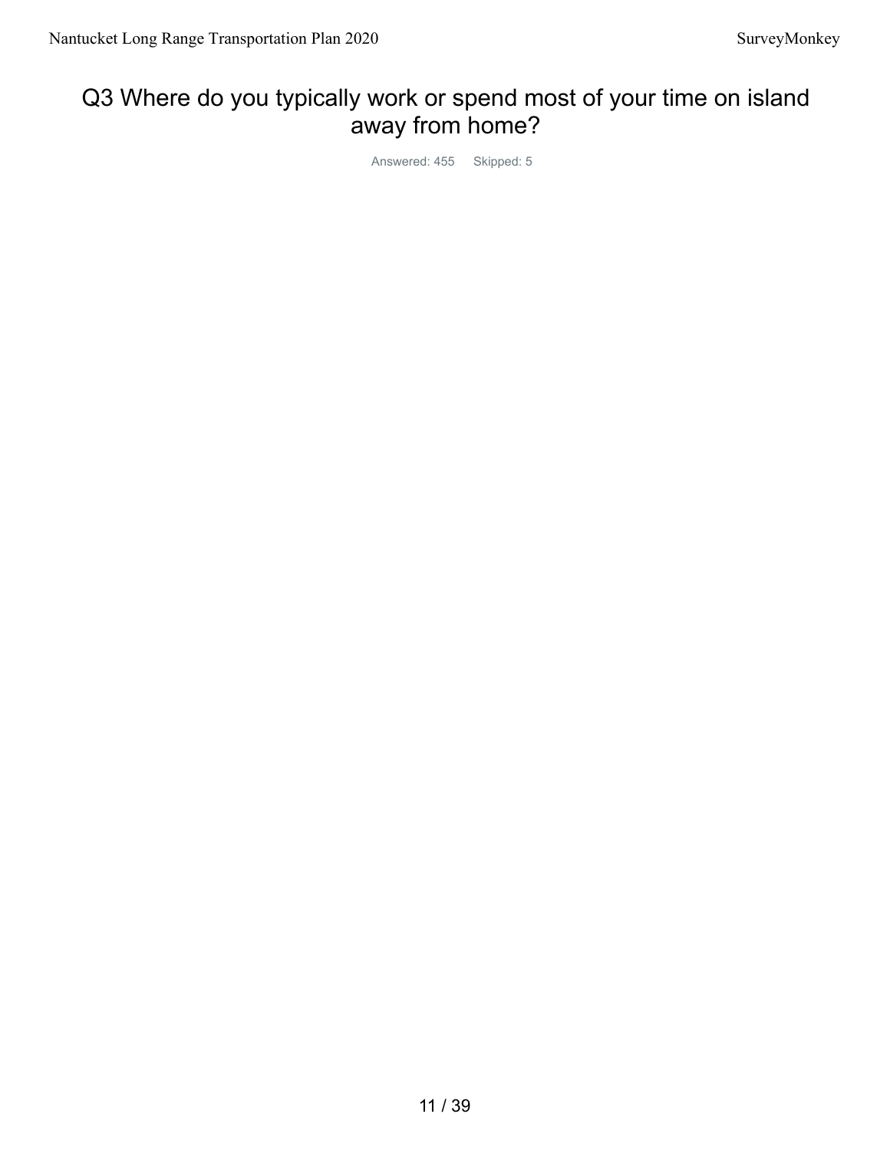# Q3 Where do you typically work or spend most of your time on island away from home?

Answered: 455 Skipped: 5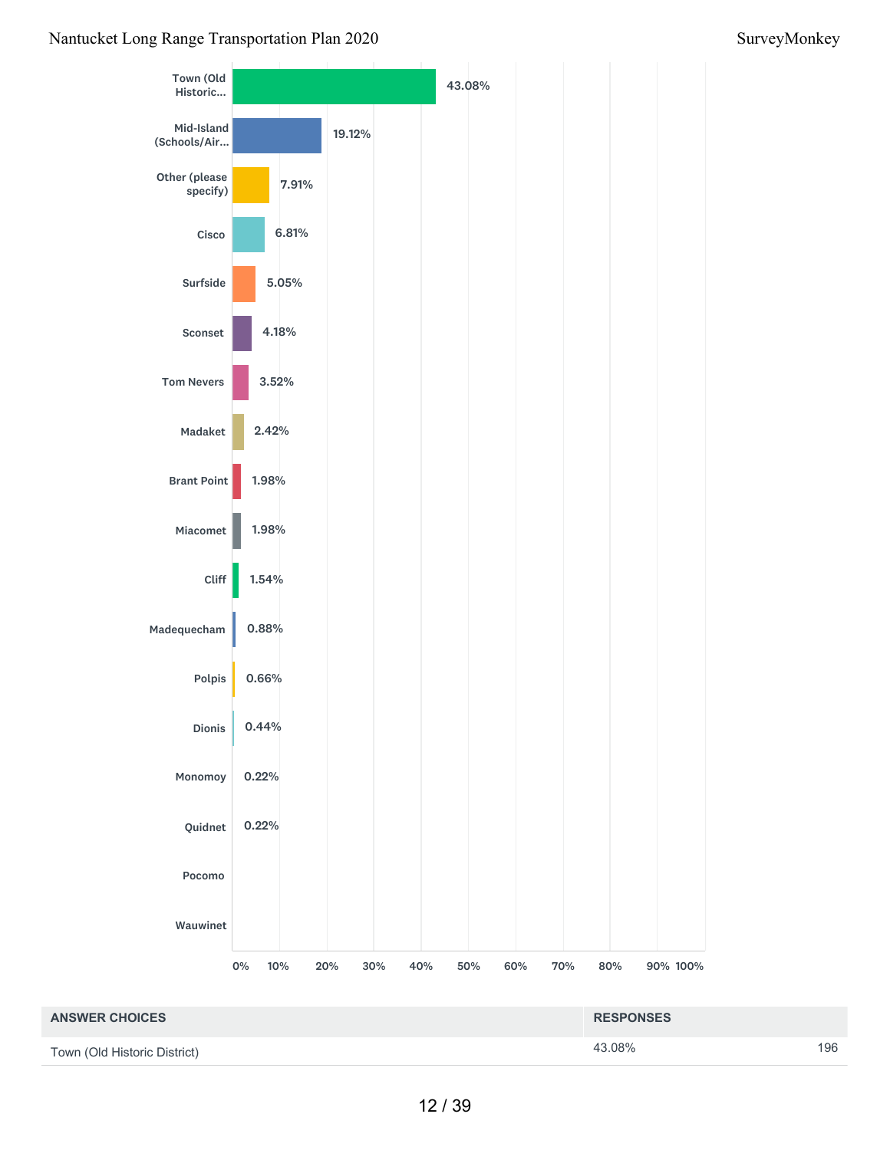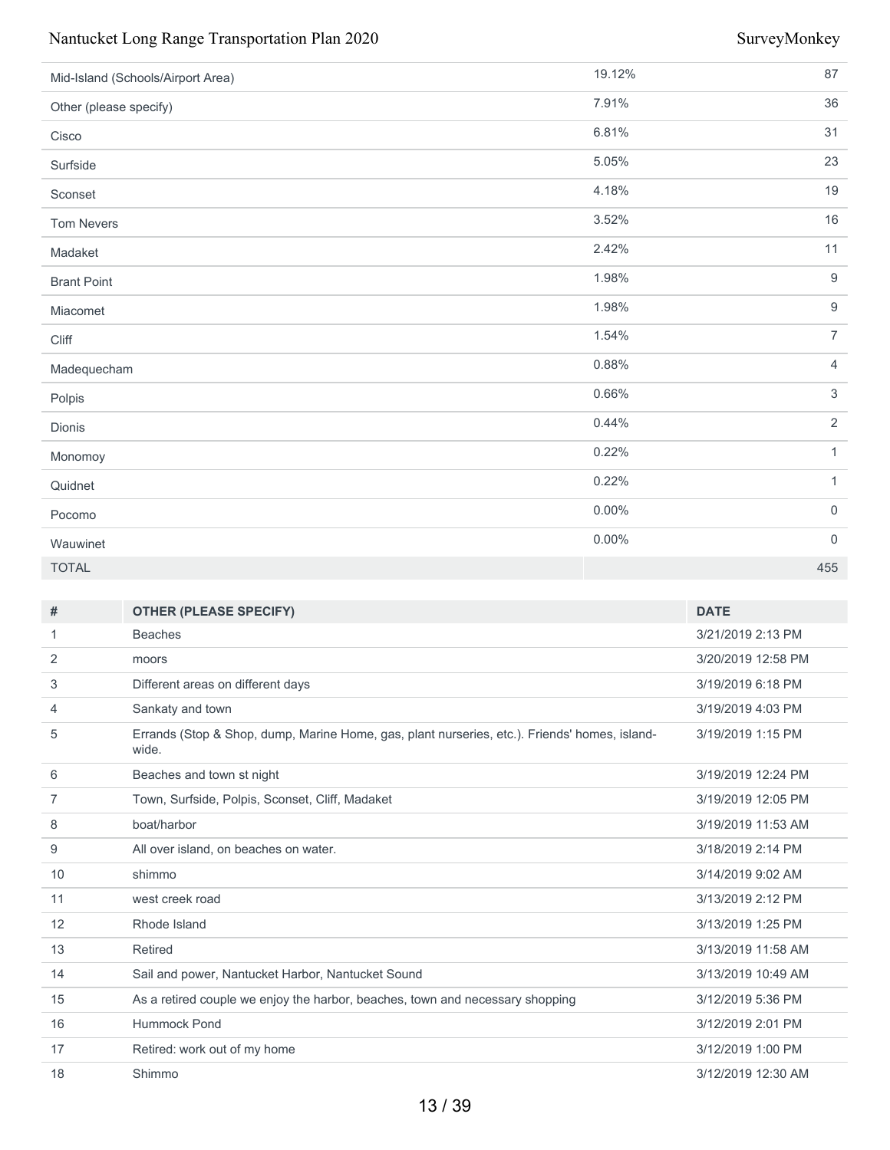| Mid-Island (Schools/Airport Area) | 19.12%   | 87                  |
|-----------------------------------|----------|---------------------|
| Other (please specify)            | 7.91%    | 36                  |
| Cisco                             | 6.81%    | 31                  |
| Surfside                          | 5.05%    | 23                  |
| Sconset                           | 4.18%    | 19                  |
| <b>Tom Nevers</b>                 | 3.52%    | 16                  |
| Madaket                           | 2.42%    | 11                  |
| <b>Brant Point</b>                | 1.98%    | $9$                 |
| Miacomet                          | 1.98%    | $9$                 |
| Cliff                             | 1.54%    | $\overline{7}$      |
| Madequecham                       | 0.88%    | $\overline{4}$      |
| Polpis                            | 0.66%    | $\mathfrak{Z}$      |
| Dionis                            | 0.44%    | $\overline{2}$      |
| Monomoy                           | 0.22%    | $\mathbf{1}$        |
| Quidnet                           | 0.22%    | $\mathbf{1}$        |
| Pocomo                            | $0.00\%$ | $\mathsf{O}\xspace$ |
| Wauwinet                          | $0.00\%$ | $\overline{0}$      |
| <b>TOTAL</b>                      |          | 455                 |

| #  | <b>OTHER (PLEASE SPECIFY)</b>                                                                          | <b>DATE</b>        |
|----|--------------------------------------------------------------------------------------------------------|--------------------|
| 1  | <b>Beaches</b>                                                                                         | 3/21/2019 2:13 PM  |
| 2  | moors                                                                                                  | 3/20/2019 12:58 PM |
| 3  | Different areas on different days                                                                      | 3/19/2019 6:18 PM  |
| 4  | Sankaty and town                                                                                       | 3/19/2019 4:03 PM  |
| 5  | Errands (Stop & Shop, dump, Marine Home, gas, plant nurseries, etc.). Friends' homes, island-<br>wide. | 3/19/2019 1:15 PM  |
| 6  | Beaches and town st night                                                                              | 3/19/2019 12:24 PM |
| 7  | Town, Surfside, Polpis, Sconset, Cliff, Madaket                                                        | 3/19/2019 12:05 PM |
| 8  | boat/harbor                                                                                            | 3/19/2019 11:53 AM |
| 9  | All over island, on beaches on water.                                                                  | 3/18/2019 2:14 PM  |
| 10 | shimmo                                                                                                 | 3/14/2019 9:02 AM  |
| 11 | west creek road                                                                                        | 3/13/2019 2:12 PM  |
| 12 | Rhode Island                                                                                           | 3/13/2019 1:25 PM  |
| 13 | Retired                                                                                                | 3/13/2019 11:58 AM |
| 14 | Sail and power, Nantucket Harbor, Nantucket Sound                                                      | 3/13/2019 10:49 AM |
| 15 | As a retired couple we enjoy the harbor, beaches, town and necessary shopping                          | 3/12/2019 5:36 PM  |
| 16 | Hummock Pond                                                                                           | 3/12/2019 2:01 PM  |
| 17 | Retired: work out of my home                                                                           | 3/12/2019 1:00 PM  |
| 18 | Shimmo                                                                                                 | 3/12/2019 12:30 AM |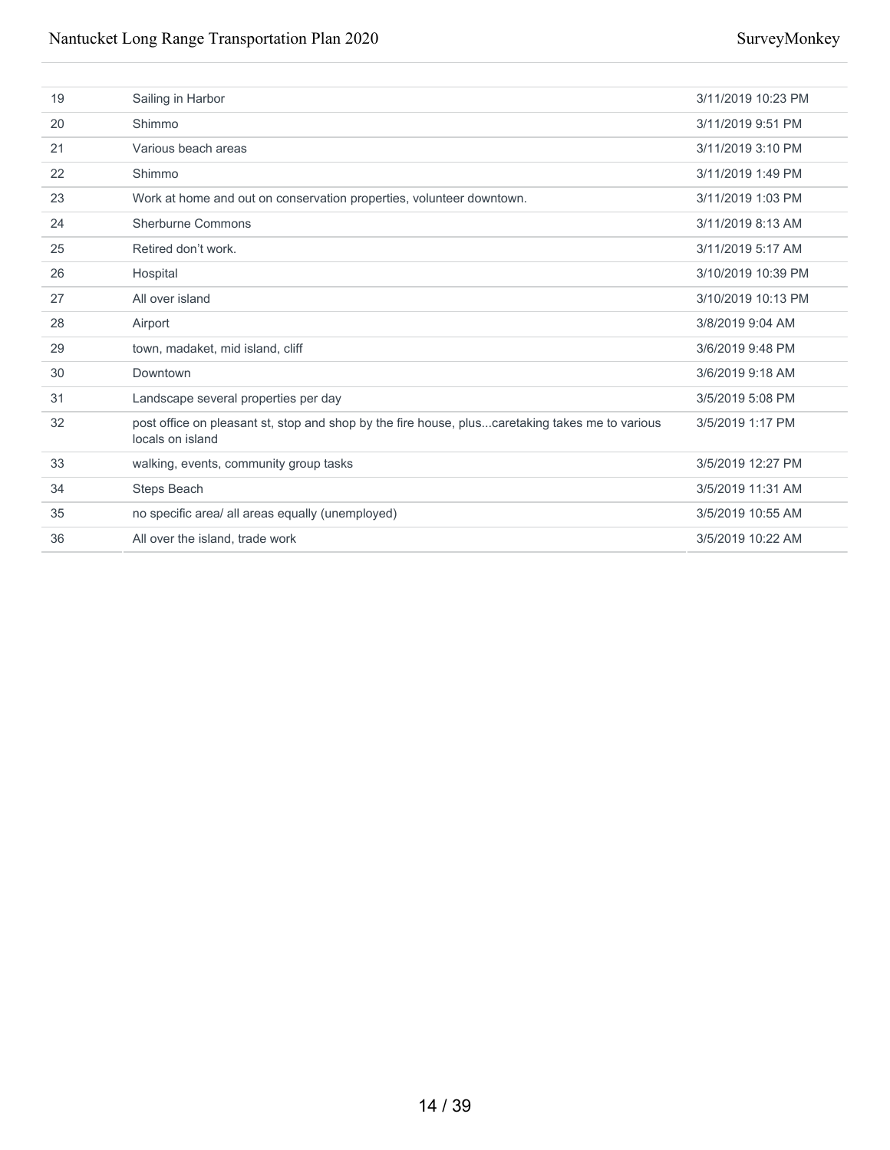| 19 | Sailing in Harbor                                                                                                   | 3/11/2019 10:23 PM |
|----|---------------------------------------------------------------------------------------------------------------------|--------------------|
| 20 | Shimmo                                                                                                              | 3/11/2019 9:51 PM  |
| 21 | Various beach areas                                                                                                 | 3/11/2019 3:10 PM  |
| 22 | Shimmo                                                                                                              | 3/11/2019 1:49 PM  |
| 23 | Work at home and out on conservation properties, volunteer downtown.                                                | 3/11/2019 1:03 PM  |
| 24 | Sherburne Commons                                                                                                   | 3/11/2019 8:13 AM  |
| 25 | Retired don't work.                                                                                                 | 3/11/2019 5:17 AM  |
| 26 | Hospital                                                                                                            | 3/10/2019 10:39 PM |
| 27 | All over island                                                                                                     | 3/10/2019 10:13 PM |
| 28 | Airport                                                                                                             | 3/8/2019 9:04 AM   |
| 29 | town, madaket, mid island, cliff                                                                                    | 3/6/2019 9:48 PM   |
| 30 | Downtown                                                                                                            | 3/6/2019 9:18 AM   |
| 31 | Landscape several properties per day                                                                                | 3/5/2019 5:08 PM   |
| 32 | post office on pleasant st, stop and shop by the fire house, pluscaretaking takes me to various<br>locals on island | 3/5/2019 1:17 PM   |
| 33 | walking, events, community group tasks                                                                              | 3/5/2019 12:27 PM  |
| 34 | Steps Beach                                                                                                         | 3/5/2019 11:31 AM  |
| 35 | no specific area/ all areas equally (unemployed)                                                                    | 3/5/2019 10:55 AM  |
| 36 | All over the island, trade work                                                                                     | 3/5/2019 10:22 AM  |
|    |                                                                                                                     |                    |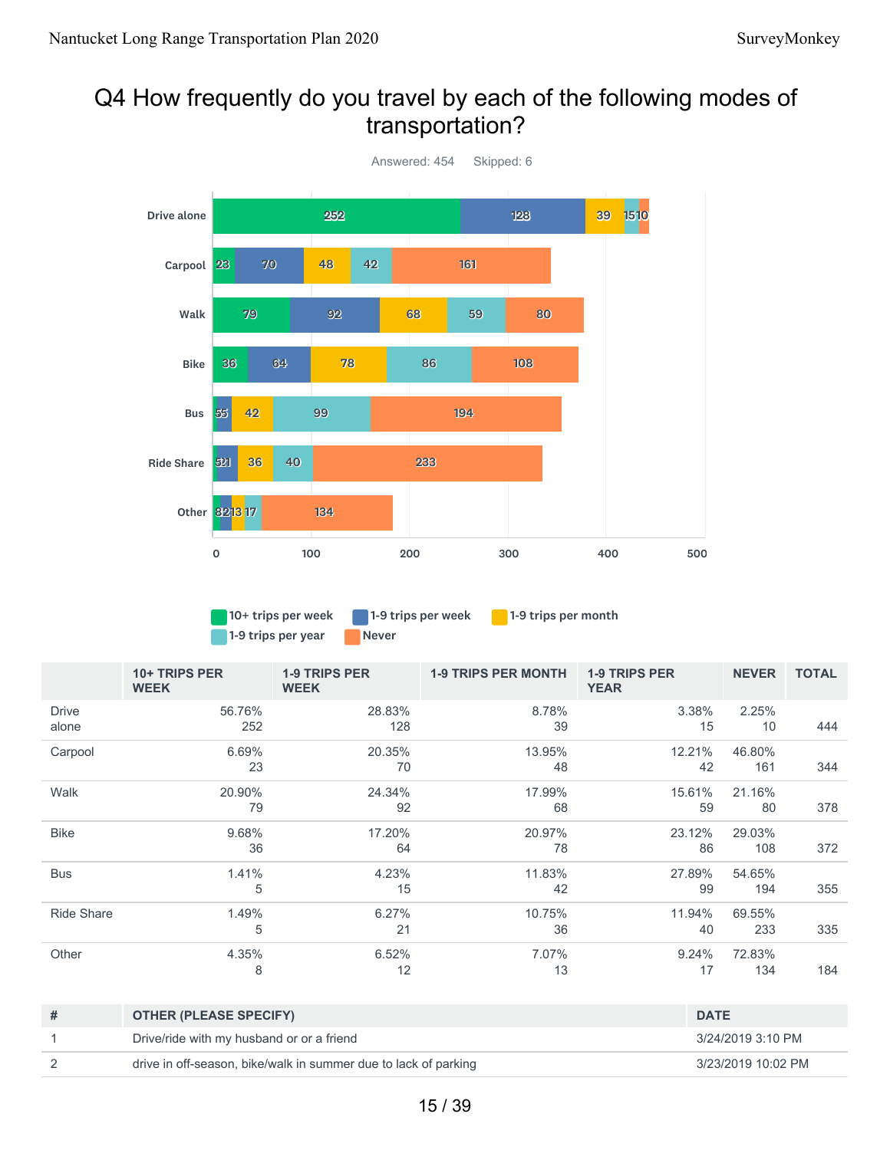# Q4 How frequently do you travel by each of the following modes of transportation?



1-9 trips per year Never

10+ trips per week 1-9 trips per week 1-9 trips per month

|                       | 10+ TRIPS PER<br><b>WEEK</b> | <b>1-9 TRIPS PER</b><br><b>WEEK</b> | <b>1-9 TRIPS PER MONTH</b> | <b>1-9 TRIPS PER</b><br><b>YEAR</b> | <b>NEVER</b>  | <b>TOTAL</b> |
|-----------------------|------------------------------|-------------------------------------|----------------------------|-------------------------------------|---------------|--------------|
| <b>Drive</b><br>alone | 56.76%<br>252                | 28.83%<br>128                       | 8.78%<br>39                | 3.38%<br>15                         | 2.25%<br>10   | 444          |
| Carpool               | 6.69%<br>23                  | 20.35%<br>70                        | 13.95%<br>48               | 12.21%<br>42                        | 46.80%<br>161 | 344          |
| Walk                  | 20.90%<br>79                 | 24.34%<br>92                        | 17.99%<br>68               | 15.61%<br>59                        | 21.16%<br>80  | 378          |
| <b>Bike</b>           | 9.68%<br>36                  | 17.20%<br>64                        | 20.97%<br>78               | 23.12%<br>86                        | 29.03%<br>108 | 372          |
| <b>Bus</b>            | 1.41%<br>5                   | 4.23%<br>15                         | 11.83%<br>42               | 27.89%<br>99                        | 54.65%<br>194 | 355          |
| <b>Ride Share</b>     | 1.49%<br>5                   | 6.27%<br>21                         | 10.75%<br>36               | 11.94%<br>40                        | 69.55%<br>233 | 335          |
| Other                 | 4.35%<br>8                   | 6.52%<br>12                         | 7.07%<br>13                | 9.24%<br>17                         | 72.83%<br>134 | 184          |

| # | <b>OTHER (PLEASE SPECIFY)</b>                                   | <b>DATE</b>        |
|---|-----------------------------------------------------------------|--------------------|
|   | Drive/ride with my husband or or a friend                       | 3/24/2019 3:10 PM  |
|   | drive in off-season, bike/walk in summer due to lack of parking | 3/23/2019 10:02 PM |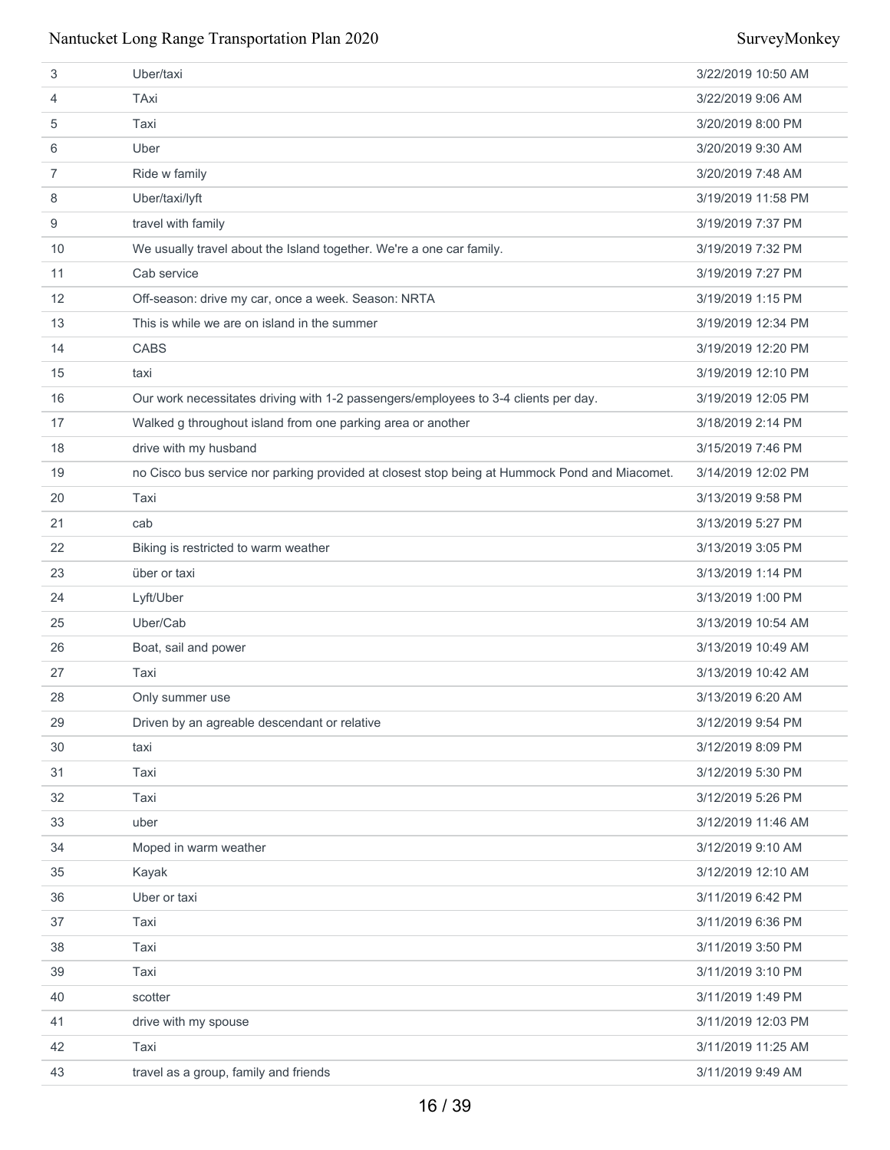| 3                 | Uber/taxi                                                                                     | 3/22/2019 10:50 AM |
|-------------------|-----------------------------------------------------------------------------------------------|--------------------|
| 4                 | TAxi                                                                                          | 3/22/2019 9:06 AM  |
| 5                 | Taxi                                                                                          | 3/20/2019 8:00 PM  |
| 6                 | Uber                                                                                          | 3/20/2019 9:30 AM  |
| 7                 | Ride w family                                                                                 | 3/20/2019 7:48 AM  |
| 8                 | Uber/taxi/lyft                                                                                | 3/19/2019 11:58 PM |
| 9                 | travel with family                                                                            | 3/19/2019 7:37 PM  |
| 10                | We usually travel about the Island together. We're a one car family.                          | 3/19/2019 7:32 PM  |
| 11                | Cab service                                                                                   | 3/19/2019 7:27 PM  |
| $12 \overline{ }$ | Off-season: drive my car, once a week. Season: NRTA                                           | 3/19/2019 1:15 PM  |
| 13                | This is while we are on island in the summer                                                  | 3/19/2019 12:34 PM |
| 14                | <b>CABS</b>                                                                                   | 3/19/2019 12:20 PM |
| 15                | taxi                                                                                          | 3/19/2019 12:10 PM |
| 16                | Our work necessitates driving with 1-2 passengers/employees to 3-4 clients per day.           | 3/19/2019 12:05 PM |
| 17                | Walked g throughout island from one parking area or another                                   | 3/18/2019 2:14 PM  |
| 18                | drive with my husband                                                                         | 3/15/2019 7:46 PM  |
| 19                | no Cisco bus service nor parking provided at closest stop being at Hummock Pond and Miacomet. | 3/14/2019 12:02 PM |
| 20                | Taxi                                                                                          | 3/13/2019 9:58 PM  |
| 21                | cab                                                                                           | 3/13/2019 5:27 PM  |
| 22                | Biking is restricted to warm weather                                                          | 3/13/2019 3:05 PM  |
| 23                | über or taxi                                                                                  | 3/13/2019 1:14 PM  |
| 24                | Lyft/Uber                                                                                     | 3/13/2019 1:00 PM  |
| 25                | Uber/Cab                                                                                      | 3/13/2019 10:54 AM |
| 26                | Boat, sail and power                                                                          | 3/13/2019 10:49 AM |
| 27                | Taxi                                                                                          | 3/13/2019 10:42 AM |
| 28                | Only summer use                                                                               | 3/13/2019 6:20 AM  |
| 29                | Driven by an agreable descendant or relative                                                  | 3/12/2019 9:54 PM  |
| 30                | taxi                                                                                          | 3/12/2019 8:09 PM  |
| 31                | Taxi                                                                                          | 3/12/2019 5:30 PM  |
| 32                | Taxi                                                                                          | 3/12/2019 5:26 PM  |
| 33                | uber                                                                                          | 3/12/2019 11:46 AM |
| 34                | Moped in warm weather                                                                         | 3/12/2019 9:10 AM  |
| 35                | Kayak                                                                                         | 3/12/2019 12:10 AM |
| 36                | Uber or taxi                                                                                  | 3/11/2019 6:42 PM  |
| 37                | Taxi                                                                                          | 3/11/2019 6:36 PM  |
| 38                | Taxi                                                                                          | 3/11/2019 3:50 PM  |
| 39                | Taxi                                                                                          | 3/11/2019 3:10 PM  |
| 40                | scotter                                                                                       | 3/11/2019 1:49 PM  |
| 41                | drive with my spouse                                                                          | 3/11/2019 12:03 PM |
| 42                | Taxi                                                                                          | 3/11/2019 11:25 AM |
| 43                | travel as a group, family and friends                                                         | 3/11/2019 9:49 AM  |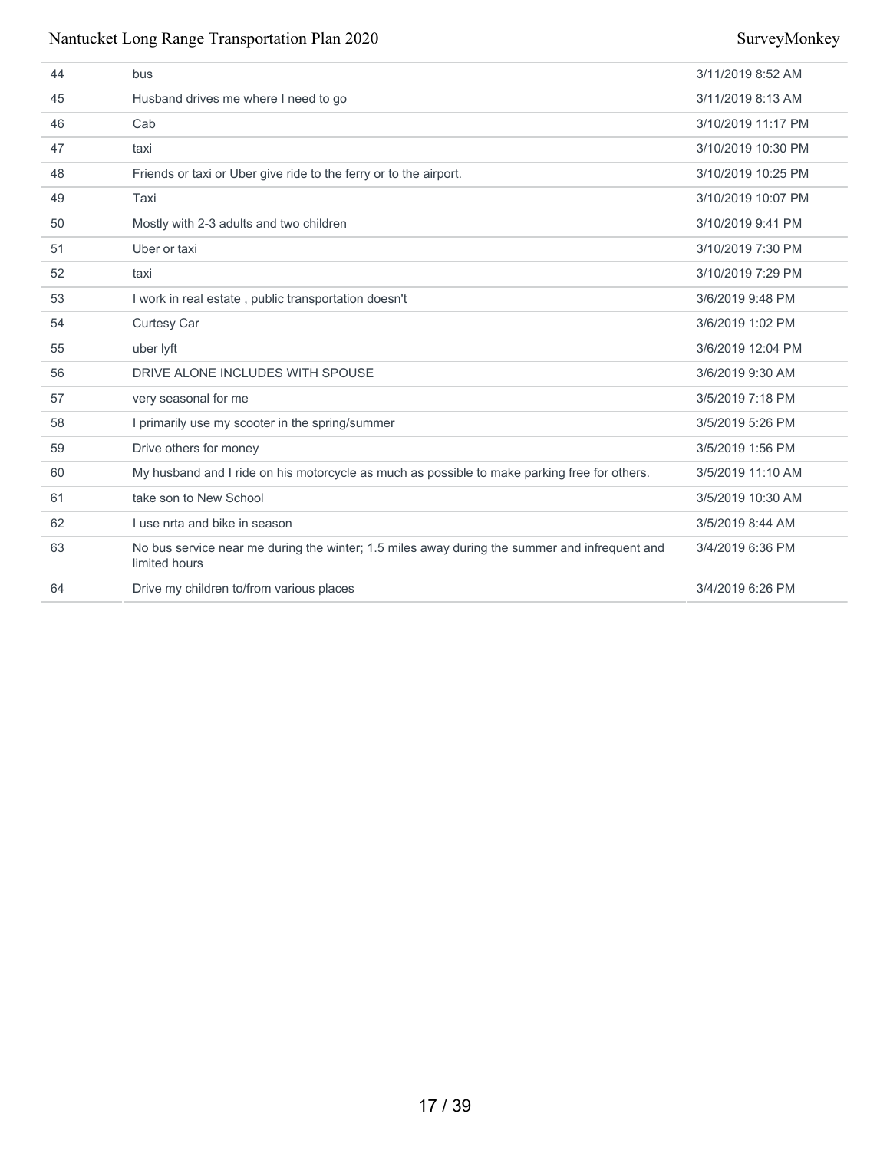| 44 | bus                                                                                                            | 3/11/2019 8:52 AM  |
|----|----------------------------------------------------------------------------------------------------------------|--------------------|
| 45 | Husband drives me where I need to go                                                                           | 3/11/2019 8:13 AM  |
| 46 | Cab                                                                                                            | 3/10/2019 11:17 PM |
| 47 | taxi                                                                                                           | 3/10/2019 10:30 PM |
| 48 | Friends or taxi or Uber give ride to the ferry or to the airport.                                              | 3/10/2019 10:25 PM |
| 49 | Taxi                                                                                                           | 3/10/2019 10:07 PM |
| 50 | Mostly with 2-3 adults and two children                                                                        | 3/10/2019 9:41 PM  |
| 51 | Uber or taxi                                                                                                   | 3/10/2019 7:30 PM  |
| 52 | taxi                                                                                                           | 3/10/2019 7:29 PM  |
| 53 | I work in real estate, public transportation doesn't                                                           | 3/6/2019 9:48 PM   |
| 54 | <b>Curtesy Car</b>                                                                                             | 3/6/2019 1:02 PM   |
| 55 | uber lyft                                                                                                      | 3/6/2019 12:04 PM  |
| 56 | DRIVE ALONE INCLUDES WITH SPOUSE                                                                               | 3/6/2019 9:30 AM   |
| 57 | very seasonal for me                                                                                           | 3/5/2019 7:18 PM   |
| 58 | I primarily use my scooter in the spring/summer                                                                | 3/5/2019 5:26 PM   |
| 59 | Drive others for money                                                                                         | 3/5/2019 1:56 PM   |
| 60 | My husband and I ride on his motorcycle as much as possible to make parking free for others.                   | 3/5/2019 11:10 AM  |
| 61 | take son to New School                                                                                         | 3/5/2019 10:30 AM  |
| 62 | I use nrta and bike in season                                                                                  | 3/5/2019 8:44 AM   |
| 63 | No bus service near me during the winter; 1.5 miles away during the summer and infrequent and<br>limited hours | 3/4/2019 6:36 PM   |
| 64 | Drive my children to/from various places                                                                       | 3/4/2019 6:26 PM   |
|    |                                                                                                                |                    |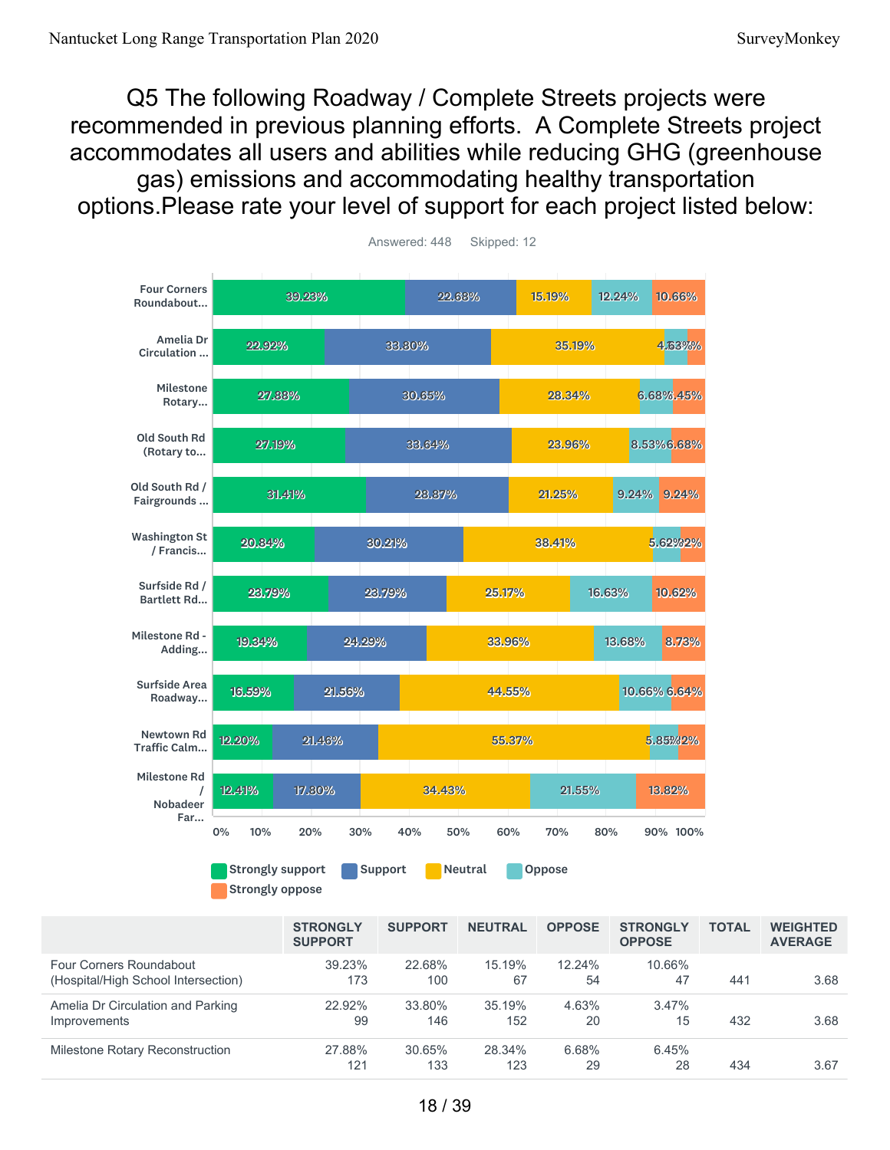Q5 The following Roadway / Complete Streets projects were recommended in previous planning efforts. A Complete Streets project accommodates all users and abilities while reducing GHG (greenhouse gas) emissions and accommodating healthy transportation options.Please rate your level of support for each project listed below:



39.23% 173 22.68% 100 15.19% 67 12.24% 54 10.66% 47 441 3.68 22.92% 99 33.80% 146 35.19% 152 4.63% 20 3.47% 15 432 3.68 27.88% 121 30.65% 133 28.34% 123 6.68% 29 6.45% 28 434 3.67 **STRONGLY SUPPORT SUPPORT NEUTRAL OPPOSE STRONGLY OPPOSE TOTAL WEIGHTED AVERAGE** Four Corners Roundabout (Hospital/High School Intersection) Amelia Dr Circulation and Parking Improvements Milestone Rotary Reconstruction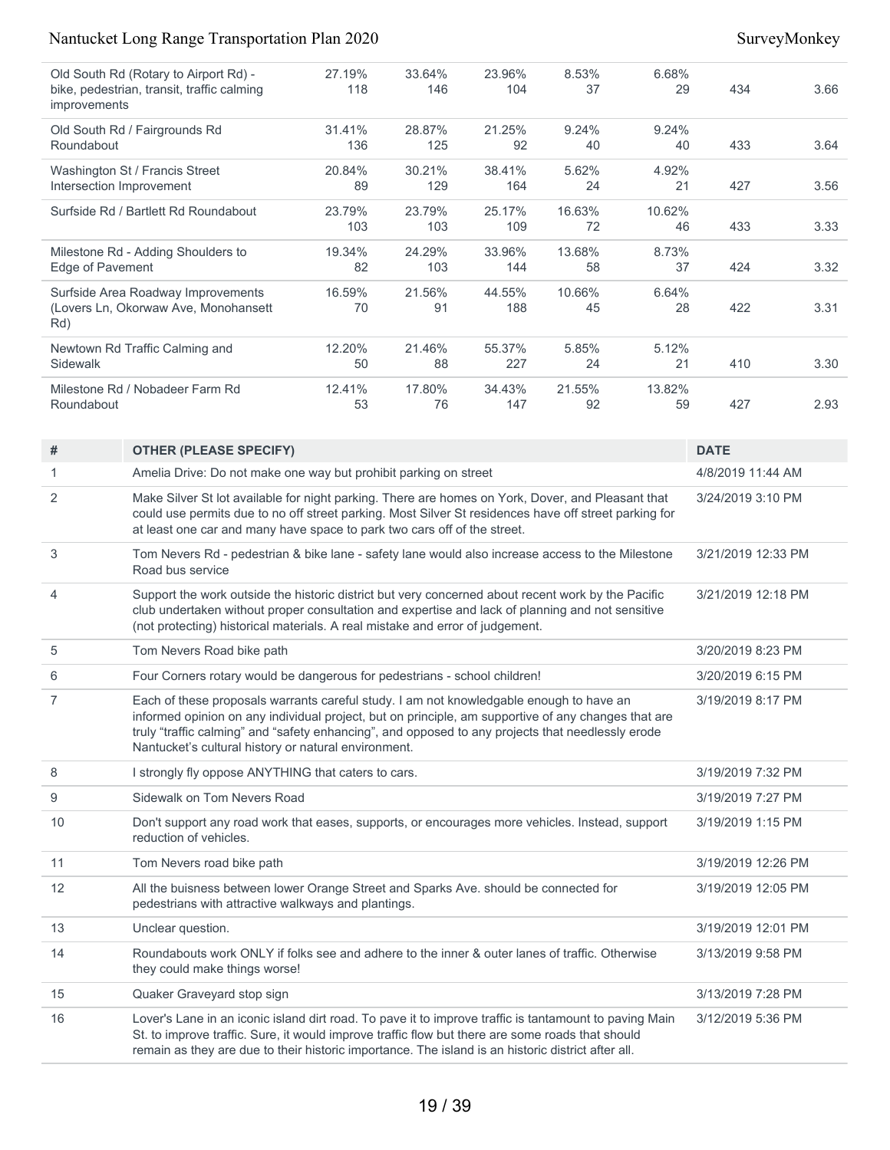| Old South Rd (Rotary to Airport Rd) -                      | 27.19% | 33.64% | 23.96% | 8.53%  | 6.68%  |             |      |
|------------------------------------------------------------|--------|--------|--------|--------|--------|-------------|------|
| bike, pedestrian, transit, traffic calming<br>improvements | 118    | 146    | 104    | 37     | 29     | 434         | 3.66 |
| Old South Rd / Fairgrounds Rd                              | 31.41% | 28.87% | 21.25% | 9.24%  | 9.24%  |             |      |
| Roundabout                                                 | 136    | 125    | 92     | 40     | 40     | 433         | 3.64 |
| Washington St / Francis Street                             | 20.84% | 30.21% | 38.41% | 5.62%  | 4.92%  |             |      |
| Intersection Improvement                                   | 89     | 129    | 164    | 24     | 21     | 427         | 3.56 |
| Surfside Rd / Bartlett Rd Roundabout                       | 23.79% | 23.79% | 25.17% | 16.63% | 10.62% |             |      |
|                                                            | 103    | 103    | 109    | 72     | 46     | 433         | 3.33 |
| Milestone Rd - Adding Shoulders to                         | 19.34% | 24.29% | 33.96% | 13.68% | 8.73%  |             |      |
| Edge of Pavement                                           | 82     | 103    | 144    | 58     | 37     | 424         | 3.32 |
| Surfside Area Roadway Improvements                         | 16.59% | 21.56% | 44.55% | 10.66% | 6.64%  |             |      |
| (Lovers Ln, Okorwaw Ave, Monohansett<br>Rd)                | 70     | 91     | 188    | 45     | 28     | 422         | 3.31 |
| Newtown Rd Traffic Calming and                             | 12.20% | 21.46% | 55.37% | 5.85%  | 5.12%  |             |      |
| Sidewalk                                                   | 50     | 88     | 227    | 24     | 21     | 410         | 3.30 |
| Milestone Rd / Nobadeer Farm Rd                            | 12.41% | 17.80% | 34.43% | 21.55% | 13.82% |             |      |
| Roundabout                                                 | 53     | 76     | 147    | 92     | 59     | 427         | 2.93 |
| #<br><b>OTHER (PI FASE SPECIEY)</b>                        |        |        |        |        |        | <b>DATF</b> |      |

| #              | <b>OTHER (PLEASE SPECIFY)</b>                                                                                                                                                                                                                                                                                                                               | <b>DATE</b>        |
|----------------|-------------------------------------------------------------------------------------------------------------------------------------------------------------------------------------------------------------------------------------------------------------------------------------------------------------------------------------------------------------|--------------------|
| 1              | Amelia Drive: Do not make one way but prohibit parking on street                                                                                                                                                                                                                                                                                            | 4/8/2019 11:44 AM  |
| 2              | Make Silver St lot available for night parking. There are homes on York, Dover, and Pleasant that<br>could use permits due to no off street parking. Most Silver St residences have off street parking for<br>at least one car and many have space to park two cars off of the street.                                                                      | 3/24/2019 3:10 PM  |
| 3              | Tom Nevers Rd - pedestrian & bike lane - safety lane would also increase access to the Milestone<br>Road bus service                                                                                                                                                                                                                                        | 3/21/2019 12:33 PM |
| 4              | Support the work outside the historic district but very concerned about recent work by the Pacific<br>club undertaken without proper consultation and expertise and lack of planning and not sensitive<br>(not protecting) historical materials. A real mistake and error of judgement.                                                                     | 3/21/2019 12:18 PM |
| 5              | Tom Nevers Road bike path                                                                                                                                                                                                                                                                                                                                   | 3/20/2019 8:23 PM  |
| 6              | Four Corners rotary would be dangerous for pedestrians - school children!                                                                                                                                                                                                                                                                                   | 3/20/2019 6:15 PM  |
| $\overline{7}$ | Each of these proposals warrants careful study. I am not knowledgable enough to have an<br>informed opinion on any individual project, but on principle, am supportive of any changes that are<br>truly "traffic calming" and "safety enhancing", and opposed to any projects that needlessly erode<br>Nantucket's cultural history or natural environment. | 3/19/2019 8:17 PM  |
| 8              | I strongly fly oppose ANYTHING that caters to cars.                                                                                                                                                                                                                                                                                                         | 3/19/2019 7:32 PM  |
| 9              | Sidewalk on Tom Nevers Road                                                                                                                                                                                                                                                                                                                                 | 3/19/2019 7:27 PM  |
| 10             | Don't support any road work that eases, supports, or encourages more vehicles. Instead, support<br>reduction of vehicles.                                                                                                                                                                                                                                   | 3/19/2019 1:15 PM  |
| 11             | Tom Nevers road bike path                                                                                                                                                                                                                                                                                                                                   | 3/19/2019 12:26 PM |
| 12             | All the buisness between lower Orange Street and Sparks Ave. should be connected for<br>pedestrians with attractive walkways and plantings.                                                                                                                                                                                                                 | 3/19/2019 12:05 PM |
| 13             | Unclear question.                                                                                                                                                                                                                                                                                                                                           | 3/19/2019 12:01 PM |
| 14             | Roundabouts work ONLY if folks see and adhere to the inner & outer lanes of traffic. Otherwise<br>they could make things worse!                                                                                                                                                                                                                             | 3/13/2019 9:58 PM  |
| 15             | Quaker Graveyard stop sign                                                                                                                                                                                                                                                                                                                                  | 3/13/2019 7:28 PM  |
| 16             | Lover's Lane in an iconic island dirt road. To pave it to improve traffic is tantamount to paving Main<br>St. to improve traffic. Sure, it would improve traffic flow but there are some roads that should<br>remain as they are due to their historic importance. The island is an historic district after all.                                            | 3/12/2019 5:36 PM  |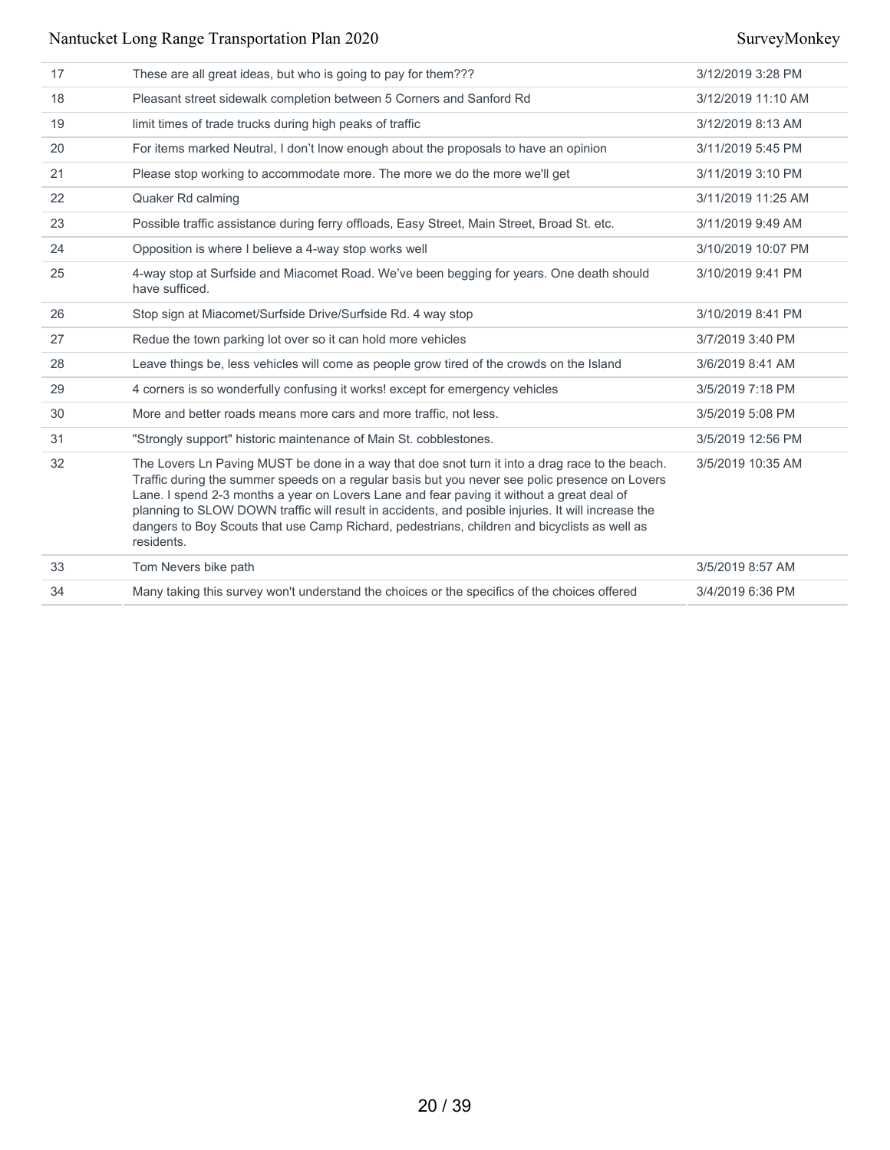| 17 | These are all great ideas, but who is going to pay for them???                                                                                                                                                                                                                                                                                                                                                                                                                                                     | 3/12/2019 3:28 PM  |
|----|--------------------------------------------------------------------------------------------------------------------------------------------------------------------------------------------------------------------------------------------------------------------------------------------------------------------------------------------------------------------------------------------------------------------------------------------------------------------------------------------------------------------|--------------------|
| 18 | Pleasant street sidewalk completion between 5 Corners and Sanford Rd                                                                                                                                                                                                                                                                                                                                                                                                                                               | 3/12/2019 11:10 AM |
| 19 | limit times of trade trucks during high peaks of traffic                                                                                                                                                                                                                                                                                                                                                                                                                                                           | 3/12/2019 8:13 AM  |
| 20 | For items marked Neutral, I don't lnow enough about the proposals to have an opinion                                                                                                                                                                                                                                                                                                                                                                                                                               | 3/11/2019 5:45 PM  |
| 21 | Please stop working to accommodate more. The more we do the more we'll get                                                                                                                                                                                                                                                                                                                                                                                                                                         | 3/11/2019 3:10 PM  |
| 22 | Quaker Rd calming                                                                                                                                                                                                                                                                                                                                                                                                                                                                                                  | 3/11/2019 11:25 AM |
| 23 | Possible traffic assistance during ferry offloads, Easy Street, Main Street, Broad St. etc.                                                                                                                                                                                                                                                                                                                                                                                                                        | 3/11/2019 9:49 AM  |
| 24 | Opposition is where I believe a 4-way stop works well                                                                                                                                                                                                                                                                                                                                                                                                                                                              | 3/10/2019 10:07 PM |
| 25 | 4-way stop at Surfside and Miacomet Road. We've been begging for years. One death should<br>have sufficed.                                                                                                                                                                                                                                                                                                                                                                                                         | 3/10/2019 9:41 PM  |
| 26 | Stop sign at Miacomet/Surfside Drive/Surfside Rd. 4 way stop                                                                                                                                                                                                                                                                                                                                                                                                                                                       | 3/10/2019 8:41 PM  |
| 27 | Redue the town parking lot over so it can hold more vehicles                                                                                                                                                                                                                                                                                                                                                                                                                                                       | 3/7/2019 3:40 PM   |
| 28 | Leave things be, less vehicles will come as people grow tired of the crowds on the Island                                                                                                                                                                                                                                                                                                                                                                                                                          | 3/6/2019 8:41 AM   |
| 29 | 4 corners is so wonderfully confusing it works! except for emergency vehicles                                                                                                                                                                                                                                                                                                                                                                                                                                      | 3/5/2019 7:18 PM   |
| 30 | More and better roads means more cars and more traffic, not less.                                                                                                                                                                                                                                                                                                                                                                                                                                                  | 3/5/2019 5:08 PM   |
| 31 | "Strongly support" historic maintenance of Main St. cobblestones.                                                                                                                                                                                                                                                                                                                                                                                                                                                  | 3/5/2019 12:56 PM  |
| 32 | The Lovers Ln Paving MUST be done in a way that doe snot turn it into a drag race to the beach.<br>Traffic during the summer speeds on a regular basis but you never see polic presence on Lovers<br>Lane. I spend 2-3 months a year on Lovers Lane and fear paving it without a great deal of<br>planning to SLOW DOWN traffic will result in accidents, and posible injuries. It will increase the<br>dangers to Boy Scouts that use Camp Richard, pedestrians, children and bicyclists as well as<br>residents. | 3/5/2019 10:35 AM  |
| 33 | Tom Nevers bike path                                                                                                                                                                                                                                                                                                                                                                                                                                                                                               | 3/5/2019 8:57 AM   |
| 34 | Many taking this survey won't understand the choices or the specifics of the choices offered                                                                                                                                                                                                                                                                                                                                                                                                                       | 3/4/2019 6:36 PM   |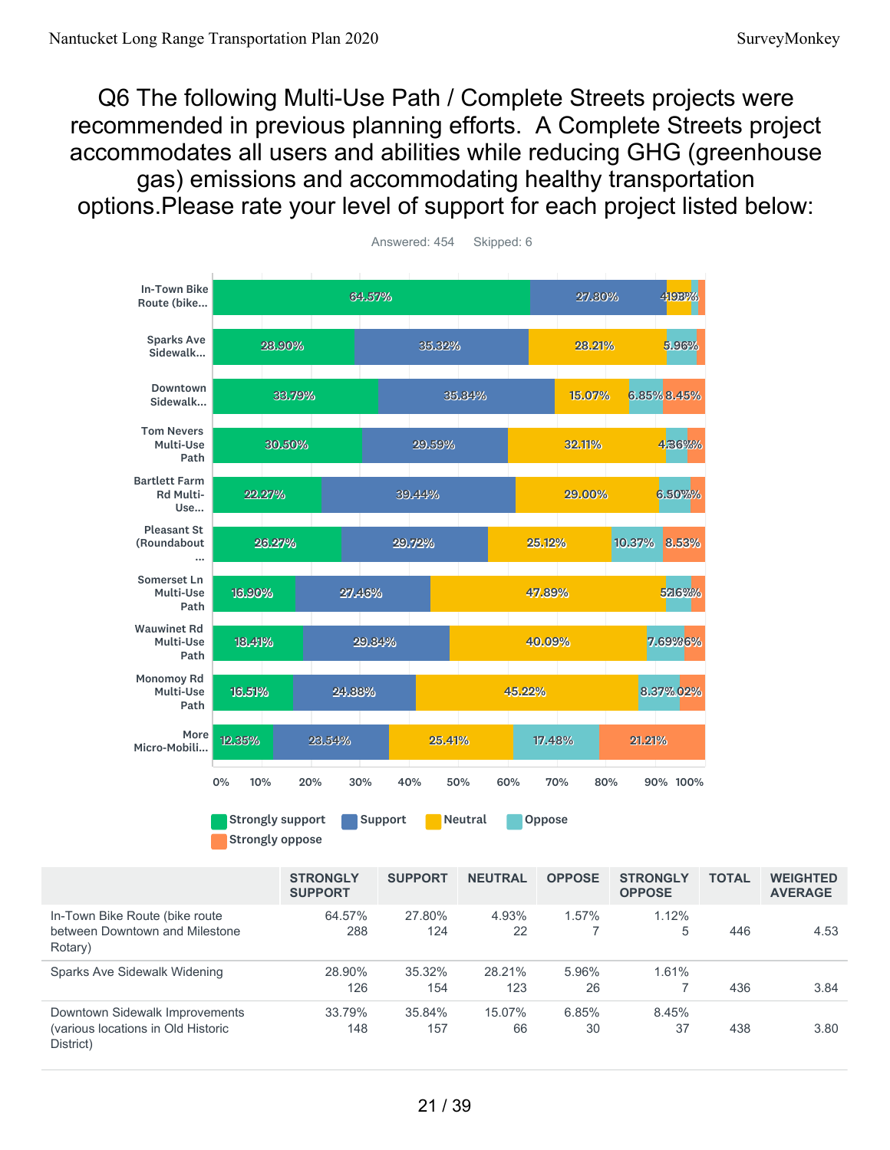Rotary)

District)

Q6 The following Multi-Use Path / Complete Streets projects were recommended in previous planning efforts. A Complete Streets project accommodates all users and abilities while reducing GHG (greenhouse gas) emissions and accommodating healthy transportation options.Please rate your level of support for each project listed below:



21 / 39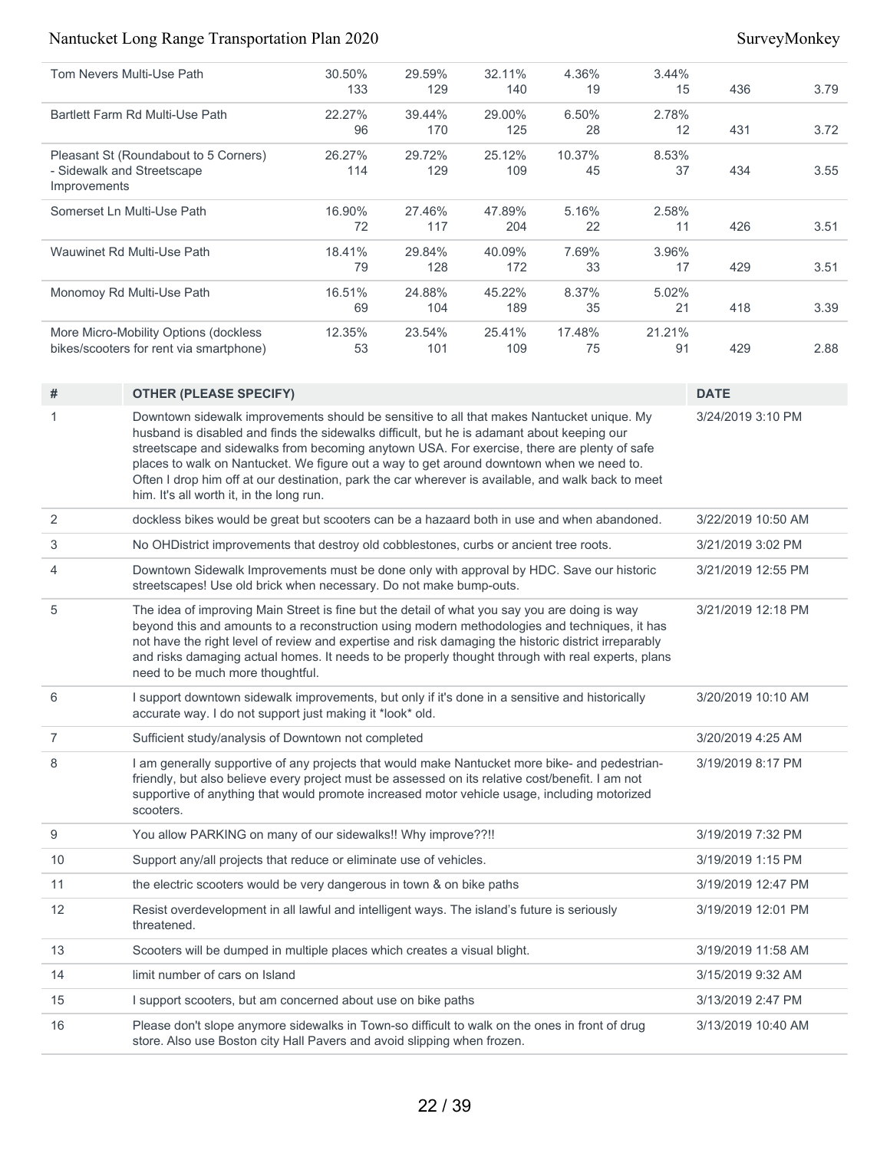| Tom Nevers Multi-Use Path                  | 30.50% | 29.59% | 32.11% | 4.36%  | 3.44%  |     |      |
|--------------------------------------------|--------|--------|--------|--------|--------|-----|------|
|                                            | 133    | 129    | 140    | 19     | 15     | 436 | 3.79 |
| Bartlett Farm Rd Multi-Use Path            | 22.27% | 39.44% | 29.00% | 6.50%  | 2.78%  |     |      |
|                                            | 96     | 170    | 125    | 28     | 12     | 431 | 3.72 |
| Pleasant St (Roundabout to 5 Corners)      | 26.27% | 29.72% | 25.12% | 10.37% | 8.53%  |     |      |
| - Sidewalk and Streetscape<br>Improvements | 114    | 129    | 109    | 45     | 37     | 434 | 3.55 |
| Somerset Ln Multi-Use Path                 | 16.90% | 27.46% | 47.89% | 5.16%  | 2.58%  |     |      |
|                                            | 72     | 117    | 204    | 22     | 11     | 426 | 3.51 |
| Wauwinet Rd Multi-Use Path                 | 18.41% | 29.84% | 40.09% | 7.69%  | 3.96%  |     |      |
|                                            | 79     | 128    | 172    | 33     | 17     | 429 | 3.51 |
| Monomoy Rd Multi-Use Path                  | 16.51% | 24.88% | 45.22% | 8.37%  | 5.02%  |     |      |
|                                            | 69     | 104    | 189    | 35     | 21     | 418 | 3.39 |
| More Micro-Mobility Options (dockless      | 12.35% | 23.54% | 25.41% | 17.48% | 21.21% |     |      |
| bikes/scooters for rent via smartphone)    | 53     | 101    | 109    | 75     | 91     | 429 | 2.88 |

| #              | <b>OTHER (PLEASE SPECIFY)</b>                                                                                                                                                                                                                                                                                                                                                                                                                                                                                                        | <b>DATE</b>        |
|----------------|--------------------------------------------------------------------------------------------------------------------------------------------------------------------------------------------------------------------------------------------------------------------------------------------------------------------------------------------------------------------------------------------------------------------------------------------------------------------------------------------------------------------------------------|--------------------|
| 1              | Downtown sidewalk improvements should be sensitive to all that makes Nantucket unique. My<br>husband is disabled and finds the sidewalks difficult, but he is adamant about keeping our<br>streetscape and sidewalks from becoming anytown USA. For exercise, there are plenty of safe<br>places to walk on Nantucket. We figure out a way to get around downtown when we need to.<br>Often I drop him off at our destination, park the car wherever is available, and walk back to meet<br>him. It's all worth it, in the long run. | 3/24/2019 3:10 PM  |
| 2              | dockless bikes would be great but scooters can be a hazaard both in use and when abandoned.                                                                                                                                                                                                                                                                                                                                                                                                                                          | 3/22/2019 10:50 AM |
| 3              | No OHDistrict improvements that destroy old cobblestones, curbs or ancient tree roots.                                                                                                                                                                                                                                                                                                                                                                                                                                               | 3/21/2019 3:02 PM  |
| 4              | Downtown Sidewalk Improvements must be done only with approval by HDC. Save our historic<br>streetscapes! Use old brick when necessary. Do not make bump-outs.                                                                                                                                                                                                                                                                                                                                                                       | 3/21/2019 12:55 PM |
| 5              | The idea of improving Main Street is fine but the detail of what you say you are doing is way<br>beyond this and amounts to a reconstruction using modern methodologies and techniques, it has<br>not have the right level of review and expertise and risk damaging the historic district irreparably<br>and risks damaging actual homes. It needs to be properly thought through with real experts, plans<br>need to be much more thoughtful.                                                                                      | 3/21/2019 12:18 PM |
| 6              | I support downtown sidewalk improvements, but only if it's done in a sensitive and historically<br>accurate way. I do not support just making it *look* old.                                                                                                                                                                                                                                                                                                                                                                         | 3/20/2019 10:10 AM |
| $\overline{7}$ | Sufficient study/analysis of Downtown not completed                                                                                                                                                                                                                                                                                                                                                                                                                                                                                  | 3/20/2019 4:25 AM  |
| 8              | I am generally supportive of any projects that would make Nantucket more bike- and pedestrian-<br>friendly, but also believe every project must be assessed on its relative cost/benefit. I am not<br>supportive of anything that would promote increased motor vehicle usage, including motorized<br>scooters.                                                                                                                                                                                                                      | 3/19/2019 8:17 PM  |
| 9              | You allow PARKING on many of our sidewalks!! Why improve??!!                                                                                                                                                                                                                                                                                                                                                                                                                                                                         | 3/19/2019 7:32 PM  |
| 10             | Support any/all projects that reduce or eliminate use of vehicles.                                                                                                                                                                                                                                                                                                                                                                                                                                                                   | 3/19/2019 1:15 PM  |
| 11             | the electric scooters would be very dangerous in town & on bike paths                                                                                                                                                                                                                                                                                                                                                                                                                                                                | 3/19/2019 12:47 PM |
| 12             | Resist overdevelopment in all lawful and intelligent ways. The island's future is seriously<br>threatened.                                                                                                                                                                                                                                                                                                                                                                                                                           | 3/19/2019 12:01 PM |
| 13             | Scooters will be dumped in multiple places which creates a visual blight.                                                                                                                                                                                                                                                                                                                                                                                                                                                            | 3/19/2019 11:58 AM |
| 14             | limit number of cars on Island                                                                                                                                                                                                                                                                                                                                                                                                                                                                                                       | 3/15/2019 9:32 AM  |
| 15             | I support scooters, but am concerned about use on bike paths                                                                                                                                                                                                                                                                                                                                                                                                                                                                         | 3/13/2019 2:47 PM  |
| 16             | Please don't slope anymore sidewalks in Town-so difficult to walk on the ones in front of drug<br>store. Also use Boston city Hall Pavers and avoid slipping when frozen.                                                                                                                                                                                                                                                                                                                                                            | 3/13/2019 10:40 AM |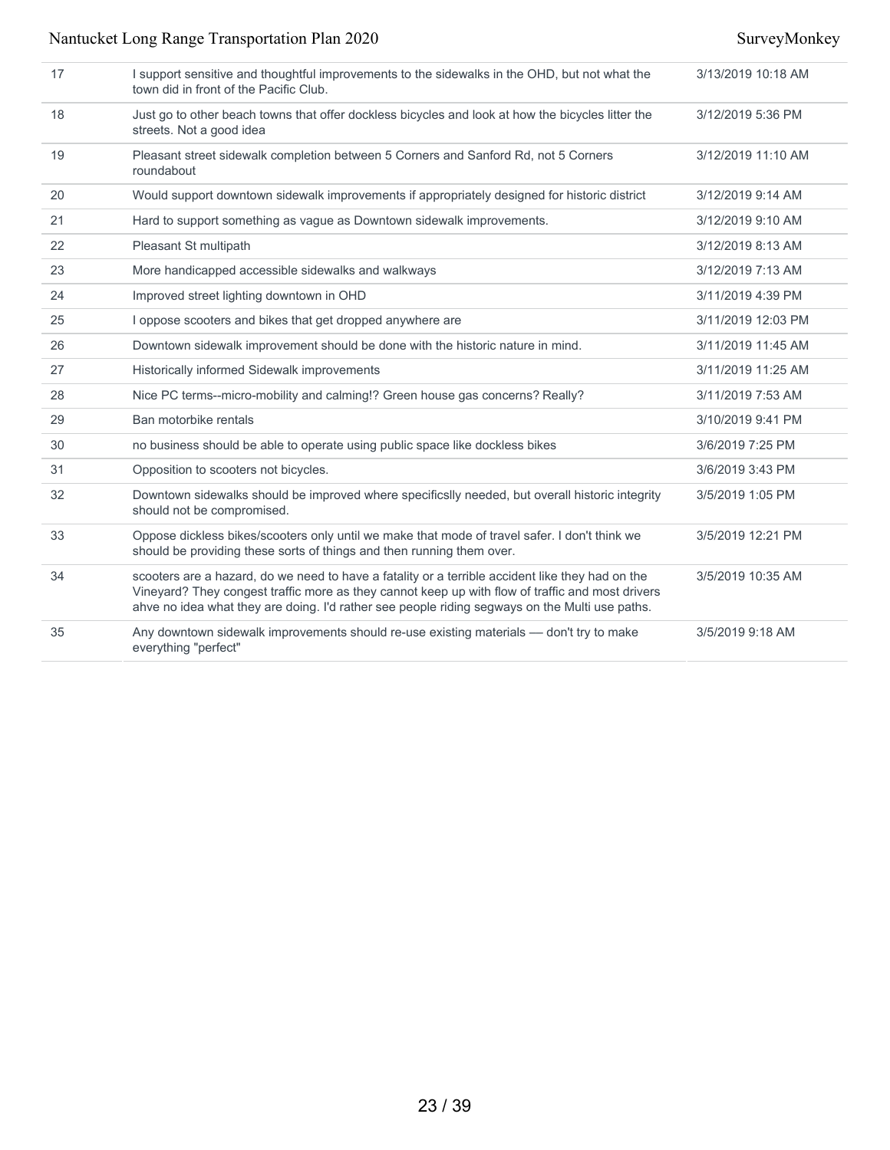| scooters are a hazard, do we need to have a fatality or a terrible accident like they had on the<br>Vineyard? They congest traffic more as they cannot keep up with flow of traffic and most drivers<br>ahve no idea what they are doing. I'd rather see people riding segways on the Multi use paths. | 3/5/2019 10:35 AM  |
|--------------------------------------------------------------------------------------------------------------------------------------------------------------------------------------------------------------------------------------------------------------------------------------------------------|--------------------|
| Oppose dickless bikes/scooters only until we make that mode of travel safer. I don't think we<br>should be providing these sorts of things and then running them over.                                                                                                                                 | 3/5/2019 12:21 PM  |
| Downtown sidewalks should be improved where specificslly needed, but overall historic integrity<br>should not be compromised.                                                                                                                                                                          | 3/5/2019 1:05 PM   |
| Opposition to scooters not bicycles.                                                                                                                                                                                                                                                                   | 3/6/2019 3:43 PM   |
| no business should be able to operate using public space like dockless bikes                                                                                                                                                                                                                           | 3/6/2019 7:25 PM   |
| Ban motorbike rentals                                                                                                                                                                                                                                                                                  | 3/10/2019 9:41 PM  |
| Nice PC terms--micro-mobility and calming!? Green house gas concerns? Really?                                                                                                                                                                                                                          | 3/11/2019 7:53 AM  |
| Historically informed Sidewalk improvements                                                                                                                                                                                                                                                            | 3/11/2019 11:25 AM |
| Downtown sidewalk improvement should be done with the historic nature in mind.                                                                                                                                                                                                                         | 3/11/2019 11:45 AM |
| I oppose scooters and bikes that get dropped anywhere are                                                                                                                                                                                                                                              | 3/11/2019 12:03 PM |
| Improved street lighting downtown in OHD                                                                                                                                                                                                                                                               | 3/11/2019 4:39 PM  |
| More handicapped accessible sidewalks and walkways                                                                                                                                                                                                                                                     | 3/12/2019 7:13 AM  |
| Pleasant St multipath                                                                                                                                                                                                                                                                                  | 3/12/2019 8:13 AM  |
| Hard to support something as vague as Downtown sidewalk improvements.                                                                                                                                                                                                                                  | 3/12/2019 9:10 AM  |
| Would support downtown sidewalk improvements if appropriately designed for historic district                                                                                                                                                                                                           | 3/12/2019 9:14 AM  |
| Pleasant street sidewalk completion between 5 Corners and Sanford Rd, not 5 Corners<br>roundabout                                                                                                                                                                                                      | 3/12/2019 11:10 AM |
| Just go to other beach towns that offer dockless bicycles and look at how the bicycles litter the<br>streets. Not a good idea                                                                                                                                                                          | 3/12/2019 5:36 PM  |
| I support sensitive and thoughtful improvements to the sidewalks in the OHD, but not what the<br>town did in front of the Pacific Club.                                                                                                                                                                | 3/13/2019 10:18 AM |
|                                                                                                                                                                                                                                                                                                        |                    |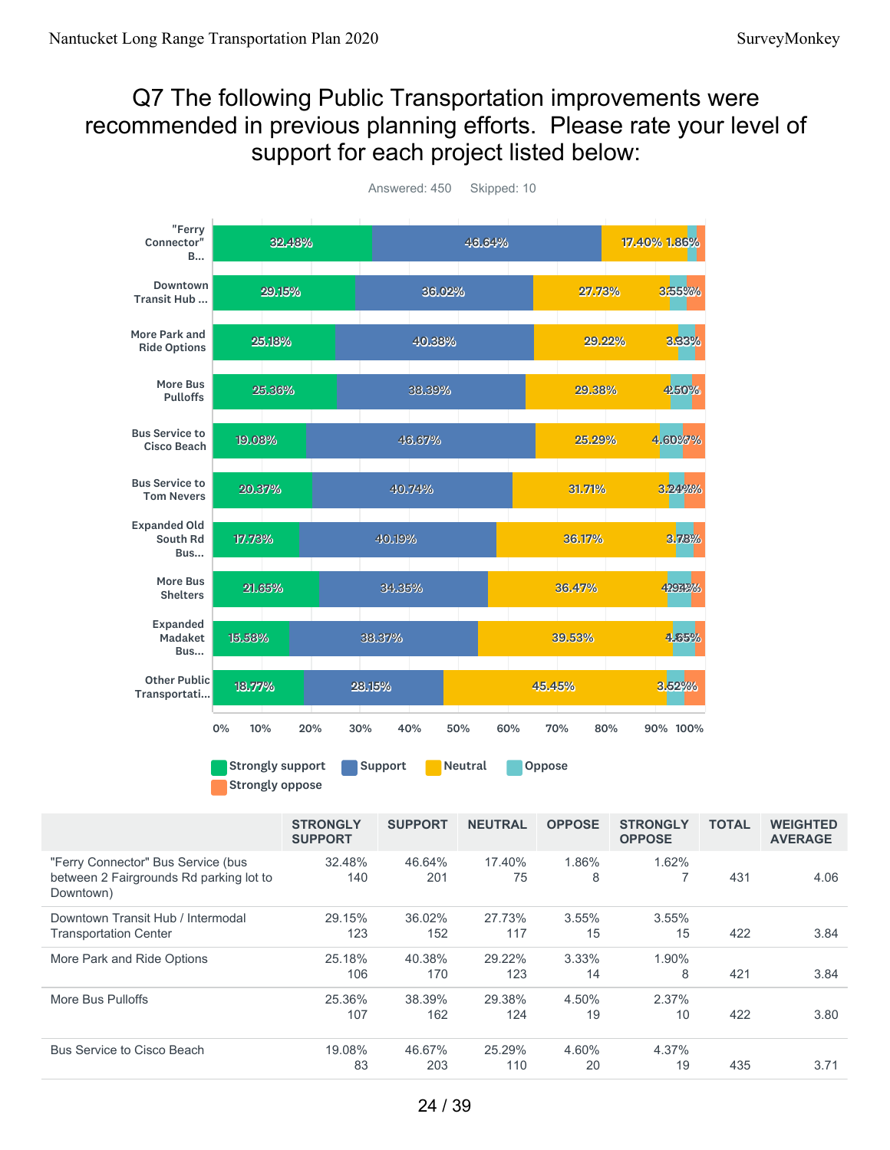# Q7 The following Public Transportation improvements were recommended in previous planning efforts. Please rate your level of support for each project listed below:



Answered: 450 Skipped: 10

| "Ferry Connector" Bus Service (bus<br>1.86%<br>1.62%<br>32.48%<br>17.40%<br>46.64%<br>between 2 Fairgrounds Rd parking lot to<br>431<br>4.06<br>140<br>201<br>75<br>8<br>Downtown)<br>29.15%<br>Downtown Transit Hub / Intermodal<br>36.02%<br>27.73%<br>3.55%<br>3.55%<br>422<br>3.84<br>123<br>152<br>117<br>15<br>15<br><b>Transportation Center</b><br>3.33%<br>More Park and Ride Options<br>25.18%<br>40.38%<br>29.22%<br>1.90%<br>8<br>421<br>123<br>106<br>170<br>14<br>3.84<br>2.37%<br>25.36%<br>38.39%<br>29.38%<br>4.50%<br>More Bus Pulloffs<br>162<br>124<br>422<br>3.80<br>107<br>19<br>10<br>19.08%<br>Bus Service to Cisco Beach<br>46.67%<br>25.29%<br>4.60%<br>4.37%<br>83<br>203<br>19<br>435<br>3.71<br>110<br>20 | <b>STRONGLY</b><br><b>SUPPORT</b> | <b>SUPPORT</b> | <b>NEUTRAL</b> | <b>OPPOSE</b> | <b>STRONGLY</b><br><b>OPPOSE</b> | <b>TOTAL</b> | <b>WEIGHTED</b><br><b>AVERAGE</b> |
|----------------------------------------------------------------------------------------------------------------------------------------------------------------------------------------------------------------------------------------------------------------------------------------------------------------------------------------------------------------------------------------------------------------------------------------------------------------------------------------------------------------------------------------------------------------------------------------------------------------------------------------------------------------------------------------------------------------------------------------|-----------------------------------|----------------|----------------|---------------|----------------------------------|--------------|-----------------------------------|
|                                                                                                                                                                                                                                                                                                                                                                                                                                                                                                                                                                                                                                                                                                                                        |                                   |                |                |               |                                  |              |                                   |
|                                                                                                                                                                                                                                                                                                                                                                                                                                                                                                                                                                                                                                                                                                                                        |                                   |                |                |               |                                  |              |                                   |
|                                                                                                                                                                                                                                                                                                                                                                                                                                                                                                                                                                                                                                                                                                                                        |                                   |                |                |               |                                  |              |                                   |
|                                                                                                                                                                                                                                                                                                                                                                                                                                                                                                                                                                                                                                                                                                                                        |                                   |                |                |               |                                  |              |                                   |
|                                                                                                                                                                                                                                                                                                                                                                                                                                                                                                                                                                                                                                                                                                                                        |                                   |                |                |               |                                  |              |                                   |
|                                                                                                                                                                                                                                                                                                                                                                                                                                                                                                                                                                                                                                                                                                                                        |                                   |                |                |               |                                  |              |                                   |
|                                                                                                                                                                                                                                                                                                                                                                                                                                                                                                                                                                                                                                                                                                                                        |                                   |                |                |               |                                  |              |                                   |
|                                                                                                                                                                                                                                                                                                                                                                                                                                                                                                                                                                                                                                                                                                                                        |                                   |                |                |               |                                  |              |                                   |
|                                                                                                                                                                                                                                                                                                                                                                                                                                                                                                                                                                                                                                                                                                                                        |                                   |                |                |               |                                  |              |                                   |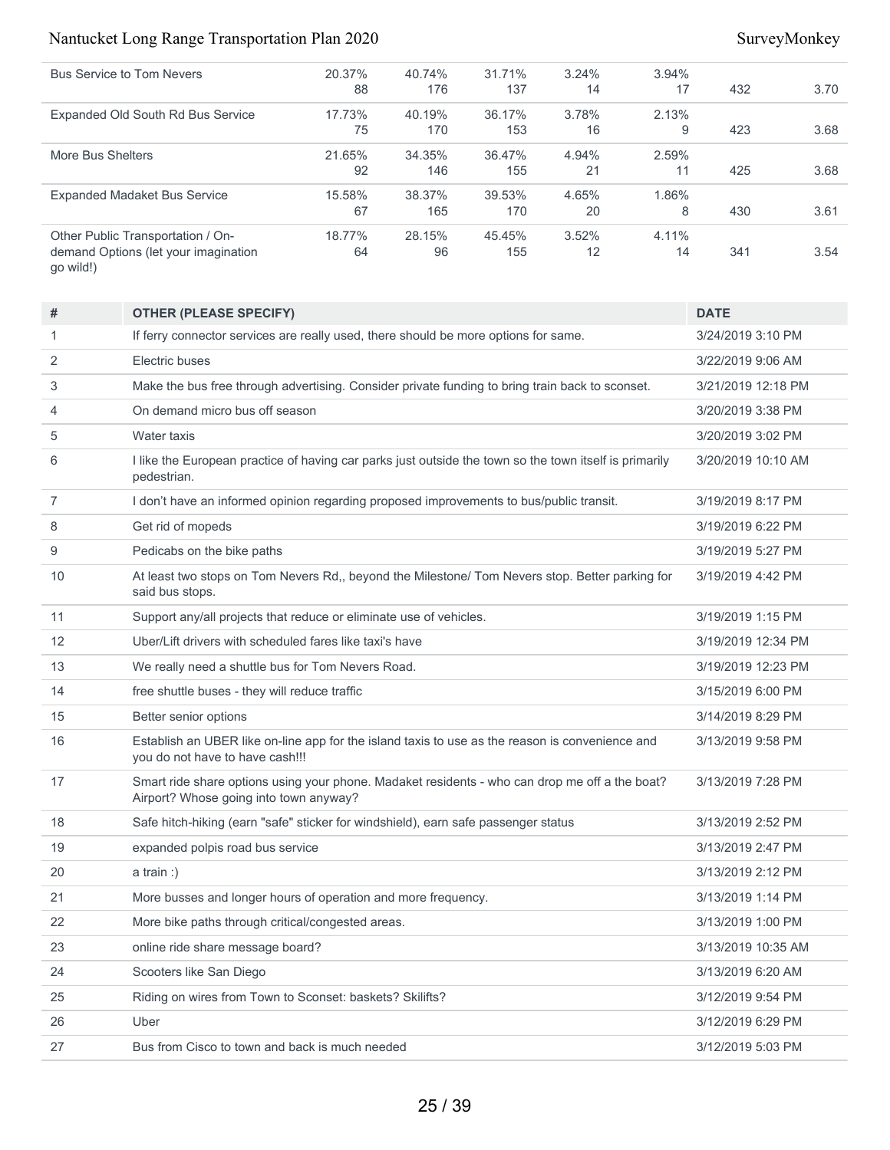| 20.37% | 40.74% | 31.71% | 3.24% | 3.94% |     |      |
|--------|--------|--------|-------|-------|-----|------|
| 88     | 176    | 137    | 14    | 17    | 432 | 3.70 |
| 17.73% | 40.19% | 36.17% | 3.78% | 2.13% |     |      |
| 75     | 170    | 153    | 16    | 9     | 423 | 3.68 |
| 21.65% | 34.35% | 36.47% | 4.94% | 2.59% |     |      |
| 92     | 146    | 155    | 21    | 11    | 425 | 3.68 |
| 15.58% | 38.37% | 39.53% | 4.65% | 1.86% |     |      |
| 67     | 165    | 170    | 20    | 8     | 430 | 3.61 |
| 18.77% | 28.15% | 45.45% | 3.52% | 4.11% |     |      |
| 64     | 96     | 155    | 12    | 14    | 341 | 3.54 |
|        |        |        |       |       |     |      |

| #              | <b>OTHER (PLEASE SPECIFY)</b>                                                                                                            | <b>DATE</b>        |
|----------------|------------------------------------------------------------------------------------------------------------------------------------------|--------------------|
| 1              | If ferry connector services are really used, there should be more options for same.                                                      | 3/24/2019 3:10 PM  |
| $\overline{2}$ | Electric buses                                                                                                                           | 3/22/2019 9:06 AM  |
| 3              | Make the bus free through advertising. Consider private funding to bring train back to sconset.                                          | 3/21/2019 12:18 PM |
| 4              | On demand micro bus off season                                                                                                           | 3/20/2019 3:38 PM  |
| 5              | Water taxis                                                                                                                              | 3/20/2019 3:02 PM  |
| 6              | I like the European practice of having car parks just outside the town so the town itself is primarily<br>pedestrian.                    | 3/20/2019 10:10 AM |
| $\overline{7}$ | I don't have an informed opinion regarding proposed improvements to bus/public transit.                                                  | 3/19/2019 8:17 PM  |
| 8              | Get rid of mopeds                                                                                                                        | 3/19/2019 6:22 PM  |
| 9              | Pedicabs on the bike paths                                                                                                               | 3/19/2019 5:27 PM  |
| 10             | At least two stops on Tom Nevers Rd,, beyond the Milestone/ Tom Nevers stop. Better parking for<br>said bus stops.                       | 3/19/2019 4:42 PM  |
| 11             | Support any/all projects that reduce or eliminate use of vehicles.                                                                       | 3/19/2019 1:15 PM  |
| 12             | Uber/Lift drivers with scheduled fares like taxi's have                                                                                  | 3/19/2019 12:34 PM |
| 13             | We really need a shuttle bus for Tom Nevers Road.                                                                                        | 3/19/2019 12:23 PM |
| 14             | free shuttle buses - they will reduce traffic                                                                                            | 3/15/2019 6:00 PM  |
| 15             | Better senior options                                                                                                                    | 3/14/2019 8:29 PM  |
| 16             | Establish an UBER like on-line app for the island taxis to use as the reason is convenience and<br>you do not have to have cash!!!       | 3/13/2019 9:58 PM  |
| 17             | Smart ride share options using your phone. Madaket residents - who can drop me off a the boat?<br>Airport? Whose going into town anyway? | 3/13/2019 7:28 PM  |
| 18             | Safe hitch-hiking (earn "safe" sticker for windshield), earn safe passenger status                                                       | 3/13/2019 2:52 PM  |
| 19             | expanded polpis road bus service                                                                                                         | 3/13/2019 2:47 PM  |
| 20             | a train:                                                                                                                                 | 3/13/2019 2:12 PM  |
| 21             | More busses and longer hours of operation and more frequency.                                                                            | 3/13/2019 1:14 PM  |
| 22             | More bike paths through critical/congested areas.                                                                                        | 3/13/2019 1:00 PM  |
| 23             | online ride share message board?                                                                                                         | 3/13/2019 10:35 AM |
| 24             | Scooters like San Diego                                                                                                                  | 3/13/2019 6:20 AM  |
| 25             | Riding on wires from Town to Sconset: baskets? Skilifts?                                                                                 | 3/12/2019 9:54 PM  |
| 26             | Uber                                                                                                                                     | 3/12/2019 6:29 PM  |
| 27             | Bus from Cisco to town and back is much needed                                                                                           | 3/12/2019 5:03 PM  |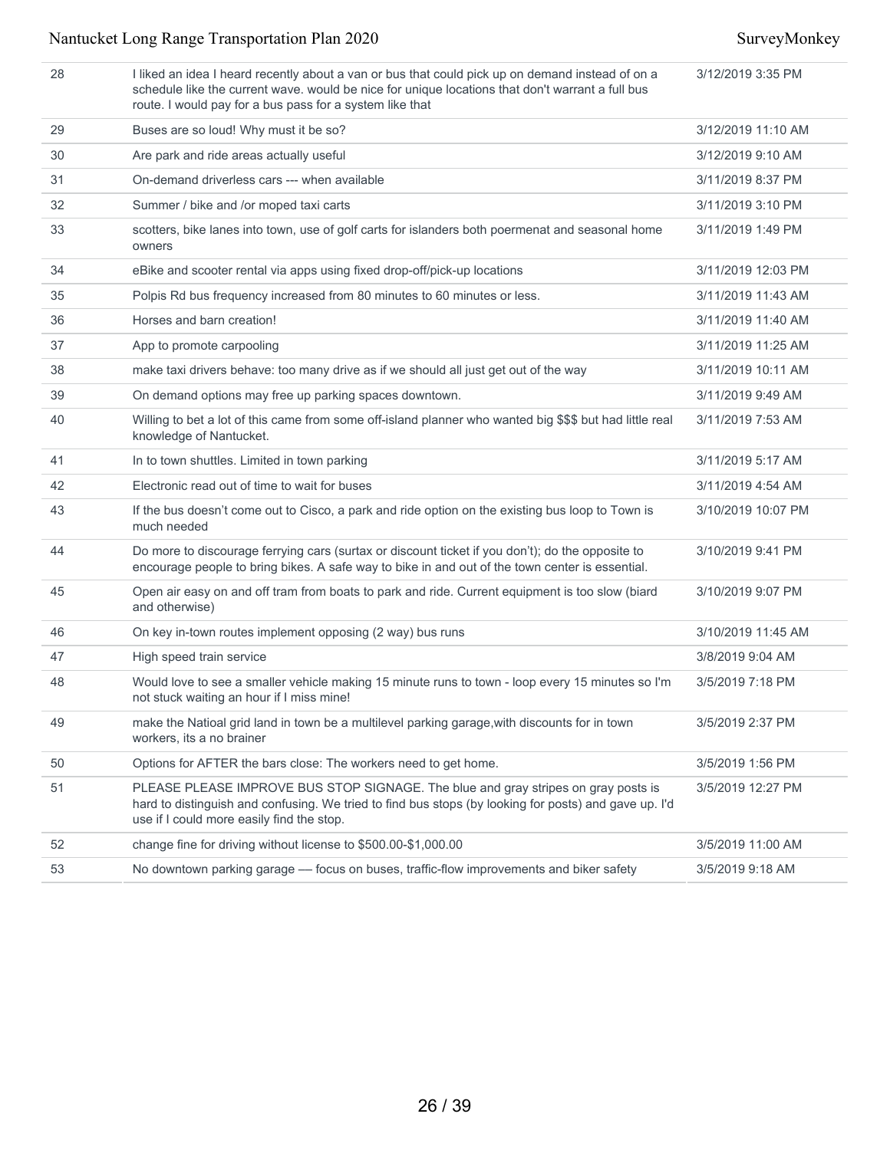| 28 | I liked an idea I heard recently about a van or bus that could pick up on demand instead of on a<br>schedule like the current wave. would be nice for unique locations that don't warrant a full bus<br>route. I would pay for a bus pass for a system like that | 3/12/2019 3:35 PM  |
|----|------------------------------------------------------------------------------------------------------------------------------------------------------------------------------------------------------------------------------------------------------------------|--------------------|
| 29 | Buses are so loud! Why must it be so?                                                                                                                                                                                                                            | 3/12/2019 11:10 AM |
| 30 | Are park and ride areas actually useful                                                                                                                                                                                                                          | 3/12/2019 9:10 AM  |
| 31 | On-demand driverless cars --- when available                                                                                                                                                                                                                     | 3/11/2019 8:37 PM  |
| 32 | Summer / bike and /or moped taxi carts                                                                                                                                                                                                                           | 3/11/2019 3:10 PM  |
| 33 | scotters, bike lanes into town, use of golf carts for islanders both poermenat and seasonal home<br>owners                                                                                                                                                       | 3/11/2019 1:49 PM  |
| 34 | eBike and scooter rental via apps using fixed drop-off/pick-up locations                                                                                                                                                                                         | 3/11/2019 12:03 PM |
| 35 | Polpis Rd bus frequency increased from 80 minutes to 60 minutes or less.                                                                                                                                                                                         | 3/11/2019 11:43 AM |
| 36 | Horses and barn creation!                                                                                                                                                                                                                                        | 3/11/2019 11:40 AM |
| 37 | App to promote carpooling                                                                                                                                                                                                                                        | 3/11/2019 11:25 AM |
| 38 | make taxi drivers behave: too many drive as if we should all just get out of the way                                                                                                                                                                             | 3/11/2019 10:11 AM |
| 39 | On demand options may free up parking spaces downtown.                                                                                                                                                                                                           | 3/11/2019 9:49 AM  |
| 40 | Willing to bet a lot of this came from some off-island planner who wanted big \$\$\$ but had little real<br>knowledge of Nantucket.                                                                                                                              | 3/11/2019 7:53 AM  |
| 41 | In to town shuttles. Limited in town parking                                                                                                                                                                                                                     | 3/11/2019 5:17 AM  |
| 42 | Electronic read out of time to wait for buses                                                                                                                                                                                                                    | 3/11/2019 4:54 AM  |
| 43 | If the bus doesn't come out to Cisco, a park and ride option on the existing bus loop to Town is<br>much needed                                                                                                                                                  | 3/10/2019 10:07 PM |
| 44 | Do more to discourage ferrying cars (surtax or discount ticket if you don't); do the opposite to<br>encourage people to bring bikes. A safe way to bike in and out of the town center is essential.                                                              | 3/10/2019 9:41 PM  |
| 45 | Open air easy on and off tram from boats to park and ride. Current equipment is too slow (biard<br>and otherwise)                                                                                                                                                | 3/10/2019 9:07 PM  |
| 46 | On key in-town routes implement opposing (2 way) bus runs                                                                                                                                                                                                        | 3/10/2019 11:45 AM |
| 47 | High speed train service                                                                                                                                                                                                                                         | 3/8/2019 9:04 AM   |
| 48 | Would love to see a smaller vehicle making 15 minute runs to town - loop every 15 minutes so I'm<br>not stuck waiting an hour if I miss mine!                                                                                                                    | 3/5/2019 7:18 PM   |
| 49 | make the Natioal grid land in town be a multilevel parking garage, with discounts for in town<br>workers, its a no brainer                                                                                                                                       | 3/5/2019 2:37 PM   |
| 50 | Options for AFTER the bars close: The workers need to get home.                                                                                                                                                                                                  | 3/5/2019 1:56 PM   |
| 51 | PLEASE PLEASE IMPROVE BUS STOP SIGNAGE. The blue and gray stripes on gray posts is<br>hard to distinguish and confusing. We tried to find bus stops (by looking for posts) and gave up. I'd<br>use if I could more easily find the stop.                         | 3/5/2019 12:27 PM  |
| 52 | change fine for driving without license to \$500.00-\$1,000.00                                                                                                                                                                                                   | 3/5/2019 11:00 AM  |
| 53 | No downtown parking garage — focus on buses, traffic-flow improvements and biker safety                                                                                                                                                                          | 3/5/2019 9:18 AM   |
|    |                                                                                                                                                                                                                                                                  |                    |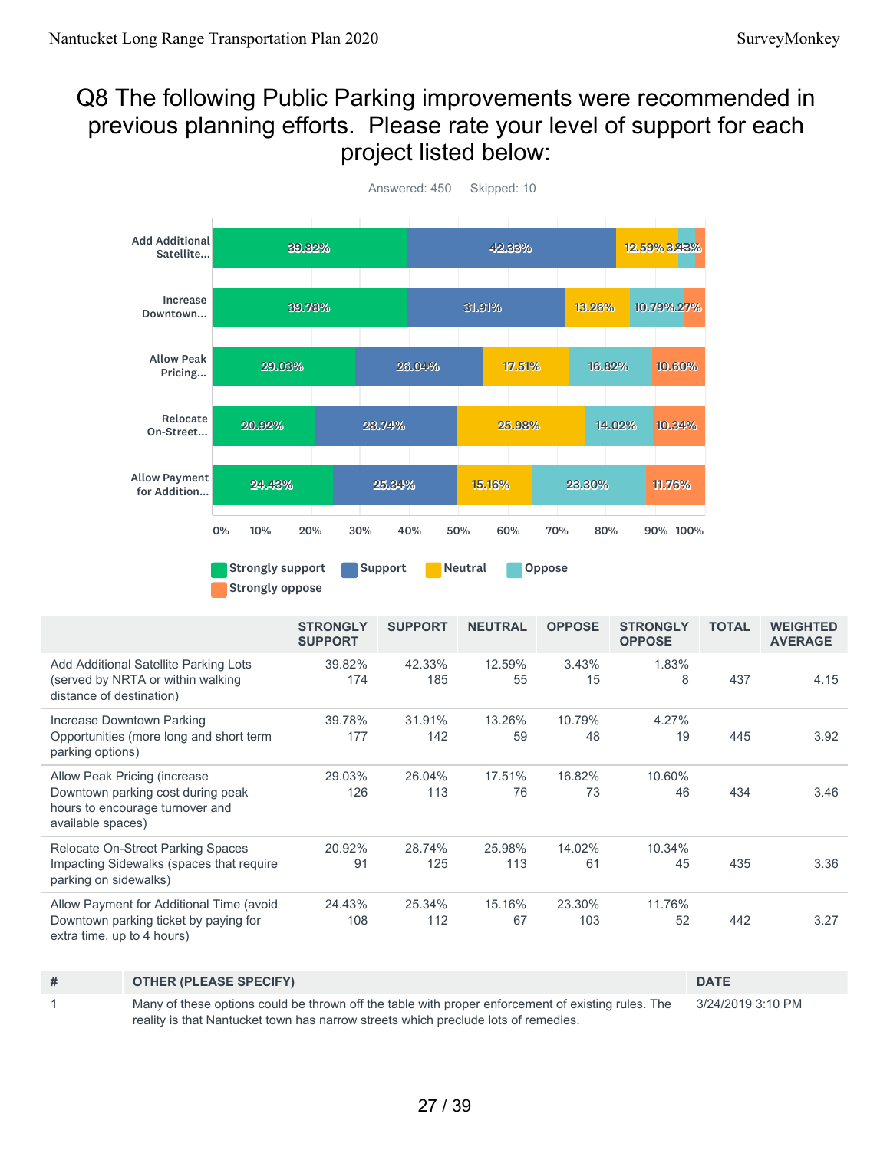## Q8 The following Public Parking improvements were recommended in previous planning efforts. Please rate your level of support for each project listed below:



39.82% 174 42.33% 185 12.59% 55 3.43% 15 1.83% 8 437 4.15 39.78% 177 31.91% 142 13.26% 59 10.79% 48 4.27% 19 445 3.92 29.03% 126 26.04% 113 17.51% 76 16.82% 73 10.60% 46 434 3.46 20.92% 91 28.74% 125 25.98% 113 14.02% 61 10.34% 45 435 3.36 24.43% 108 25.34% 112 15.16% 67 23.30% 103 11.76% 52 442 3.27 **STRONGLY SUPPORT SUPPORT NEUTRAL OPPOSE STRONGLY OPPOSE TOTAL WEIGHTED AVERAGE** Add Additional Satellite Parking Lots (served by NRTA or within walking distance of destination) Increase Downtown Parking Opportunities (more long and short term parking options) Allow Peak Pricing (increase Downtown parking cost during peak hours to encourage turnover and available spaces) Relocate On-Street Parking Spaces Impacting Sidewalks (spaces that require parking on sidewalks) Allow Payment for Additional Time (avoid Downtown parking ticket by paying for extra time, up to 4 hours)

| # | <b>OTHER (PLEASE SPECIFY)</b>                                                                      | <b>DATE</b>       |
|---|----------------------------------------------------------------------------------------------------|-------------------|
|   | Many of these options could be thrown off the table with proper enforcement of existing rules. The | 3/24/2019 3:10 PM |
|   | reality is that Nantucket town has narrow streets which preclude lots of remedies.                 |                   |

27 / 39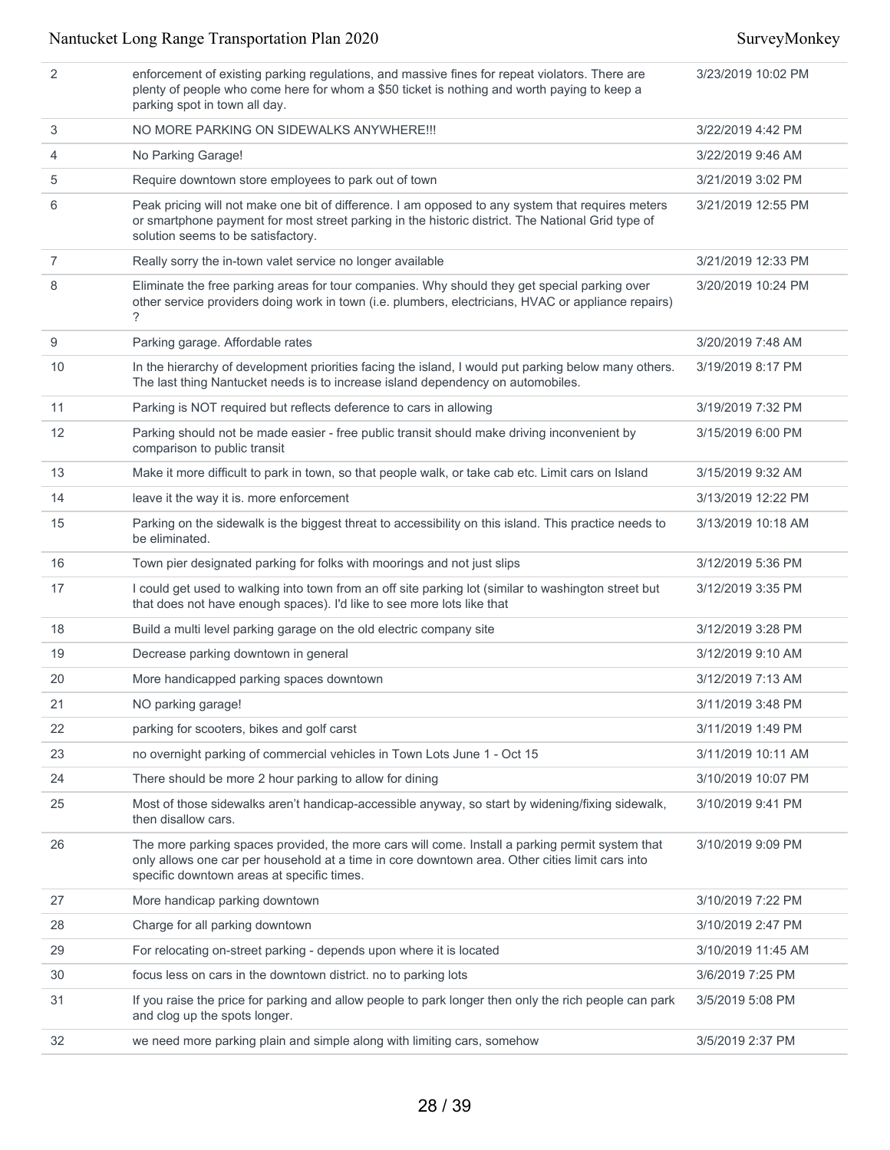| 2              | enforcement of existing parking regulations, and massive fines for repeat violators. There are<br>plenty of people who come here for whom a \$50 ticket is nothing and worth paying to keep a<br>parking spot in town all day.                   | 3/23/2019 10:02 PM |
|----------------|--------------------------------------------------------------------------------------------------------------------------------------------------------------------------------------------------------------------------------------------------|--------------------|
| 3              | NO MORE PARKING ON SIDEWALKS ANYWHERE!!!                                                                                                                                                                                                         | 3/22/2019 4:42 PM  |
| 4              | No Parking Garage!                                                                                                                                                                                                                               | 3/22/2019 9:46 AM  |
| 5              | Require downtown store employees to park out of town                                                                                                                                                                                             | 3/21/2019 3:02 PM  |
| 6              | Peak pricing will not make one bit of difference. I am opposed to any system that requires meters<br>or smartphone payment for most street parking in the historic district. The National Grid type of<br>solution seems to be satisfactory.     | 3/21/2019 12:55 PM |
| $\overline{7}$ | Really sorry the in-town valet service no longer available                                                                                                                                                                                       | 3/21/2019 12:33 PM |
| 8              | Eliminate the free parking areas for tour companies. Why should they get special parking over<br>other service providers doing work in town (i.e. plumbers, electricians, HVAC or appliance repairs)<br>?                                        | 3/20/2019 10:24 PM |
| 9              | Parking garage. Affordable rates                                                                                                                                                                                                                 | 3/20/2019 7:48 AM  |
| 10             | In the hierarchy of development priorities facing the island, I would put parking below many others.<br>The last thing Nantucket needs is to increase island dependency on automobiles.                                                          | 3/19/2019 8:17 PM  |
| 11             | Parking is NOT required but reflects deference to cars in allowing                                                                                                                                                                               | 3/19/2019 7:32 PM  |
| 12             | Parking should not be made easier - free public transit should make driving inconvenient by<br>comparison to public transit                                                                                                                      | 3/15/2019 6:00 PM  |
| 13             | Make it more difficult to park in town, so that people walk, or take cab etc. Limit cars on Island                                                                                                                                               | 3/15/2019 9:32 AM  |
| 14             | leave it the way it is. more enforcement                                                                                                                                                                                                         | 3/13/2019 12:22 PM |
| 15             | Parking on the sidewalk is the biggest threat to accessibility on this island. This practice needs to<br>be eliminated.                                                                                                                          | 3/13/2019 10:18 AM |
| 16             | Town pier designated parking for folks with moorings and not just slips                                                                                                                                                                          | 3/12/2019 5:36 PM  |
| 17             | I could get used to walking into town from an off site parking lot (similar to washington street but<br>that does not have enough spaces). I'd like to see more lots like that                                                                   | 3/12/2019 3:35 PM  |
| 18             | Build a multi level parking garage on the old electric company site                                                                                                                                                                              | 3/12/2019 3:28 PM  |
| 19             | Decrease parking downtown in general                                                                                                                                                                                                             | 3/12/2019 9:10 AM  |
| 20             | More handicapped parking spaces downtown                                                                                                                                                                                                         | 3/12/2019 7:13 AM  |
| 21             | NO parking garage!                                                                                                                                                                                                                               | 3/11/2019 3:48 PM  |
| 22             | parking for scooters, bikes and golf carst                                                                                                                                                                                                       | 3/11/2019 1:49 PM  |
| 23             | no overnight parking of commercial vehicles in Town Lots June 1 - Oct 15                                                                                                                                                                         | 3/11/2019 10:11 AM |
| 24             | There should be more 2 hour parking to allow for dining                                                                                                                                                                                          | 3/10/2019 10:07 PM |
| 25             | Most of those sidewalks aren't handicap-accessible anyway, so start by widening/fixing sidewalk,<br>then disallow cars.                                                                                                                          | 3/10/2019 9:41 PM  |
| 26             | The more parking spaces provided, the more cars will come. Install a parking permit system that<br>only allows one car per household at a time in core downtown area. Other cities limit cars into<br>specific downtown areas at specific times. | 3/10/2019 9:09 PM  |
| 27             | More handicap parking downtown                                                                                                                                                                                                                   | 3/10/2019 7:22 PM  |
| 28             | Charge for all parking downtown                                                                                                                                                                                                                  | 3/10/2019 2:47 PM  |
| 29             | For relocating on-street parking - depends upon where it is located                                                                                                                                                                              | 3/10/2019 11:45 AM |
| 30             | focus less on cars in the downtown district. no to parking lots                                                                                                                                                                                  | 3/6/2019 7:25 PM   |
| 31             | If you raise the price for parking and allow people to park longer then only the rich people can park<br>and clog up the spots longer.                                                                                                           | 3/5/2019 5:08 PM   |
| 32             | we need more parking plain and simple along with limiting cars, somehow                                                                                                                                                                          | 3/5/2019 2:37 PM   |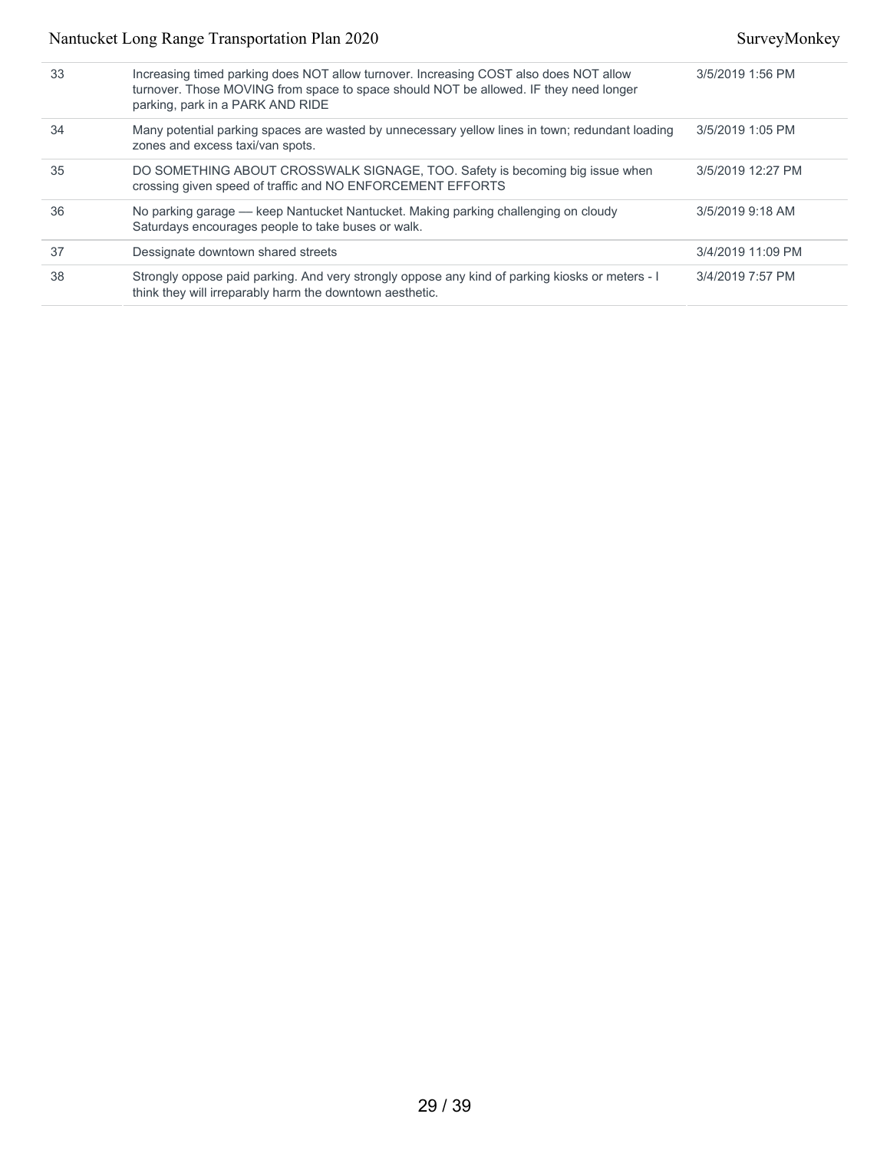| 33 | Increasing timed parking does NOT allow turnover. Increasing COST also does NOT allow<br>turnover. Those MOVING from space to space should NOT be allowed. IF they need longer<br>parking, park in a PARK AND RIDE | 3/5/2019 1:56 PM  |
|----|--------------------------------------------------------------------------------------------------------------------------------------------------------------------------------------------------------------------|-------------------|
| 34 | Many potential parking spaces are wasted by unnecessary yellow lines in town; redundant loading<br>zones and excess taxi/van spots.                                                                                | 3/5/2019 1:05 PM  |
| 35 | DO SOMETHING ABOUT CROSSWALK SIGNAGE, TOO. Safety is becoming big issue when<br>crossing given speed of traffic and NO ENFORCEMENT EFFORTS                                                                         | 3/5/2019 12:27 PM |
| 36 | No parking garage — keep Nantucket Nantucket. Making parking challenging on cloudy<br>Saturdays encourages people to take buses or walk.                                                                           | 3/5/2019 9:18 AM  |
| 37 | Dessignate downtown shared streets                                                                                                                                                                                 | 3/4/2019 11:09 PM |
| 38 | Strongly oppose paid parking. And very strongly oppose any kind of parking kiosks or meters - I<br>think they will irreparably harm the downtown aesthetic.                                                        | 3/4/2019 7:57 PM  |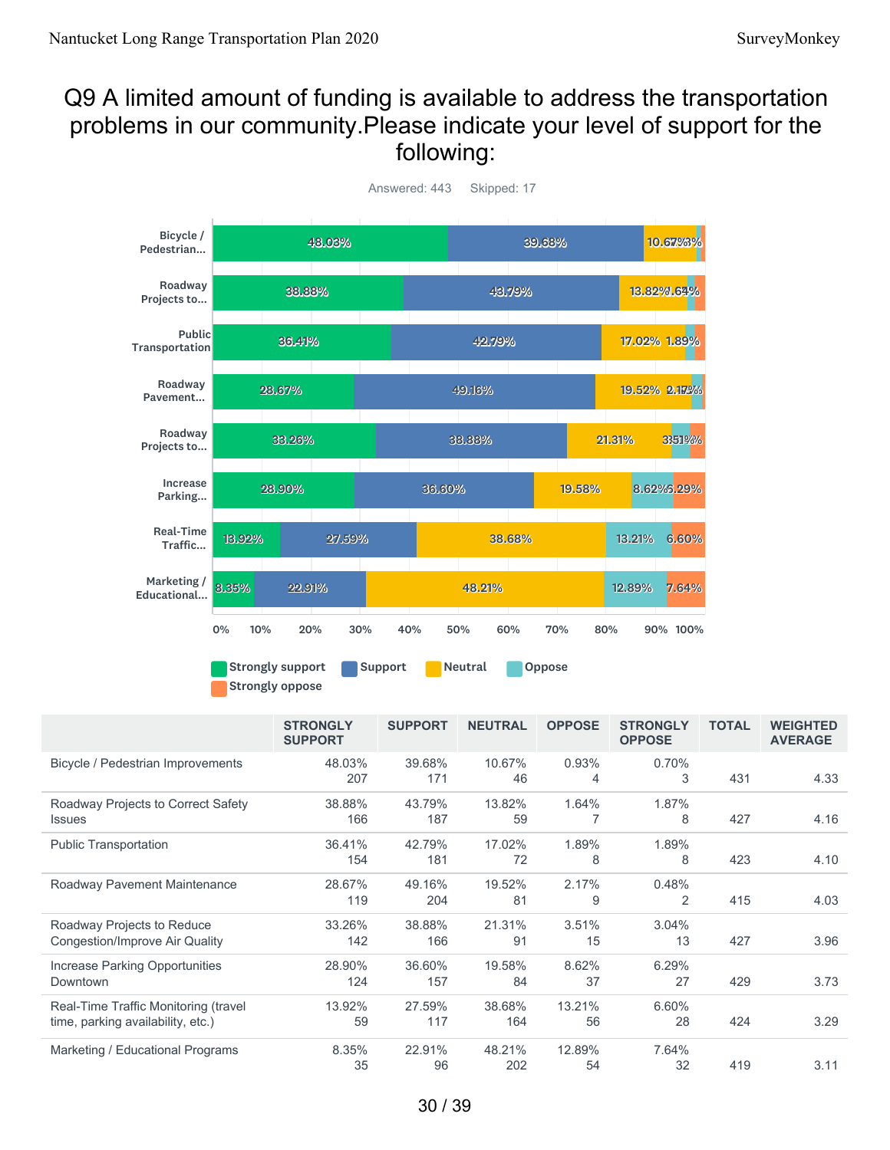## Q9 A limited amount of funding is available to address the transportation problems in our community.Please indicate your level of support for the following:



Answered: 443 Skipped: 17

Strongly oppose

|                                                                           | <b>STRONGLY</b><br><b>SUPPORT</b> | <b>SUPPORT</b> | <b>NEUTRAL</b> | <b>OPPOSE</b>           | <b>STRONGLY</b><br><b>OPPOSE</b> | <b>TOTAL</b> | <b>WEIGHTED</b><br><b>AVERAGE</b> |
|---------------------------------------------------------------------------|-----------------------------------|----------------|----------------|-------------------------|----------------------------------|--------------|-----------------------------------|
| Bicycle / Pedestrian Improvements                                         | 48.03%<br>207                     | 39.68%<br>171  | 10.67%<br>46   | 0.93%<br>$\overline{4}$ | 0.70%<br>3                       | 431          | 4.33                              |
| Roadway Projects to Correct Safety<br><b>Issues</b>                       | 38.88%<br>166                     | 43.79%<br>187  | 13.82%<br>59   | 1.64%                   | 1.87%<br>8                       | 427          | 4.16                              |
| <b>Public Transportation</b>                                              | 36.41%<br>154                     | 42.79%<br>181  | 17.02%<br>72   | 1.89%<br>8              | 1.89%<br>8                       | 423          | 4.10                              |
| Roadway Pavement Maintenance                                              | 28.67%<br>119                     | 49.16%<br>204  | 19.52%<br>81   | 2.17%<br>9              | 0.48%<br>2                       | 415          | 4.03                              |
| Roadway Projects to Reduce<br>Congestion/Improve Air Quality              | 33.26%<br>142                     | 38.88%<br>166  | 21.31%<br>91   | 3.51%<br>15             | 3.04%<br>13                      | 427          | 3.96                              |
| Increase Parking Opportunities<br>Downtown                                | 28.90%<br>124                     | 36.60%<br>157  | 19.58%<br>84   | 8.62%<br>37             | 6.29%<br>27                      | 429          | 3.73                              |
| Real-Time Traffic Monitoring (travel<br>time, parking availability, etc.) | 13.92%<br>59                      | 27.59%<br>117  | 38.68%<br>164  | 13.21%<br>56            | 6.60%<br>28                      | 424          | 3.29                              |
| Marketing / Educational Programs                                          | 8.35%<br>35                       | 22.91%<br>96   | 48.21%<br>202  | 12.89%<br>54            | 7.64%<br>32                      | 419          | 3.11                              |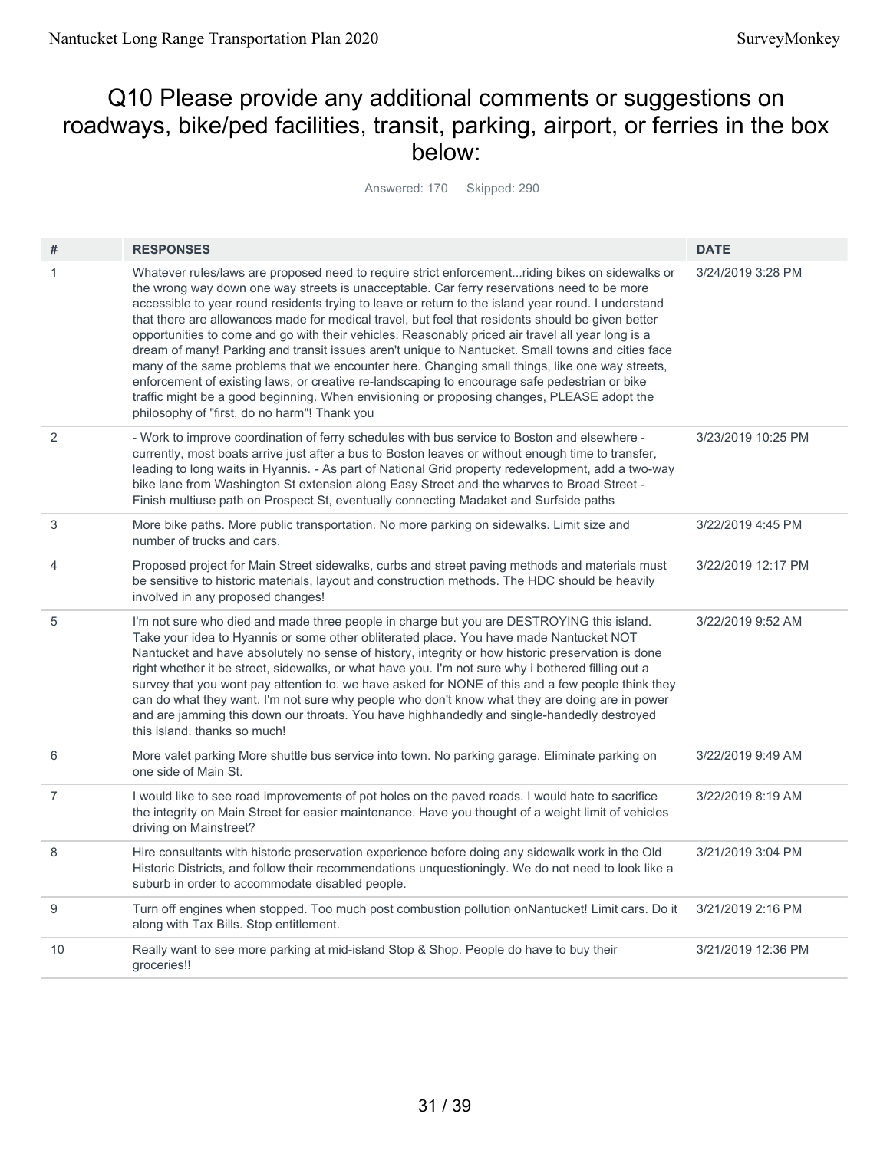## Q10 Please provide any additional comments or suggestions on roadways, bike/ped facilities, transit, parking, airport, or ferries in the box below:

Answered: 170 Skipped: 290

| #              | <b>RESPONSES</b>                                                                                                                                                                                                                                                                                                                                                                                                                                                                                                                                                                                                                                                                                                                                                                                                                                                                                                                                                     | <b>DATE</b>        |
|----------------|----------------------------------------------------------------------------------------------------------------------------------------------------------------------------------------------------------------------------------------------------------------------------------------------------------------------------------------------------------------------------------------------------------------------------------------------------------------------------------------------------------------------------------------------------------------------------------------------------------------------------------------------------------------------------------------------------------------------------------------------------------------------------------------------------------------------------------------------------------------------------------------------------------------------------------------------------------------------|--------------------|
| 1              | Whatever rules/laws are proposed need to require strict enforcementriding bikes on sidewalks or<br>the wrong way down one way streets is unacceptable. Car ferry reservations need to be more<br>accessible to year round residents trying to leave or return to the island year round. I understand<br>that there are allowances made for medical travel, but feel that residents should be given better<br>opportunities to come and go with their vehicles. Reasonably priced air travel all year long is a<br>dream of many! Parking and transit issues aren't unique to Nantucket. Small towns and cities face<br>many of the same problems that we encounter here. Changing small things, like one way streets,<br>enforcement of existing laws, or creative re-landscaping to encourage safe pedestrian or bike<br>traffic might be a good beginning. When envisioning or proposing changes, PLEASE adopt the<br>philosophy of "first, do no harm"! Thank you | 3/24/2019 3:28 PM  |
| 2              | - Work to improve coordination of ferry schedules with bus service to Boston and elsewhere -<br>currently, most boats arrive just after a bus to Boston leaves or without enough time to transfer,<br>leading to long waits in Hyannis. - As part of National Grid property redevelopment, add a two-way<br>bike lane from Washington St extension along Easy Street and the wharves to Broad Street -<br>Finish multiuse path on Prospect St, eventually connecting Madaket and Surfside paths                                                                                                                                                                                                                                                                                                                                                                                                                                                                      | 3/23/2019 10:25 PM |
| 3              | More bike paths. More public transportation. No more parking on sidewalks. Limit size and<br>number of trucks and cars.                                                                                                                                                                                                                                                                                                                                                                                                                                                                                                                                                                                                                                                                                                                                                                                                                                              | 3/22/2019 4:45 PM  |
| $\overline{4}$ | Proposed project for Main Street sidewalks, curbs and street paving methods and materials must<br>be sensitive to historic materials, layout and construction methods. The HDC should be heavily<br>involved in any proposed changes!                                                                                                                                                                                                                                                                                                                                                                                                                                                                                                                                                                                                                                                                                                                                | 3/22/2019 12:17 PM |
| 5              | I'm not sure who died and made three people in charge but you are DESTROYING this island.<br>Take your idea to Hyannis or some other obliterated place. You have made Nantucket NOT<br>Nantucket and have absolutely no sense of history, integrity or how historic preservation is done<br>right whether it be street, sidewalks, or what have you. I'm not sure why i bothered filling out a<br>survey that you wont pay attention to, we have asked for NONE of this and a few people think they<br>can do what they want. I'm not sure why people who don't know what they are doing are in power<br>and are jamming this down our throats. You have highhandedly and single-handedly destroyed<br>this island, thanks so much!                                                                                                                                                                                                                                  | 3/22/2019 9:52 AM  |
| 6              | More valet parking More shuttle bus service into town. No parking garage. Eliminate parking on<br>one side of Main St.                                                                                                                                                                                                                                                                                                                                                                                                                                                                                                                                                                                                                                                                                                                                                                                                                                               | 3/22/2019 9:49 AM  |
| $\overline{7}$ | I would like to see road improvements of pot holes on the paved roads. I would hate to sacrifice<br>the integrity on Main Street for easier maintenance. Have you thought of a weight limit of vehicles<br>driving on Mainstreet?                                                                                                                                                                                                                                                                                                                                                                                                                                                                                                                                                                                                                                                                                                                                    | 3/22/2019 8:19 AM  |
| 8              | Hire consultants with historic preservation experience before doing any sidewalk work in the Old<br>Historic Districts, and follow their recommendations unquestioningly. We do not need to look like a<br>suburb in order to accommodate disabled people.                                                                                                                                                                                                                                                                                                                                                                                                                                                                                                                                                                                                                                                                                                           | 3/21/2019 3:04 PM  |
| 9              | Turn off engines when stopped. Too much post combustion pollution on Nantucket! Limit cars. Do it<br>along with Tax Bills. Stop entitlement.                                                                                                                                                                                                                                                                                                                                                                                                                                                                                                                                                                                                                                                                                                                                                                                                                         | 3/21/2019 2:16 PM  |
| 10             | Really want to see more parking at mid-island Stop & Shop. People do have to buy their<br>groceries!!                                                                                                                                                                                                                                                                                                                                                                                                                                                                                                                                                                                                                                                                                                                                                                                                                                                                | 3/21/2019 12:36 PM |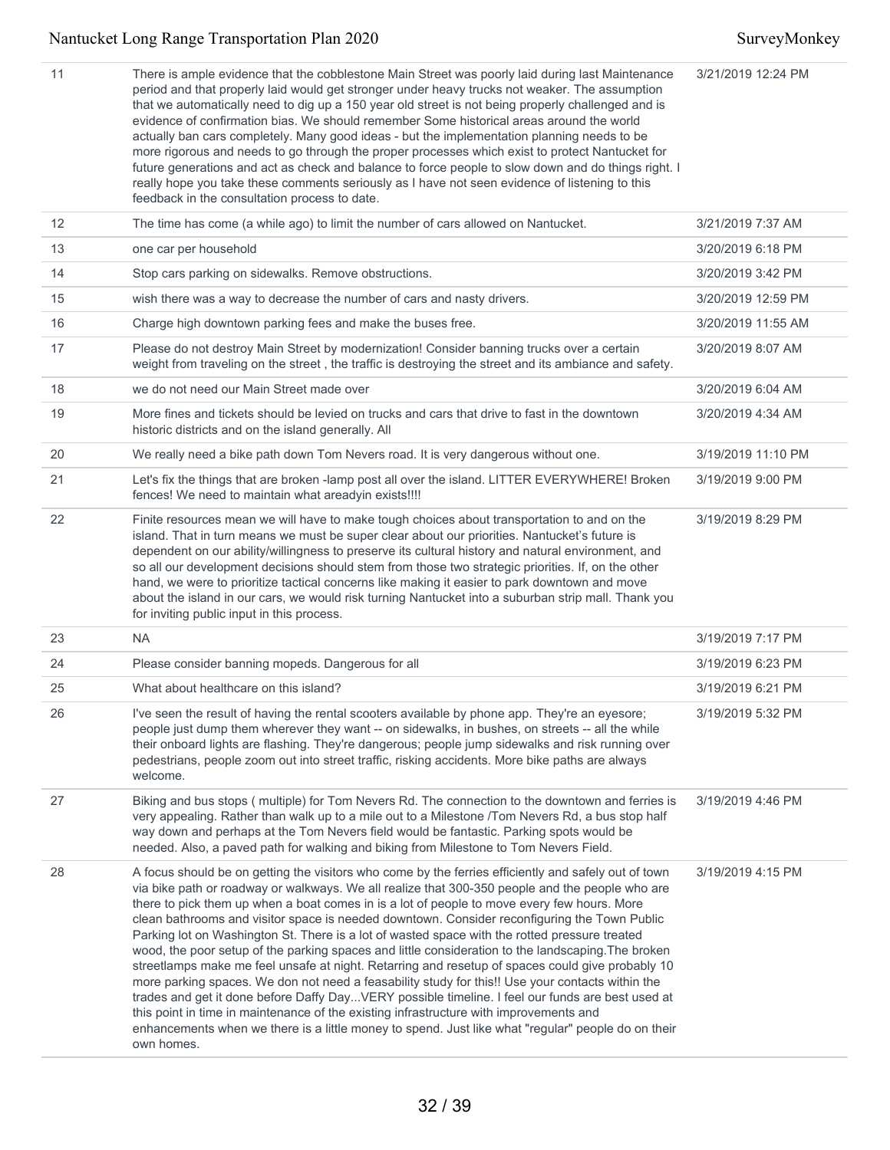| 11 | There is ample evidence that the cobblestone Main Street was poorly laid during last Maintenance<br>period and that properly laid would get stronger under heavy trucks not weaker. The assumption<br>that we automatically need to dig up a 150 year old street is not being properly challenged and is<br>evidence of confirmation bias. We should remember Some historical areas around the world<br>actually ban cars completely. Many good ideas - but the implementation planning needs to be<br>more rigorous and needs to go through the proper processes which exist to protect Nantucket for<br>future generations and act as check and balance to force people to slow down and do things right. I<br>really hope you take these comments seriously as I have not seen evidence of listening to this<br>feedback in the consultation process to date.                                                                                                                                                                                                                                                                        | 3/21/2019 12:24 PM |
|----|-----------------------------------------------------------------------------------------------------------------------------------------------------------------------------------------------------------------------------------------------------------------------------------------------------------------------------------------------------------------------------------------------------------------------------------------------------------------------------------------------------------------------------------------------------------------------------------------------------------------------------------------------------------------------------------------------------------------------------------------------------------------------------------------------------------------------------------------------------------------------------------------------------------------------------------------------------------------------------------------------------------------------------------------------------------------------------------------------------------------------------------------|--------------------|
| 12 | The time has come (a while ago) to limit the number of cars allowed on Nantucket.                                                                                                                                                                                                                                                                                                                                                                                                                                                                                                                                                                                                                                                                                                                                                                                                                                                                                                                                                                                                                                                       | 3/21/2019 7:37 AM  |
| 13 | one car per household                                                                                                                                                                                                                                                                                                                                                                                                                                                                                                                                                                                                                                                                                                                                                                                                                                                                                                                                                                                                                                                                                                                   | 3/20/2019 6:18 PM  |
| 14 | Stop cars parking on sidewalks. Remove obstructions.                                                                                                                                                                                                                                                                                                                                                                                                                                                                                                                                                                                                                                                                                                                                                                                                                                                                                                                                                                                                                                                                                    | 3/20/2019 3:42 PM  |
| 15 | wish there was a way to decrease the number of cars and nasty drivers.                                                                                                                                                                                                                                                                                                                                                                                                                                                                                                                                                                                                                                                                                                                                                                                                                                                                                                                                                                                                                                                                  | 3/20/2019 12:59 PM |
| 16 | Charge high downtown parking fees and make the buses free.                                                                                                                                                                                                                                                                                                                                                                                                                                                                                                                                                                                                                                                                                                                                                                                                                                                                                                                                                                                                                                                                              | 3/20/2019 11:55 AM |
| 17 | Please do not destroy Main Street by modernization! Consider banning trucks over a certain<br>weight from traveling on the street, the traffic is destroying the street and its ambiance and safety.                                                                                                                                                                                                                                                                                                                                                                                                                                                                                                                                                                                                                                                                                                                                                                                                                                                                                                                                    | 3/20/2019 8:07 AM  |
| 18 | we do not need our Main Street made over                                                                                                                                                                                                                                                                                                                                                                                                                                                                                                                                                                                                                                                                                                                                                                                                                                                                                                                                                                                                                                                                                                | 3/20/2019 6:04 AM  |
| 19 | More fines and tickets should be levied on trucks and cars that drive to fast in the downtown<br>historic districts and on the island generally. All                                                                                                                                                                                                                                                                                                                                                                                                                                                                                                                                                                                                                                                                                                                                                                                                                                                                                                                                                                                    | 3/20/2019 4:34 AM  |
| 20 | We really need a bike path down Tom Nevers road. It is very dangerous without one.                                                                                                                                                                                                                                                                                                                                                                                                                                                                                                                                                                                                                                                                                                                                                                                                                                                                                                                                                                                                                                                      | 3/19/2019 11:10 PM |
| 21 | Let's fix the things that are broken -lamp post all over the island. LITTER EVERYWHERE! Broken<br>fences! We need to maintain what areadyin exists!!!!                                                                                                                                                                                                                                                                                                                                                                                                                                                                                                                                                                                                                                                                                                                                                                                                                                                                                                                                                                                  | 3/19/2019 9:00 PM  |
| 22 | Finite resources mean we will have to make tough choices about transportation to and on the<br>island. That in turn means we must be super clear about our priorities. Nantucket's future is<br>dependent on our ability/willingness to preserve its cultural history and natural environment, and<br>so all our development decisions should stem from those two strategic priorities. If, on the other<br>hand, we were to prioritize tactical concerns like making it easier to park downtown and move<br>about the island in our cars, we would risk turning Nantucket into a suburban strip mall. Thank you<br>for inviting public input in this process.                                                                                                                                                                                                                                                                                                                                                                                                                                                                          | 3/19/2019 8:29 PM  |
| 23 | <b>NA</b>                                                                                                                                                                                                                                                                                                                                                                                                                                                                                                                                                                                                                                                                                                                                                                                                                                                                                                                                                                                                                                                                                                                               | 3/19/2019 7:17 PM  |
| 24 | Please consider banning mopeds. Dangerous for all                                                                                                                                                                                                                                                                                                                                                                                                                                                                                                                                                                                                                                                                                                                                                                                                                                                                                                                                                                                                                                                                                       | 3/19/2019 6:23 PM  |
| 25 | What about healthcare on this island?                                                                                                                                                                                                                                                                                                                                                                                                                                                                                                                                                                                                                                                                                                                                                                                                                                                                                                                                                                                                                                                                                                   | 3/19/2019 6:21 PM  |
| 26 | I've seen the result of having the rental scooters available by phone app. They're an eyesore;<br>people just dump them wherever they want -- on sidewalks, in bushes, on streets -- all the while<br>their onboard lights are flashing. They're dangerous; people jump sidewalks and risk running over<br>pedestrians, people zoom out into street traffic, risking accidents. More bike paths are always<br>welcome.                                                                                                                                                                                                                                                                                                                                                                                                                                                                                                                                                                                                                                                                                                                  | 3/19/2019 5:32 PM  |
| 27 | Biking and bus stops (multiple) for Tom Nevers Rd. The connection to the downtown and ferries is<br>very appealing. Rather than walk up to a mile out to a Milestone /Tom Nevers Rd, a bus stop half<br>way down and perhaps at the Tom Nevers field would be fantastic. Parking spots would be<br>needed. Also, a paved path for walking and biking from Milestone to Tom Nevers Field.                                                                                                                                                                                                                                                                                                                                                                                                                                                                                                                                                                                                                                                                                                                                                | 3/19/2019 4:46 PM  |
| 28 | A focus should be on getting the visitors who come by the ferries efficiently and safely out of town<br>via bike path or roadway or walkways. We all realize that 300-350 people and the people who are<br>there to pick them up when a boat comes in is a lot of people to move every few hours. More<br>clean bathrooms and visitor space is needed downtown. Consider reconfiguring the Town Public<br>Parking lot on Washington St. There is a lot of wasted space with the rotted pressure treated<br>wood, the poor setup of the parking spaces and little consideration to the landscaping. The broken<br>streetlamps make me feel unsafe at night. Retarring and resetup of spaces could give probably 10<br>more parking spaces. We don not need a feasability study for this!! Use your contacts within the<br>trades and get it done before Daffy DayVERY possible timeline. I feel our funds are best used at<br>this point in time in maintenance of the existing infrastructure with improvements and<br>enhancements when we there is a little money to spend. Just like what "regular" people do on their<br>own homes. | 3/19/2019 4:15 PM  |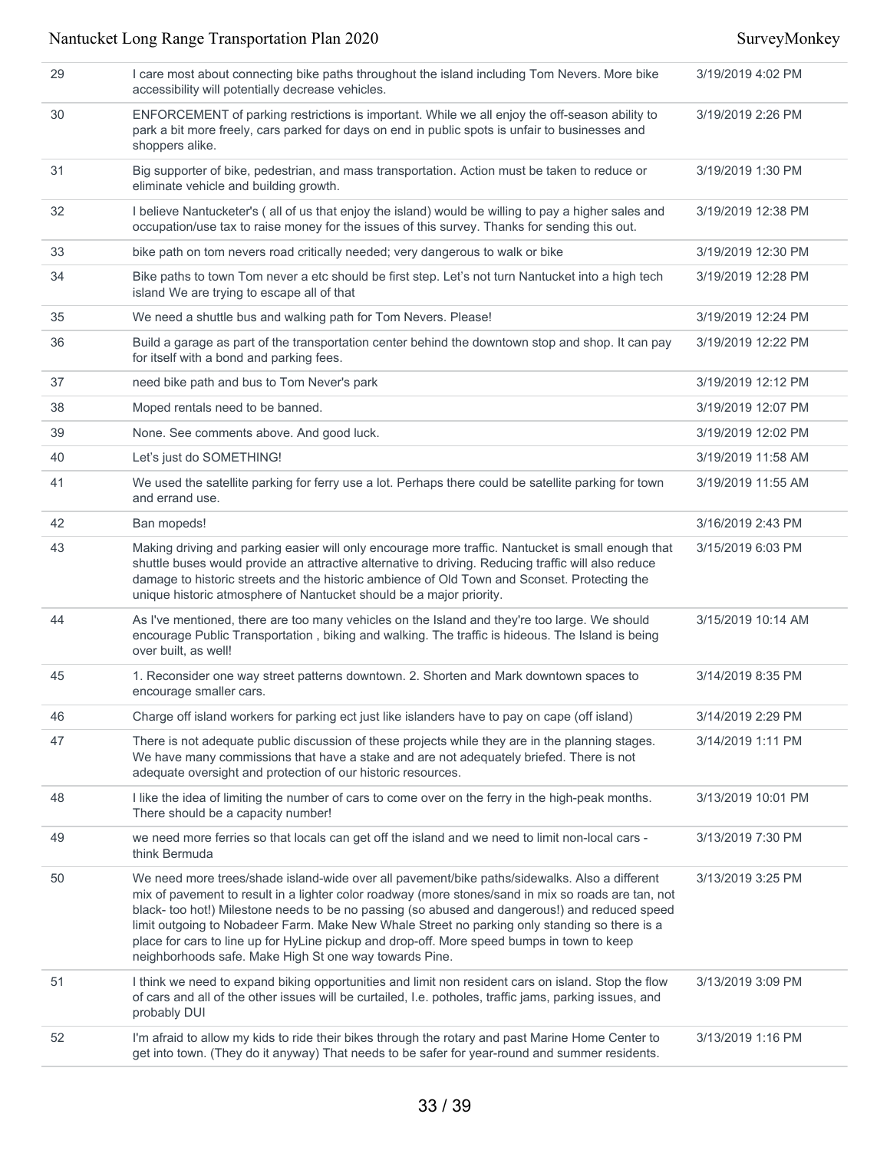| 29 | I care most about connecting bike paths throughout the island including Tom Nevers. More bike<br>accessibility will potentially decrease vehicles.                                                                                                                                                                                                                                                                                                                                                                                                              | 3/19/2019 4:02 PM  |
|----|-----------------------------------------------------------------------------------------------------------------------------------------------------------------------------------------------------------------------------------------------------------------------------------------------------------------------------------------------------------------------------------------------------------------------------------------------------------------------------------------------------------------------------------------------------------------|--------------------|
| 30 | ENFORCEMENT of parking restrictions is important. While we all enjoy the off-season ability to<br>park a bit more freely, cars parked for days on end in public spots is unfair to businesses and<br>shoppers alike.                                                                                                                                                                                                                                                                                                                                            | 3/19/2019 2:26 PM  |
| 31 | Big supporter of bike, pedestrian, and mass transportation. Action must be taken to reduce or<br>eliminate vehicle and building growth.                                                                                                                                                                                                                                                                                                                                                                                                                         | 3/19/2019 1:30 PM  |
| 32 | I believe Nantucketer's (all of us that enjoy the island) would be willing to pay a higher sales and<br>occupation/use tax to raise money for the issues of this survey. Thanks for sending this out.                                                                                                                                                                                                                                                                                                                                                           | 3/19/2019 12:38 PM |
| 33 | bike path on tom nevers road critically needed; very dangerous to walk or bike                                                                                                                                                                                                                                                                                                                                                                                                                                                                                  | 3/19/2019 12:30 PM |
| 34 | Bike paths to town Tom never a etc should be first step. Let's not turn Nantucket into a high tech<br>island We are trying to escape all of that                                                                                                                                                                                                                                                                                                                                                                                                                | 3/19/2019 12:28 PM |
| 35 | We need a shuttle bus and walking path for Tom Nevers. Please!                                                                                                                                                                                                                                                                                                                                                                                                                                                                                                  | 3/19/2019 12:24 PM |
| 36 | Build a garage as part of the transportation center behind the downtown stop and shop. It can pay<br>for itself with a bond and parking fees.                                                                                                                                                                                                                                                                                                                                                                                                                   | 3/19/2019 12:22 PM |
| 37 | need bike path and bus to Tom Never's park                                                                                                                                                                                                                                                                                                                                                                                                                                                                                                                      | 3/19/2019 12:12 PM |
| 38 | Moped rentals need to be banned.                                                                                                                                                                                                                                                                                                                                                                                                                                                                                                                                | 3/19/2019 12:07 PM |
| 39 | None. See comments above. And good luck.                                                                                                                                                                                                                                                                                                                                                                                                                                                                                                                        | 3/19/2019 12:02 PM |
| 40 | Let's just do SOMETHING!                                                                                                                                                                                                                                                                                                                                                                                                                                                                                                                                        | 3/19/2019 11:58 AM |
| 41 | We used the satellite parking for ferry use a lot. Perhaps there could be satellite parking for town<br>and errand use.                                                                                                                                                                                                                                                                                                                                                                                                                                         | 3/19/2019 11:55 AM |
| 42 | Ban mopeds!                                                                                                                                                                                                                                                                                                                                                                                                                                                                                                                                                     | 3/16/2019 2:43 PM  |
| 43 | Making driving and parking easier will only encourage more traffic. Nantucket is small enough that<br>shuttle buses would provide an attractive alternative to driving. Reducing traffic will also reduce<br>damage to historic streets and the historic ambience of Old Town and Sconset. Protecting the<br>unique historic atmosphere of Nantucket should be a major priority.                                                                                                                                                                                | 3/15/2019 6:03 PM  |
| 44 | As I've mentioned, there are too many vehicles on the Island and they're too large. We should<br>encourage Public Transportation, biking and walking. The traffic is hideous. The Island is being<br>over built, as well!                                                                                                                                                                                                                                                                                                                                       | 3/15/2019 10:14 AM |
| 45 | 1. Reconsider one way street patterns downtown. 2. Shorten and Mark downtown spaces to<br>encourage smaller cars.                                                                                                                                                                                                                                                                                                                                                                                                                                               | 3/14/2019 8:35 PM  |
| 46 | Charge off island workers for parking ect just like islanders have to pay on cape (off island)                                                                                                                                                                                                                                                                                                                                                                                                                                                                  | 3/14/2019 2:29 PM  |
| 47 | There is not adequate public discussion of these projects while they are in the planning stages.<br>We have many commissions that have a stake and are not adequately briefed. There is not<br>adequate oversight and protection of our historic resources.                                                                                                                                                                                                                                                                                                     | 3/14/2019 1:11 PM  |
| 48 | I like the idea of limiting the number of cars to come over on the ferry in the high-peak months.<br>There should be a capacity number!                                                                                                                                                                                                                                                                                                                                                                                                                         | 3/13/2019 10:01 PM |
| 49 | we need more ferries so that locals can get off the island and we need to limit non-local cars -<br>think Bermuda                                                                                                                                                                                                                                                                                                                                                                                                                                               | 3/13/2019 7:30 PM  |
| 50 | We need more trees/shade island-wide over all pavement/bike paths/sidewalks. Also a different<br>mix of pavement to result in a lighter color roadway (more stones/sand in mix so roads are tan, not<br>black- too hot!) Milestone needs to be no passing (so abused and dangerous!) and reduced speed<br>limit outgoing to Nobadeer Farm. Make New Whale Street no parking only standing so there is a<br>place for cars to line up for HyLine pickup and drop-off. More speed bumps in town to keep<br>neighborhoods safe. Make High St one way towards Pine. | 3/13/2019 3:25 PM  |
| 51 | I think we need to expand biking opportunities and limit non resident cars on island. Stop the flow<br>of cars and all of the other issues will be curtailed, I.e. potholes, traffic jams, parking issues, and<br>probably DUI                                                                                                                                                                                                                                                                                                                                  | 3/13/2019 3:09 PM  |
| 52 | I'm afraid to allow my kids to ride their bikes through the rotary and past Marine Home Center to<br>get into town. (They do it anyway) That needs to be safer for year-round and summer residents.                                                                                                                                                                                                                                                                                                                                                             | 3/13/2019 1:16 PM  |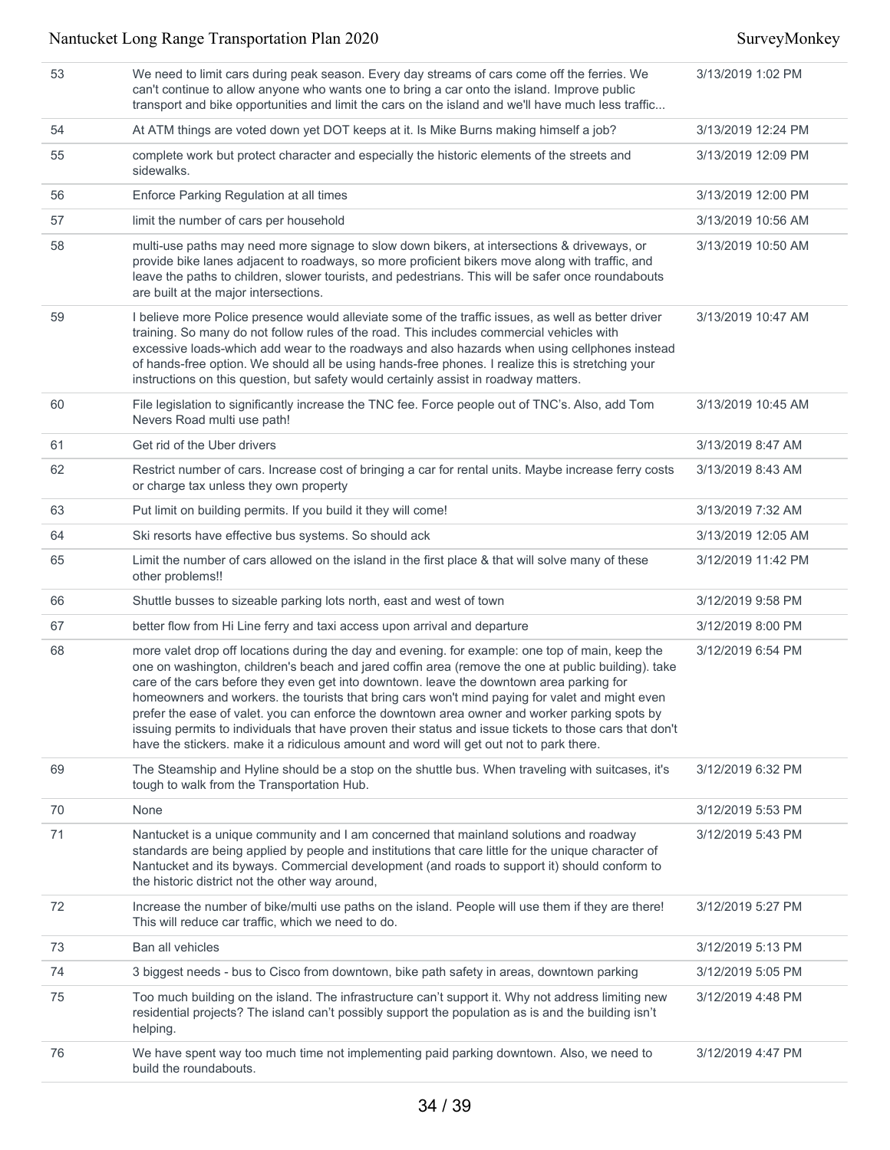| 53 | We need to limit cars during peak season. Every day streams of cars come off the ferries. We<br>can't continue to allow anyone who wants one to bring a car onto the island. Improve public<br>transport and bike opportunities and limit the cars on the island and we'll have much less traffic                                                                                                                                                                                                                                                                                                                                                                                                             | 3/13/2019 1:02 PM  |
|----|---------------------------------------------------------------------------------------------------------------------------------------------------------------------------------------------------------------------------------------------------------------------------------------------------------------------------------------------------------------------------------------------------------------------------------------------------------------------------------------------------------------------------------------------------------------------------------------------------------------------------------------------------------------------------------------------------------------|--------------------|
| 54 | At ATM things are voted down yet DOT keeps at it. Is Mike Burns making himself a job?                                                                                                                                                                                                                                                                                                                                                                                                                                                                                                                                                                                                                         | 3/13/2019 12:24 PM |
| 55 | complete work but protect character and especially the historic elements of the streets and<br>sidewalks.                                                                                                                                                                                                                                                                                                                                                                                                                                                                                                                                                                                                     | 3/13/2019 12:09 PM |
| 56 | Enforce Parking Regulation at all times                                                                                                                                                                                                                                                                                                                                                                                                                                                                                                                                                                                                                                                                       | 3/13/2019 12:00 PM |
| 57 | limit the number of cars per household                                                                                                                                                                                                                                                                                                                                                                                                                                                                                                                                                                                                                                                                        | 3/13/2019 10:56 AM |
| 58 | multi-use paths may need more signage to slow down bikers, at intersections & driveways, or<br>provide bike lanes adjacent to roadways, so more proficient bikers move along with traffic, and<br>leave the paths to children, slower tourists, and pedestrians. This will be safer once roundabouts<br>are built at the major intersections.                                                                                                                                                                                                                                                                                                                                                                 | 3/13/2019 10:50 AM |
| 59 | I believe more Police presence would alleviate some of the traffic issues, as well as better driver<br>training. So many do not follow rules of the road. This includes commercial vehicles with<br>excessive loads-which add wear to the roadways and also hazards when using cellphones instead<br>of hands-free option. We should all be using hands-free phones. I realize this is stretching your<br>instructions on this question, but safety would certainly assist in roadway matters.                                                                                                                                                                                                                | 3/13/2019 10:47 AM |
| 60 | File legislation to significantly increase the TNC fee. Force people out of TNC's. Also, add Tom<br>Nevers Road multi use path!                                                                                                                                                                                                                                                                                                                                                                                                                                                                                                                                                                               | 3/13/2019 10:45 AM |
| 61 | Get rid of the Uber drivers                                                                                                                                                                                                                                                                                                                                                                                                                                                                                                                                                                                                                                                                                   | 3/13/2019 8:47 AM  |
| 62 | Restrict number of cars. Increase cost of bringing a car for rental units. Maybe increase ferry costs<br>or charge tax unless they own property                                                                                                                                                                                                                                                                                                                                                                                                                                                                                                                                                               | 3/13/2019 8:43 AM  |
| 63 | Put limit on building permits. If you build it they will come!                                                                                                                                                                                                                                                                                                                                                                                                                                                                                                                                                                                                                                                | 3/13/2019 7:32 AM  |
| 64 | Ski resorts have effective bus systems. So should ack                                                                                                                                                                                                                                                                                                                                                                                                                                                                                                                                                                                                                                                         | 3/13/2019 12:05 AM |
| 65 | Limit the number of cars allowed on the island in the first place & that will solve many of these<br>other problems!!                                                                                                                                                                                                                                                                                                                                                                                                                                                                                                                                                                                         | 3/12/2019 11:42 PM |
| 66 | Shuttle busses to sizeable parking lots north, east and west of town                                                                                                                                                                                                                                                                                                                                                                                                                                                                                                                                                                                                                                          | 3/12/2019 9:58 PM  |
| 67 | better flow from Hi Line ferry and taxi access upon arrival and departure                                                                                                                                                                                                                                                                                                                                                                                                                                                                                                                                                                                                                                     | 3/12/2019 8:00 PM  |
| 68 | more valet drop off locations during the day and evening. for example: one top of main, keep the<br>one on washington, children's beach and jared coffin area (remove the one at public building). take<br>care of the cars before they even get into downtown. leave the downtown area parking for<br>homeowners and workers. the tourists that bring cars won't mind paying for valet and might even<br>prefer the ease of valet. you can enforce the downtown area owner and worker parking spots by<br>issuing permits to individuals that have proven their status and issue tickets to those cars that don't<br>have the stickers. make it a ridiculous amount and word will get out not to park there. | 3/12/2019 6:54 PM  |
| 69 | The Steamship and Hyline should be a stop on the shuttle bus. When traveling with suitcases, it's<br>tough to walk from the Transportation Hub.                                                                                                                                                                                                                                                                                                                                                                                                                                                                                                                                                               | 3/12/2019 6:32 PM  |
| 70 | None                                                                                                                                                                                                                                                                                                                                                                                                                                                                                                                                                                                                                                                                                                          | 3/12/2019 5:53 PM  |
| 71 | Nantucket is a unique community and I am concerned that mainland solutions and roadway<br>standards are being applied by people and institutions that care little for the unique character of<br>Nantucket and its byways. Commercial development (and roads to support it) should conform to<br>the historic district not the other way around,                                                                                                                                                                                                                                                                                                                                                              | 3/12/2019 5:43 PM  |
| 72 | Increase the number of bike/multi use paths on the island. People will use them if they are there!<br>This will reduce car traffic, which we need to do.                                                                                                                                                                                                                                                                                                                                                                                                                                                                                                                                                      | 3/12/2019 5:27 PM  |
| 73 | Ban all vehicles                                                                                                                                                                                                                                                                                                                                                                                                                                                                                                                                                                                                                                                                                              | 3/12/2019 5:13 PM  |
| 74 | 3 biggest needs - bus to Cisco from downtown, bike path safety in areas, downtown parking                                                                                                                                                                                                                                                                                                                                                                                                                                                                                                                                                                                                                     | 3/12/2019 5:05 PM  |
| 75 | Too much building on the island. The infrastructure can't support it. Why not address limiting new<br>residential projects? The island can't possibly support the population as is and the building isn't<br>helping.                                                                                                                                                                                                                                                                                                                                                                                                                                                                                         | 3/12/2019 4:48 PM  |
| 76 | We have spent way too much time not implementing paid parking downtown. Also, we need to<br>build the roundabouts.                                                                                                                                                                                                                                                                                                                                                                                                                                                                                                                                                                                            | 3/12/2019 4:47 PM  |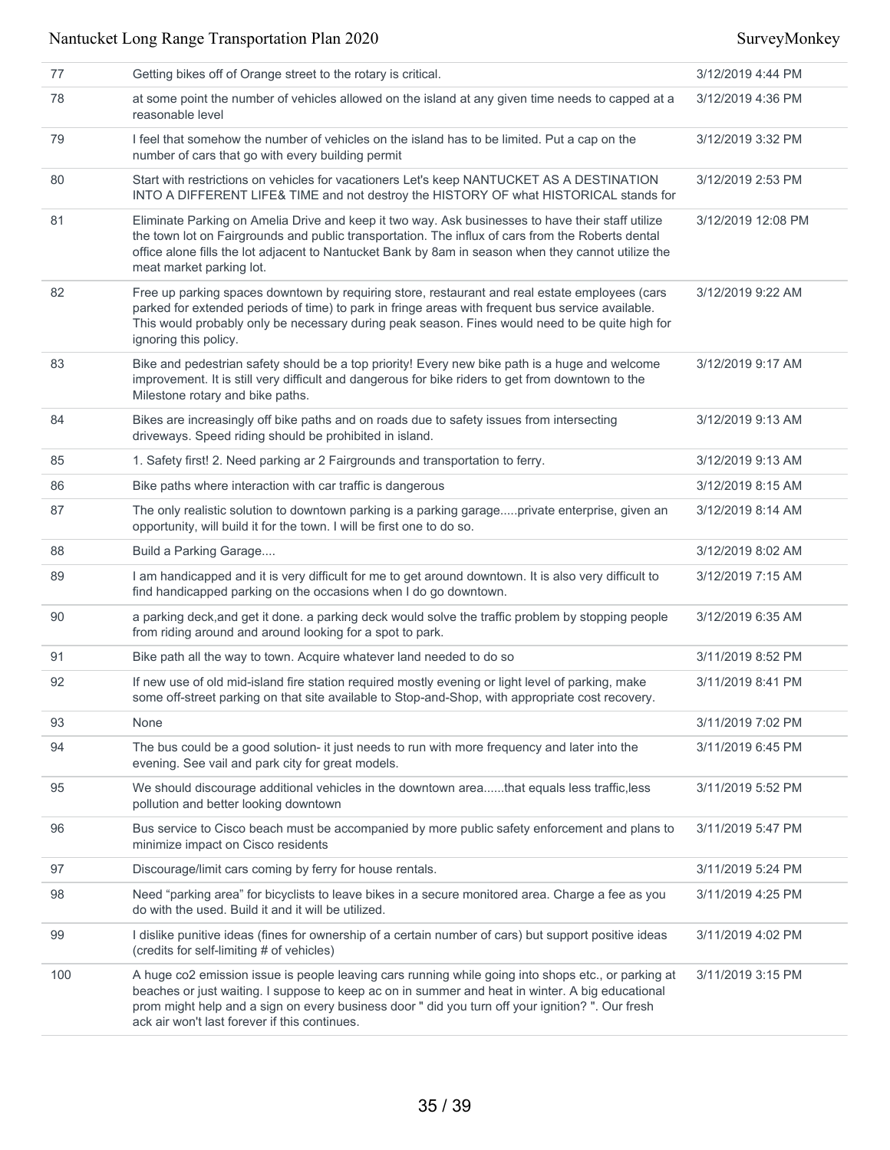| 77  | Getting bikes off of Orange street to the rotary is critical.                                                                                                                                                                                                                                                                                                | 3/12/2019 4:44 PM  |
|-----|--------------------------------------------------------------------------------------------------------------------------------------------------------------------------------------------------------------------------------------------------------------------------------------------------------------------------------------------------------------|--------------------|
| 78  | at some point the number of vehicles allowed on the island at any given time needs to capped at a<br>reasonable level                                                                                                                                                                                                                                        | 3/12/2019 4:36 PM  |
| 79  | I feel that somehow the number of vehicles on the island has to be limited. Put a cap on the<br>number of cars that go with every building permit                                                                                                                                                                                                            | 3/12/2019 3:32 PM  |
| 80  | Start with restrictions on vehicles for vacationers Let's keep NANTUCKET AS A DESTINATION<br>INTO A DIFFERENT LIFE& TIME and not destroy the HISTORY OF what HISTORICAL stands for                                                                                                                                                                           | 3/12/2019 2:53 PM  |
| 81  | Eliminate Parking on Amelia Drive and keep it two way. Ask businesses to have their staff utilize<br>the town lot on Fairgrounds and public transportation. The influx of cars from the Roberts dental<br>office alone fills the lot adjacent to Nantucket Bank by 8am in season when they cannot utilize the<br>meat market parking lot.                    | 3/12/2019 12:08 PM |
| 82  | Free up parking spaces downtown by requiring store, restaurant and real estate employees (cars<br>parked for extended periods of time) to park in fringe areas with frequent bus service available.<br>This would probably only be necessary during peak season. Fines would need to be quite high for<br>ignoring this policy.                              | 3/12/2019 9:22 AM  |
| 83  | Bike and pedestrian safety should be a top priority! Every new bike path is a huge and welcome<br>improvement. It is still very difficult and dangerous for bike riders to get from downtown to the<br>Milestone rotary and bike paths.                                                                                                                      | 3/12/2019 9:17 AM  |
| 84  | Bikes are increasingly off bike paths and on roads due to safety issues from intersecting<br>driveways. Speed riding should be prohibited in island.                                                                                                                                                                                                         | 3/12/2019 9:13 AM  |
| 85  | 1. Safety first! 2. Need parking ar 2 Fairgrounds and transportation to ferry.                                                                                                                                                                                                                                                                               | 3/12/2019 9:13 AM  |
| 86  | Bike paths where interaction with car traffic is dangerous                                                                                                                                                                                                                                                                                                   | 3/12/2019 8:15 AM  |
| 87  | The only realistic solution to downtown parking is a parking garageprivate enterprise, given an<br>opportunity, will build it for the town. I will be first one to do so.                                                                                                                                                                                    | 3/12/2019 8:14 AM  |
| 88  | Build a Parking Garage                                                                                                                                                                                                                                                                                                                                       | 3/12/2019 8:02 AM  |
| 89  | I am handicapped and it is very difficult for me to get around downtown. It is also very difficult to<br>find handicapped parking on the occasions when I do go downtown.                                                                                                                                                                                    | 3/12/2019 7:15 AM  |
| 90  | a parking deck, and get it done. a parking deck would solve the traffic problem by stopping people<br>from riding around and around looking for a spot to park.                                                                                                                                                                                              | 3/12/2019 6:35 AM  |
| 91  | Bike path all the way to town. Acquire whatever land needed to do so                                                                                                                                                                                                                                                                                         | 3/11/2019 8:52 PM  |
| 92  | If new use of old mid-island fire station required mostly evening or light level of parking, make<br>some off-street parking on that site available to Stop-and-Shop, with appropriate cost recovery.                                                                                                                                                        | 3/11/2019 8:41 PM  |
| 93  | None                                                                                                                                                                                                                                                                                                                                                         | 3/11/2019 7:02 PM  |
| 94  | The bus could be a good solution- it just needs to run with more frequency and later into the<br>evening. See vail and park city for great models.                                                                                                                                                                                                           | 3/11/2019 6:45 PM  |
| 95  | We should discourage additional vehicles in the downtown areathat equals less traffic, less<br>pollution and better looking downtown                                                                                                                                                                                                                         | 3/11/2019 5:52 PM  |
| 96  | Bus service to Cisco beach must be accompanied by more public safety enforcement and plans to<br>minimize impact on Cisco residents                                                                                                                                                                                                                          | 3/11/2019 5:47 PM  |
| 97  | Discourage/limit cars coming by ferry for house rentals.                                                                                                                                                                                                                                                                                                     | 3/11/2019 5:24 PM  |
| 98  | Need "parking area" for bicyclists to leave bikes in a secure monitored area. Charge a fee as you<br>do with the used. Build it and it will be utilized.                                                                                                                                                                                                     | 3/11/2019 4:25 PM  |
| 99  | I dislike punitive ideas (fines for ownership of a certain number of cars) but support positive ideas<br>(credits for self-limiting # of vehicles)                                                                                                                                                                                                           | 3/11/2019 4:02 PM  |
| 100 | A huge co2 emission issue is people leaving cars running while going into shops etc., or parking at<br>beaches or just waiting. I suppose to keep ac on in summer and heat in winter. A big educational<br>prom might help and a sign on every business door " did you turn off your ignition? ". Our fresh<br>ack air won't last forever if this continues. | 3/11/2019 3:15 PM  |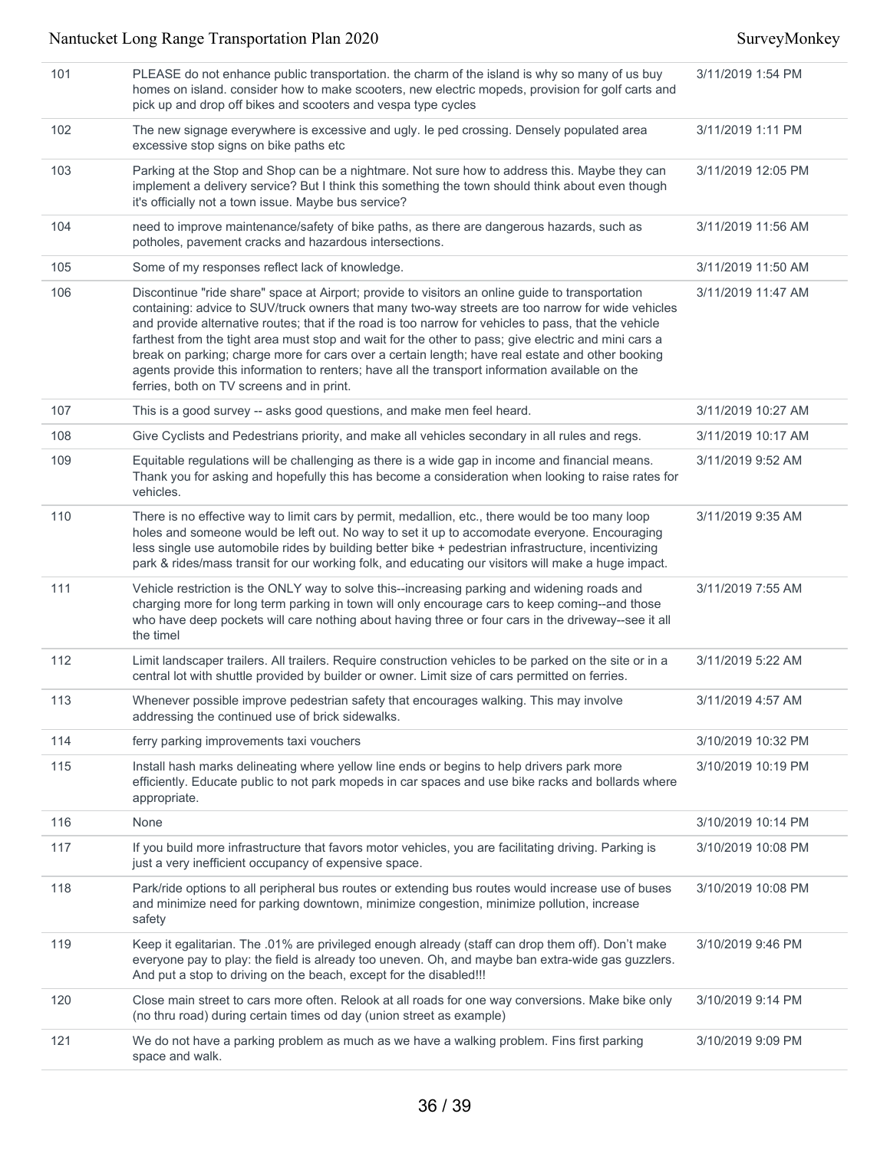| 101 | PLEASE do not enhance public transportation. the charm of the island is why so many of us buy<br>homes on island. consider how to make scooters, new electric mopeds, provision for golf carts and<br>pick up and drop off bikes and scooters and vespa type cycles                                                                                                                                                                                                                                                                                                                                                                                                        | 3/11/2019 1:54 PM  |
|-----|----------------------------------------------------------------------------------------------------------------------------------------------------------------------------------------------------------------------------------------------------------------------------------------------------------------------------------------------------------------------------------------------------------------------------------------------------------------------------------------------------------------------------------------------------------------------------------------------------------------------------------------------------------------------------|--------------------|
| 102 | The new signage everywhere is excessive and ugly. le ped crossing. Densely populated area<br>excessive stop signs on bike paths etc                                                                                                                                                                                                                                                                                                                                                                                                                                                                                                                                        | 3/11/2019 1:11 PM  |
| 103 | Parking at the Stop and Shop can be a nightmare. Not sure how to address this. Maybe they can<br>implement a delivery service? But I think this something the town should think about even though<br>it's officially not a town issue. Maybe bus service?                                                                                                                                                                                                                                                                                                                                                                                                                  | 3/11/2019 12:05 PM |
| 104 | need to improve maintenance/safety of bike paths, as there are dangerous hazards, such as<br>potholes, pavement cracks and hazardous intersections.                                                                                                                                                                                                                                                                                                                                                                                                                                                                                                                        | 3/11/2019 11:56 AM |
| 105 | Some of my responses reflect lack of knowledge.                                                                                                                                                                                                                                                                                                                                                                                                                                                                                                                                                                                                                            | 3/11/2019 11:50 AM |
| 106 | Discontinue "ride share" space at Airport; provide to visitors an online guide to transportation<br>containing: advice to SUV/truck owners that many two-way streets are too narrow for wide vehicles<br>and provide alternative routes; that if the road is too narrow for vehicles to pass, that the vehicle<br>farthest from the tight area must stop and wait for the other to pass; give electric and mini cars a<br>break on parking; charge more for cars over a certain length; have real estate and other booking<br>agents provide this information to renters; have all the transport information available on the<br>ferries, both on TV screens and in print. | 3/11/2019 11:47 AM |
| 107 | This is a good survey -- asks good questions, and make men feel heard.                                                                                                                                                                                                                                                                                                                                                                                                                                                                                                                                                                                                     | 3/11/2019 10:27 AM |
| 108 | Give Cyclists and Pedestrians priority, and make all vehicles secondary in all rules and regs.                                                                                                                                                                                                                                                                                                                                                                                                                                                                                                                                                                             | 3/11/2019 10:17 AM |
| 109 | Equitable regulations will be challenging as there is a wide gap in income and financial means.<br>Thank you for asking and hopefully this has become a consideration when looking to raise rates for<br>vehicles.                                                                                                                                                                                                                                                                                                                                                                                                                                                         | 3/11/2019 9:52 AM  |
| 110 | There is no effective way to limit cars by permit, medallion, etc., there would be too many loop<br>holes and someone would be left out. No way to set it up to accomodate everyone. Encouraging<br>less single use automobile rides by building better bike + pedestrian infrastructure, incentivizing<br>park & rides/mass transit for our working folk, and educating our visitors will make a huge impact.                                                                                                                                                                                                                                                             | 3/11/2019 9:35 AM  |
| 111 | Vehicle restriction is the ONLY way to solve this--increasing parking and widening roads and<br>charging more for long term parking in town will only encourage cars to keep coming--and those<br>who have deep pockets will care nothing about having three or four cars in the driveway--see it all<br>the timel                                                                                                                                                                                                                                                                                                                                                         | 3/11/2019 7:55 AM  |
| 112 | Limit landscaper trailers. All trailers. Require construction vehicles to be parked on the site or in a<br>central lot with shuttle provided by builder or owner. Limit size of cars permitted on ferries.                                                                                                                                                                                                                                                                                                                                                                                                                                                                 | 3/11/2019 5:22 AM  |
| 113 | Whenever possible improve pedestrian safety that encourages walking. This may involve<br>addressing the continued use of brick sidewalks.                                                                                                                                                                                                                                                                                                                                                                                                                                                                                                                                  | 3/11/2019 4:57 AM  |
| 114 | ferry parking improvements taxi vouchers                                                                                                                                                                                                                                                                                                                                                                                                                                                                                                                                                                                                                                   | 3/10/2019 10:32 PM |
| 115 | Install hash marks delineating where yellow line ends or begins to help drivers park more<br>efficiently. Educate public to not park mopeds in car spaces and use bike racks and bollards where<br>appropriate.                                                                                                                                                                                                                                                                                                                                                                                                                                                            | 3/10/2019 10:19 PM |
| 116 | None                                                                                                                                                                                                                                                                                                                                                                                                                                                                                                                                                                                                                                                                       | 3/10/2019 10:14 PM |
| 117 | If you build more infrastructure that favors motor vehicles, you are facilitating driving. Parking is<br>just a very inefficient occupancy of expensive space.                                                                                                                                                                                                                                                                                                                                                                                                                                                                                                             | 3/10/2019 10:08 PM |
| 118 | Park/ride options to all peripheral bus routes or extending bus routes would increase use of buses<br>and minimize need for parking downtown, minimize congestion, minimize pollution, increase<br>safety                                                                                                                                                                                                                                                                                                                                                                                                                                                                  | 3/10/2019 10:08 PM |
| 119 | Keep it egalitarian. The .01% are privileged enough already (staff can drop them off). Don't make<br>everyone pay to play: the field is already too uneven. Oh, and maybe ban extra-wide gas guzzlers.<br>And put a stop to driving on the beach, except for the disabled!!!                                                                                                                                                                                                                                                                                                                                                                                               | 3/10/2019 9:46 PM  |
| 120 | Close main street to cars more often. Relook at all roads for one way conversions. Make bike only<br>(no thru road) during certain times od day (union street as example)                                                                                                                                                                                                                                                                                                                                                                                                                                                                                                  | 3/10/2019 9:14 PM  |
| 121 | We do not have a parking problem as much as we have a walking problem. Fins first parking<br>space and walk.                                                                                                                                                                                                                                                                                                                                                                                                                                                                                                                                                               | 3/10/2019 9:09 PM  |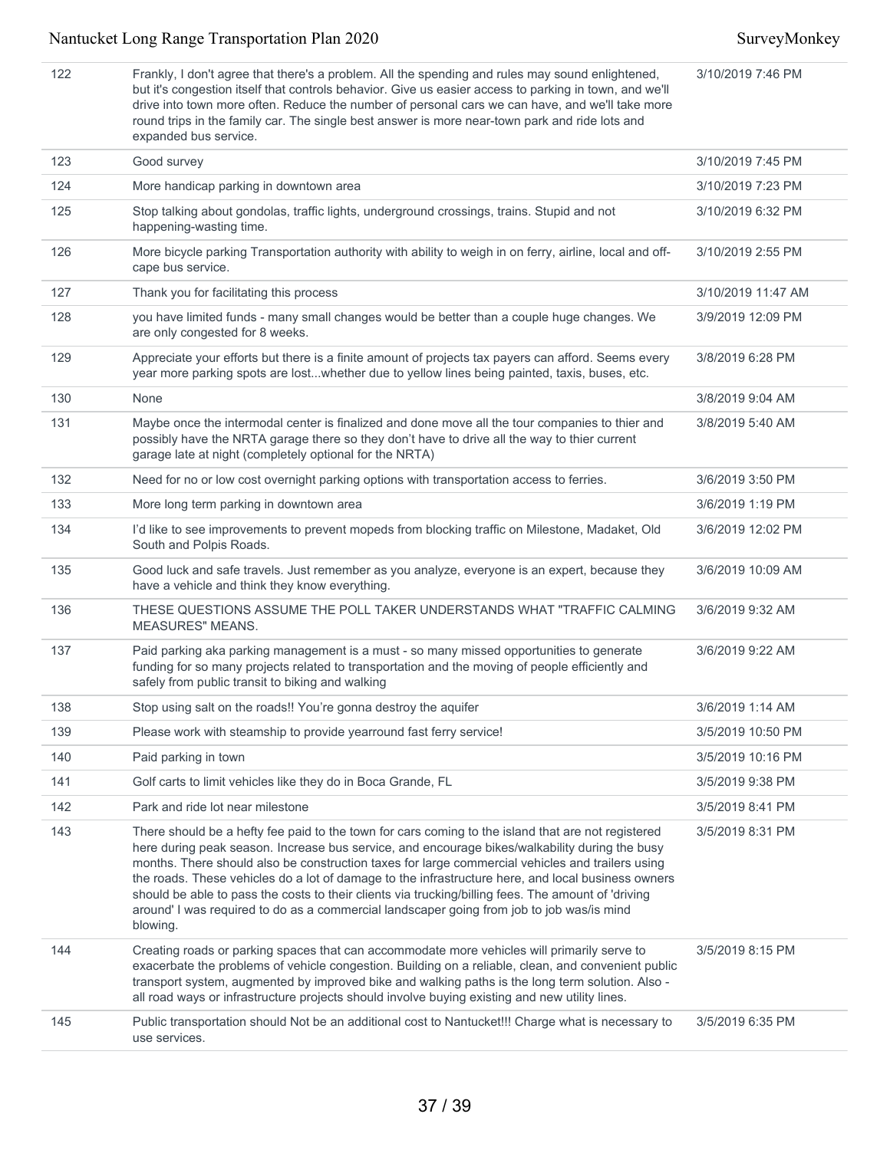122 Frankly, I don't agree that there's a problem. All the spending and rules may sound enlightened, but it's congestion itself that controls behavior. Give us easier access to parking in town, and we'll drive into town more often. Reduce the number of personal cars we can have, and we'll take more round trips in the family car. The single best answer is more near-town park and ride lots and expanded bus service. 3/10/2019 7:46 PM 123 Good survey 3/10/2019 7:45 PM 124 More handicap parking in downtown area 3/10/2019 7:23 PM 125 Stop talking about gondolas, traffic lights, underground crossings, trains. Stupid and not happening-wasting time. 3/10/2019 6:32 PM 126 More bicycle parking Transportation authority with ability to weigh in on ferry, airline, local and offcape bus service. 3/10/2019 2:55 PM 127 Thank you for facilitating this process 11.127 AM and the state of the state 3/10/2019 11:47 AM 128 you have limited funds - many small changes would be better than a couple huge changes. We are only congested for 8 weeks. 3/9/2019 12:09 PM 129 Appreciate your efforts but there is a finite amount of projects tax payers can afford. Seems every year more parking spots are lost...whether due to yellow lines being painted, taxis, buses, etc. 3/8/2019 6:28 PM 130 None 2012 19:04 AM 131 Maybe once the intermodal center is finalized and done move all the tour companies to thier and possibly have the NRTA garage there so they don't have to drive all the way to thier current garage late at night (completely optional for the NRTA) 3/8/2019 5:40 AM 132 Need for no or low cost overnight parking options with transportation access to ferries. 3/6/2019 3:50 PM 133 More long term parking in downtown area **3/6/2019 1:19 PM** 3/6/2019 1:19 PM 134 I'd like to see improvements to prevent mopeds from blocking traffic on Milestone, Madaket, Old South and Polpis Roads. 3/6/2019 12:02 PM 135 Good luck and safe travels. Just remember as you analyze, everyone is an expert, because they have a vehicle and think they know everything. 3/6/2019 10:09 AM 136 THESE QUESTIONS ASSUME THE POLL TAKER UNDERSTANDS WHAT "TRAFFIC CALMING MEASURES" MEANS. 3/6/2019 9:32 AM 137 Paid parking aka parking management is a must - so many missed opportunities to generate funding for so many projects related to transportation and the moving of people efficiently and safely from public transit to biking and walking 3/6/2019 9:22 AM 138 Stop using salt on the roads!! You're gonna destroy the aquifer 1992 100 Stop 1:14 AM 139 Please work with steamship to provide yearround fast ferry service! 1998 1998 10:50 PM 140 Paid parking in town 3/5/2019 10:16 PM 141 Golf carts to limit vehicles like they do in Boca Grande, FL 3/5/2019 9:38 PM 142 Park and ride lot near milestone 3/5/2019 8:41 PM 143 There should be a hefty fee paid to the town for cars coming to the island that are not registered here during peak season. Increase bus service, and encourage bikes/walkability during the busy months. There should also be construction taxes for large commercial vehicles and trailers using the roads. These vehicles do a lot of damage to the infrastructure here, and local business owners should be able to pass the costs to their clients via trucking/billing fees. The amount of 'driving around' I was required to do as a commercial landscaper going from job to job was/is mind blowing. 3/5/2019 8:31 PM 144 Creating roads or parking spaces that can accommodate more vehicles will primarily serve to exacerbate the problems of vehicle congestion. Building on a reliable, clean, and convenient public transport system, augmented by improved bike and walking paths is the long term solution. Also all road ways or infrastructure projects should involve buying existing and new utility lines. 3/5/2019 8:15 PM 145 Public transportation should Not be an additional cost to Nantucket!!! Charge what is necessary to use services. 3/5/2019 6:35 PM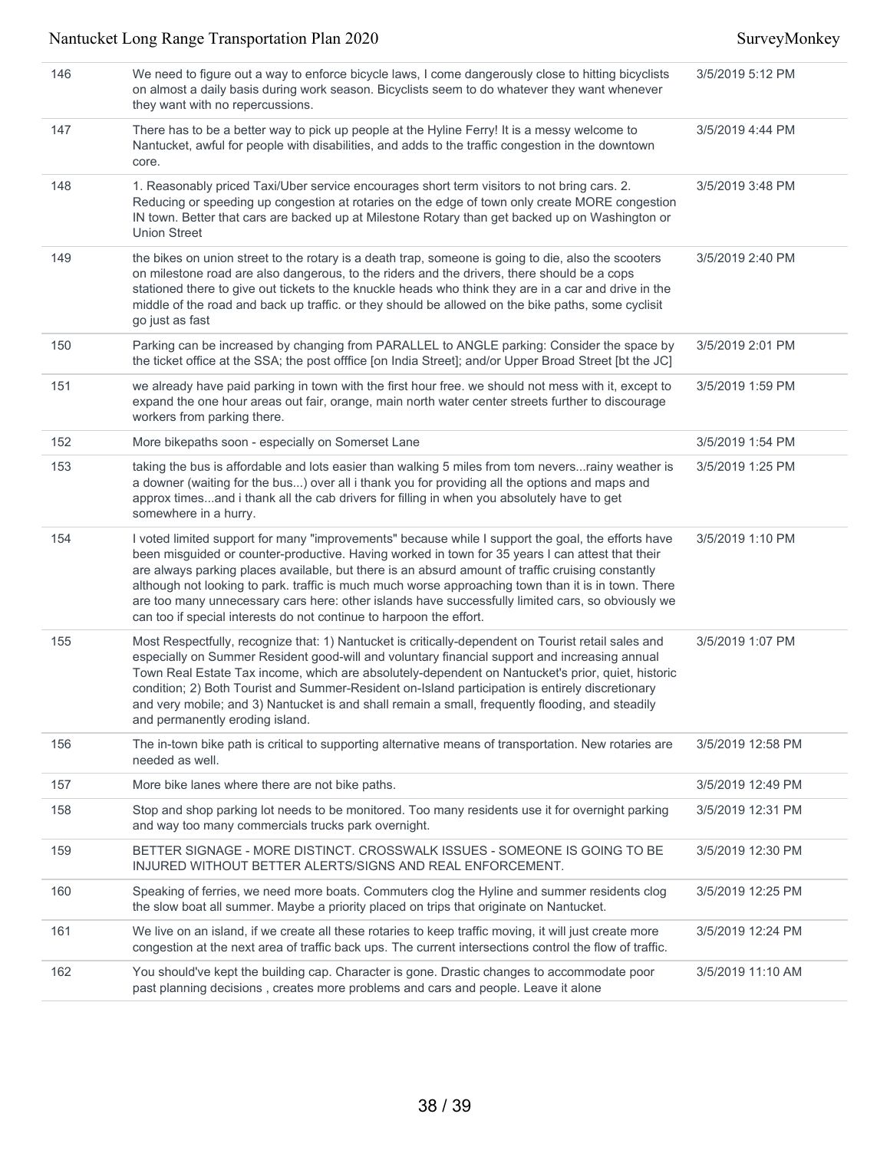| 146 | We need to figure out a way to enforce bicycle laws, I come dangerously close to hitting bicyclists<br>on almost a daily basis during work season. Bicyclists seem to do whatever they want whenever<br>they want with no repercussions.                                                                                                                                                                                                                                                                                                                                                       | 3/5/2019 5:12 PM  |
|-----|------------------------------------------------------------------------------------------------------------------------------------------------------------------------------------------------------------------------------------------------------------------------------------------------------------------------------------------------------------------------------------------------------------------------------------------------------------------------------------------------------------------------------------------------------------------------------------------------|-------------------|
| 147 | There has to be a better way to pick up people at the Hyline Ferry! It is a messy welcome to<br>Nantucket, awful for people with disabilities, and adds to the traffic congestion in the downtown<br>core.                                                                                                                                                                                                                                                                                                                                                                                     | 3/5/2019 4:44 PM  |
| 148 | 1. Reasonably priced Taxi/Uber service encourages short term visitors to not bring cars. 2.<br>Reducing or speeding up congestion at rotaries on the edge of town only create MORE congestion<br>IN town. Better that cars are backed up at Milestone Rotary than get backed up on Washington or<br><b>Union Street</b>                                                                                                                                                                                                                                                                        | 3/5/2019 3:48 PM  |
| 149 | the bikes on union street to the rotary is a death trap, someone is going to die, also the scooters<br>on milestone road are also dangerous, to the riders and the drivers, there should be a cops<br>stationed there to give out tickets to the knuckle heads who think they are in a car and drive in the<br>middle of the road and back up traffic. or they should be allowed on the bike paths, some cyclisit<br>go just as fast                                                                                                                                                           | 3/5/2019 2:40 PM  |
| 150 | Parking can be increased by changing from PARALLEL to ANGLE parking: Consider the space by<br>the ticket office at the SSA; the post offfice [on India Street]; and/or Upper Broad Street [bt the JC]                                                                                                                                                                                                                                                                                                                                                                                          | 3/5/2019 2:01 PM  |
| 151 | we already have paid parking in town with the first hour free. we should not mess with it, except to<br>expand the one hour areas out fair, orange, main north water center streets further to discourage<br>workers from parking there.                                                                                                                                                                                                                                                                                                                                                       | 3/5/2019 1:59 PM  |
| 152 | More bikepaths soon - especially on Somerset Lane                                                                                                                                                                                                                                                                                                                                                                                                                                                                                                                                              | 3/5/2019 1:54 PM  |
| 153 | taking the bus is affordable and lots easier than walking 5 miles from tom neversrainy weather is<br>a downer (waiting for the bus) over all i thank you for providing all the options and maps and<br>approx timesand i thank all the cab drivers for filling in when you absolutely have to get<br>somewhere in a hurry.                                                                                                                                                                                                                                                                     | 3/5/2019 1:25 PM  |
| 154 | I voted limited support for many "improvements" because while I support the goal, the efforts have<br>been misguided or counter-productive. Having worked in town for 35 years I can attest that their<br>are always parking places available, but there is an absurd amount of traffic cruising constantly<br>although not looking to park. traffic is much much worse approaching town than it is in town. There<br>are too many unnecessary cars here: other islands have successfully limited cars, so obviously we<br>can too if special interests do not continue to harpoon the effort. | 3/5/2019 1:10 PM  |
| 155 | Most Respectfully, recognize that: 1) Nantucket is critically-dependent on Tourist retail sales and<br>especially on Summer Resident good-will and voluntary financial support and increasing annual<br>Town Real Estate Tax income, which are absolutely-dependent on Nantucket's prior, quiet, historic<br>condition; 2) Both Tourist and Summer-Resident on-Island participation is entirely discretionary<br>and very mobile; and 3) Nantucket is and shall remain a small, frequently flooding, and steadily<br>and permanently eroding island.                                           | 3/5/2019 1:07 PM  |
| 156 | The in-town bike path is critical to supporting alternative means of transportation. New rotaries are<br>needed as well.                                                                                                                                                                                                                                                                                                                                                                                                                                                                       | 3/5/2019 12:58 PM |
| 157 | More bike lanes where there are not bike paths.                                                                                                                                                                                                                                                                                                                                                                                                                                                                                                                                                | 3/5/2019 12:49 PM |
| 158 | Stop and shop parking lot needs to be monitored. Too many residents use it for overnight parking<br>and way too many commercials trucks park overnight.                                                                                                                                                                                                                                                                                                                                                                                                                                        | 3/5/2019 12:31 PM |
| 159 | BETTER SIGNAGE - MORE DISTINCT. CROSSWALK ISSUES - SOMEONE IS GOING TO BE<br>INJURED WITHOUT BETTER ALERTS/SIGNS AND REAL ENFORCEMENT.                                                                                                                                                                                                                                                                                                                                                                                                                                                         | 3/5/2019 12:30 PM |
| 160 | Speaking of ferries, we need more boats. Commuters clog the Hyline and summer residents clog<br>the slow boat all summer. Maybe a priority placed on trips that originate on Nantucket.                                                                                                                                                                                                                                                                                                                                                                                                        | 3/5/2019 12:25 PM |
| 161 | We live on an island, if we create all these rotaries to keep traffic moving, it will just create more<br>congestion at the next area of traffic back ups. The current intersections control the flow of traffic.                                                                                                                                                                                                                                                                                                                                                                              | 3/5/2019 12:24 PM |
| 162 | You should've kept the building cap. Character is gone. Drastic changes to accommodate poor<br>past planning decisions, creates more problems and cars and people. Leave it alone                                                                                                                                                                                                                                                                                                                                                                                                              | 3/5/2019 11:10 AM |